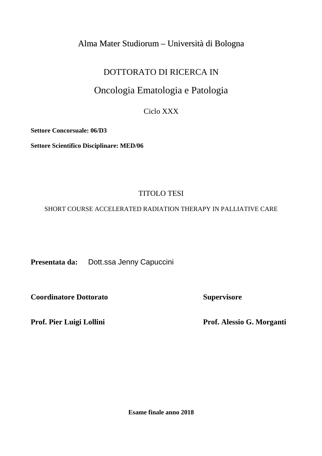## Alma Mater Studiorum – Università di Bologna

## DOTTORATO DI RICERCA IN

# Oncologia Ematologia e Patologia

Ciclo XXX

**Settore Concorsuale: 06/D3** 

**Settore Scientifico Disciplinare: MED/06** 

## TITOLO TESI

SHORT COURSE ACCELERATED RADIATION THERAPY IN PALLIATIVE CARE

**Presentata da:** Dott.ssa Jenny Capuccini

**Coordinatore Dottorato Supervisore Supervisore** 

Prof. Pier Luigi Lollini Prof. Alessio G. Morganti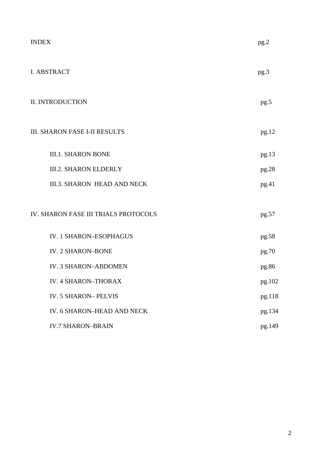| <b>INDEX</b>                         | pg.2   |
|--------------------------------------|--------|
| <b>I. ABSTRACT</b>                   | pg.3   |
| <b>II. INTRODUCTION</b>              | pg.5   |
| <b>III. SHARON FASE I-II RESULTS</b> | pg.12  |
| <b>III.1. SHARON BONE</b>            | pg.13  |
| <b>III.2. SHARON ELDERLY</b>         | pg.28  |
| <b>III.3. SHARON HEAD AND NECK</b>   | pg.41  |
| IV. SHARON FASE III TRIALS PROTOCOLS | pg.57  |
| <b>IV. 1 SHARON-ESOPHAGUS</b>        | pg.58  |
| <b>IV. 2 SHARON-BONE</b>             | pg.70  |
| <b>IV. 3 SHARON-ABDOMEN</b>          | pg.86  |
| <b>IV. 4 SHARON-THORAX</b>           | pg.102 |
| <b>IV. 5 SHARON-PELVIS</b>           | pg.118 |
| IV. 6 SHARON-HEAD AND NECK           | pg.134 |
| <b>IV.7 SHARON-BRAIN</b>             | pg.149 |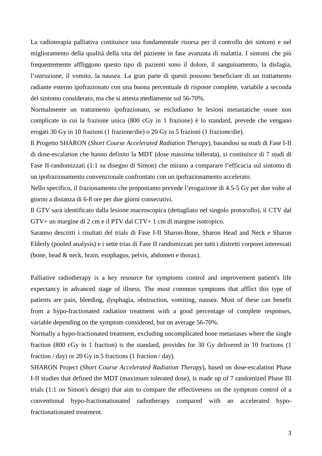La radioterapia palliativa costituisce una fondamentale risorsa per il controllo dei sintomi e nel miglioramento della qualità della vita del paziente in fase avanzata di malattia. I sintomi che più frequentemente affliggono questo tipo di pazienti sono il dolore, il sanguinamento, la disfagia, l'ostruzione, il vomito, la nausea. La gran parte di questi possono beneficiare di un trattamento radiante esterno ipofrazionato con una buona percentuale di risposte complete, variabile a seconda del sintomo considerato, ma che si attesta mediamente sul 56-70%.

Normalmente un trattamento ipofrazionato, se escludiamo le lesioni metastatiche ossee non complicate in cui la frazione unica (800 cGy in 1 frazione) è lo standard, prevede che vengano erogati 30 Gy in 10 frazioni (1 frazione/die) o 20 Gy in 5 frazioni (1 frazione/die).

Il Progetto SHARON (*Short Course Accelerated Radiation Therapy*), basandosi su studi di Fase I-II di dose-escalation che hanno definito la MDT (dose massima tollerata), si costituisce di 7 studi di Fase II-randomizzati (1:1 su disegno di Simon) che mirano a comparare l'efficacia sul sintomo di un ipofrazionamento convenzionale confrontato con un ipofrazionamento accelerato.

Nello specifico, il frazionamento che proponiamo prevede l'erogazione di 4.5-5 Gy per due volte al giorno a distanza di 6-8 ore per due giorni consecutivi.

Il GTV sarà identificato dalla lesione macroscopica (dettagliato nel singolo protocollo), il CTV dal GTV+ un margine di 2 cm e il PTV dal CTV+ 1 cm di margine isotropico.

Saranno descritti i risultati del trials di Fase I-II Sharon-Bone, Sharon Head and Neck e Sharon Elderly (pooled analysis) e i sette trias di Fase II randomizzati per tutti i distretti corporei interessati (bone, head & neck, brain, esophagus, pelvis, abdomen e thorax).

Palliative radiotherapy is a key resource for symptoms control and improvement patient's life expectancy in advanced stage of illness. The most common symptoms that afflict this type of patients are pain, bleeding, dysphagia, obstruction, vomiting, nausea. Most of these can benefit from a hypo-fractionated radiation treatment with a good percentage of complete responses, variable depending on the symptom considered, but on average 56-70%.

Normally a hypo-fractionated treatment, excluding uncomplicated bone metastases where the single fraction (800 cGy in 1 fraction) is the standard, provides for 30 Gy delivered in 10 fractions (1 fraction  $/$  day) or 20 Gy in 5 fractions (1 fraction  $/$  day).

SHARON Project (*Short Course Accelerated Radiation Therapy*), based on dose-escalation Phase I-II studies that defined the MDT (maximum tolerated dose), is made up of 7 randomized Phase III trials (1:1 on Simon's design) that aim to compare the effectiveness on the symptom control of a conventional hypo-fractionationated radiotherapy compared with an accelerated hypofractionationated treatment.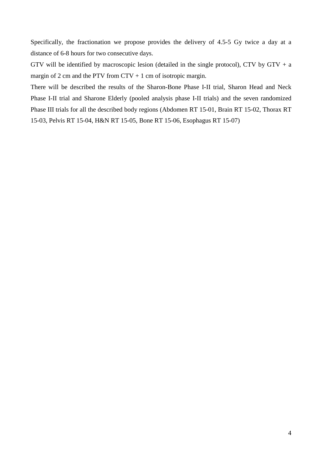Specifically, the fractionation we propose provides the delivery of 4.5-5 Gy twice a day at a distance of 6-8 hours for two consecutive days.

GTV will be identified by macroscopic lesion (detailed in the single protocol), CTV by GTV + a margin of 2 cm and the PTV from  $CTV + 1$  cm of isotropic margin.

There will be described the results of the Sharon-Bone Phase I-II trial, Sharon Head and Neck Phase I-II trial and Sharone Elderly (pooled analysis phase I-II trials) and the seven randomized Phase III trials for all the described body regions (Abdomen RT 15-01, Brain RT 15-02, Thorax RT 15-03, Pelvis RT 15-04, H&N RT 15-05, Bone RT 15-06, Esophagus RT 15-07)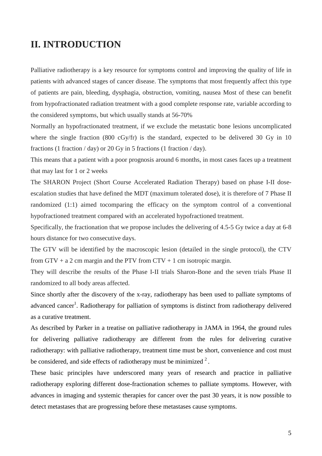## **II. INTRODUCTION**

Palliative radiotherapy is a key resource for symptoms control and improving the quality of life in patients with advanced stages of cancer disease. The symptoms that most frequently affect this type of patients are pain, bleeding, dysphagia, obstruction, vomiting, nausea Most of these can benefit from hypofractionated radiation treatment with a good complete response rate, variable according to the considered symptoms, but which usually stands at 56-70%

Normally an hypofractionated treatment, if we exclude the metastatic bone lesions uncomplicated where the single fraction (800 cGy/fr) is the standard, expected to be delivered 30 Gy in 10 fractions (1 fraction / day) or 20 Gy in 5 fractions (1 fraction / day).

This means that a patient with a poor prognosis around 6 months, in most cases faces up a treatment that may last for 1 or 2 weeks

The SHARON Project (Short Course Accelerated Radiation Therapy) based on phase I-II doseescalation studies that have defined the MDT (maximum tolerated dose), it is therefore of 7 Phase II randomized (1:1) aimed tocomparing the efficacy on the symptom control of a conventional hypofractioned treatment compared with an accelerated hypofractioned treatment.

Specifically, the fractionation that we propose includes the delivering of 4.5-5 Gy twice a day at 6-8 hours distance for two consecutive days.

The GTV will be identified by the macroscopic lesion (detailed in the single protocol), the CTV from  $GTV + a 2$  cm margin and the PTV from  $CYV + 1$  cm isotropic margin.

They will describe the results of the Phase I-II trials Sharon-Bone and the seven trials Phase II randomized to all body areas affected.

Since shortly after the discovery of the x-ray, radiotherapy has been used to palliate symptoms of advanced cancer<sup>1</sup>. Radiotherapy for palliation of symptoms is distinct from radiotherapy delivered as a curative treatment.

As described by Parker in a treatise on palliative radiotherapy in JAMA in 1964, the ground rules for delivering palliative radiotherapy are different from the rules for delivering curative radiotherapy: with palliative radiotherapy, treatment time must be short, convenience and cost must be considered, and side effects of radiotherapy must be minimized  $2^2$ .

These basic principles have underscored many years of research and practice in palliative radiotherapy exploring different dose-fractionation schemes to palliate symptoms. However, with advances in imaging and systemic therapies for cancer over the past 30 years, it is now possible to detect metastases that are progressing before these metastases cause symptoms.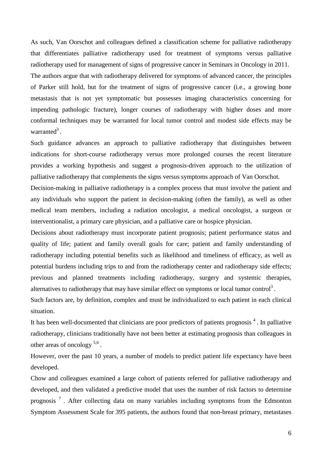As such, Van Oorschot and colleagues defined a classification scheme for palliative radiotherapy that differentiates palliative radiotherapy used for treatment of symptoms versus palliative radiotherapy used for management of signs of progressive cancer in Seminars in Oncology in 2011. The authors argue that with radiotherapy delivered for symptoms of advanced cancer, the principles of Parker still hold, but for the treatment of signs of progressive cancer (i.e., a growing bone metastasis that is not yet symptomatic but possesses imaging characteristics concerning for impending pathologic fracture), longer courses of radiotherapy with higher doses and more conformal techniques may be warranted for local tumor control and modest side effects may be warranted<sup>3</sup>.

Such guidance advances an approach to palliative radiotherapy that distinguishes between indications for short-course radiotherapy versus more prolonged courses the recent literature provides a working hypothesis and suggest a prognosis-driven approach to the utilization of palliative radiotherapy that complements the signs versus symptoms approach of Van Oorschot.

Decision-making in palliative radiotherapy is a complex process that must involve the patient and any individuals who support the patient in decision-making (often the family), as well as other medical team members, including a radiation oncologist, a medical oncologist, a surgeon or interventionalist, a primary care physician, and a palliative care or hospice physician.

Decisions about radiotherapy must incorporate patient prognosis; patient performance status and quality of life; patient and family overall goals for care; patient and family understanding of radiotherapy including potential benefits such as likelihood and timeliness of efficacy, as well as potential burdens including trips to and from the radiotherapy center and radiotherapy side effects; previous and planned treatments including radiotherapy, surgery and systemic therapies, alternatives to radiotherapy that may have similar effect on symptoms or local tumor control<sup>3</sup>.

Such factors are, by definition, complex and must be individualized to each patient in each clinical situation.

It has been well-documented that clinicians are poor predictors of patients prognosis  $4$ . In palliative radiotherapy, clinicians traditionally have not been better at estimating prognosis than colleagues in other areas of oncology  $5.6$ .

However, over the past 10 years, a number of models to predict patient life expectancy have been developed.

Chow and colleagues examined a large cohort of patients referred for palliative radiotherapy and developed, and then validated a predictive model that uses the number of risk factors to determine prognosis<sup>7</sup>. After collecting data on many variables including symptoms from the Edmonton Symptom Assessment Scale for 395 patients, the authors found that non-breast primary, metastases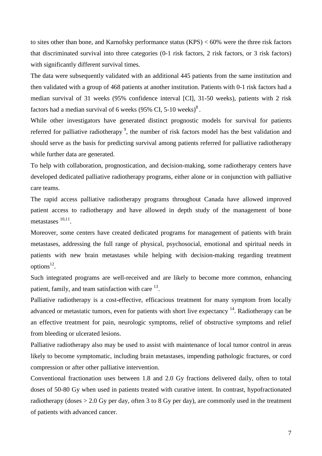to sites other than bone, and Karnofsky performance status (KPS) < 60% were the three risk factors that discriminated survival into three categories (0-1 risk factors, 2 risk factors, or 3 risk factors) with significantly different survival times.

The data were subsequently validated with an additional 445 patients from the same institution and then validated with a group of 468 patients at another institution. Patients with 0-1 risk factors had a median survival of 31 weeks (95% confidence interval [CI], 31-50 weeks), patients with 2 risk factors had a median survival of 6 weeks  $(95\% \text{ CI}, 5\text{-}10 \text{ weeks})^8$ .

While other investigators have generated distinct prognostic models for survival for patients referred for palliative radiotherapy<sup>9</sup>, the number of risk factors model has the best validation and should serve as the basis for predicting survival among patients referred for palliative radiotherapy while further data are generated.

To help with collaboration, prognostication, and decision-making, some radiotherapy centers have developed dedicated palliative radiotherapy programs, either alone or in conjunction with palliative care teams.

The rapid access palliative radiotherapy programs throughout Canada have allowed improved patient access to radiotherapy and have allowed in depth study of the management of bone metastases  $10,11$ .

Moreover, some centers have created dedicated programs for management of patients with brain metastases, addressing the full range of physical, psychosocial, emotional and spiritual needs in patients with new brain metastases while helping with decision-making regarding treatment  $options<sup>12</sup>$ .

Such integrated programs are well-received and are likely to become more common, enhancing patient, family, and team satisfaction with care <sup>13</sup>.

Palliative radiotherapy is a cost-effective, efficacious treatment for many symptom from locally advanced or metastatic tumors, even for patients with short live expectancy  $14$ . Radiotherapy can be an effective treatment for pain, neurologic symptoms, relief of obstructive symptoms and relief from bleeding or ulcerated lesions.

Palliative radiotherapy also may be used to assist with maintenance of local tumor control in areas likely to become symptomatic, including brain metastases, impending pathologic fractures, or cord compression or after other palliative intervention.

Conventional fractionation uses between 1.8 and 2.0 Gy fractions delivered daily, often to total doses of 50-80 Gy when used in patients treated with curative intent. In contrast, hypofractionated radiotherapy (doses  $> 2.0$  Gy per day, often 3 to 8 Gy per day), are commonly used in the treatment of patients with advanced cancer.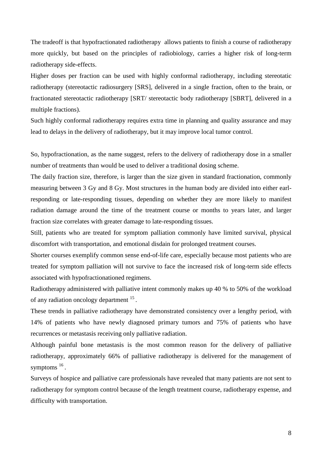The tradeoff is that hypofractionated radiotherapy allows patients to finish a course of radiotherapy more quickly, but based on the principles of radiobiology, carries a higher risk of long-term radiotherapy side-effects.

Higher doses per fraction can be used with highly conformal radiotherapy, including stereotatic radiotherapy (stereotactic radiosurgery [SRS], delivered in a single fraction, often to the brain, or fractionated stereotactic radiotherapy [SRT/ stereotactic body radiotherapy [SBRT], delivered in a multiple fractions).

Such highly conformal radiotherapy requires extra time in planning and quality assurance and may lead to delays in the delivery of radiotherapy, but it may improve local tumor control.

So, hypofractionation, as the name suggest, refers to the delivery of radiotherapy dose in a smaller number of treatments than would be used to deliver a traditional dosing scheme.

The daily fraction size, therefore, is larger than the size given in standard fractionation, commonly measuring between 3 Gy and 8 Gy. Most structures in the human body are divided into either earlresponding or late-responding tissues, depending on whether they are more likely to manifest radiation damage around the time of the treatment course or months to years later, and larger fraction size correlates with greater damage to late-responding tissues.

Still, patients who are treated for symptom palliation commonly have limited survival, physical discomfort with transportation, and emotional disdain for prolonged treatment courses.

Shorter courses exemplify common sense end-of-life care, especially because most patients who are treated for symptom palliation will not survive to face the increased risk of long-term side effects associated with hypofractionationed regimens.

Radiotherapy administered with palliative intent commonly makes up 40 % to 50% of the workload of any radiation oncology department <sup>15</sup>.

These trends in palliative radiotherapy have demonstrated consistency over a lengthy period, with 14% of patients who have newly diagnosed primary tumors and 75% of patients who have recurrences or metastasis receiving only palliative radiation.

Although painful bone metastasis is the most common reason for the delivery of palliative radiotherapy, approximately 66% of palliative radiotherapy is delivered for the management of symptoms <sup>16</sup>.

Surveys of hospice and palliative care professionals have revealed that many patients are not sent to radiotherapy for symptom control because of the length treatment course, radiotherapy expense, and difficulty with transportation.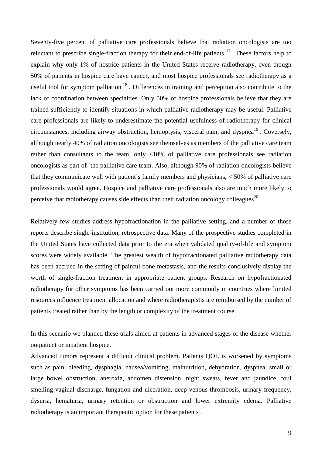Seventy-five percent of palliative care professionals believe that radiation oncologists are too reluctant to prescribe single-fraction therapy for their end-of-life patients <sup>17</sup>. These factors help to explain why only 1% of hospice patients in the United States receive radiotherapy, even though 50% of patients in hospice care have cancer, and most hospice professionals see radiotherapy as a useful tool for symptom palliation<sup>18</sup>. Differences in training and perception also contribute to the lack of coordination between specialties. Only 50% of hospice professionals believe that they are trained sufficiently to identify situations in which palliative radiotherapy may be useful. Palliative care professionals are likely to underestimate the potential usefulness of radiotherapy for clinical circumstances, including airway obstruction, hemoptysis, visceral pain, and dyspnea<sup>19</sup>. Coversely, although nearly 40% of radiation oncologists see themselves as members of the palliative care team rather than consultants to the team, only <10% of palliative care professionals see radiation oncologists as part of the palliative care team. Also, although 90% of radiation oncologists believe that they communicate well with patient's family members and physicians, < 50% of palliative care professionals would agree. Hospice and palliative care professionals also are much more likely to perceive that radiotherapy causes side effects than their radiation oncology colleagues<sup>20</sup>.

Relatively few studies address hypofractionation in the palliative setting, and a number of those reports describe single-institution, retrospective data. Many of the prospective studies completed in the United States have collected data prior to the era when validated quality-of-life and symptom scores were widely available. The greatest wealth of hypofractionated palliative radiotherapy data has been accrued in the setting of painful bone metastasis, and the results conclusively display the worth of single-fraction treatment in appropriate patient groups. Research on hypofractionated radiotherapy for other symptoms has been carried out more commonly in countries where limited resources influence treatment allocation and where radiotherapistis are reimbursed by the number of patients treated rather than by the length or complexity of the treatment course.

In this scenario we planned these trials aimed at patients in advanced stages of the disease whether outpatient or inpatient hospice.

Advanced tumors represent a difficult clinical problem. Patients QOL is worsened by symptoms such as pain, bleeding, dysphagia, nausea/vomiting, malnutrition, dehydration, dyspnea, small or large bowel obstruction, aneroxia, abdomen distension, night sweats, fever and jaundice, foul smelling vaginal discharge, fungation and ulceration, deep venous thrombosis, urinary frequency, dysuria, hematuria, urinary retention or obstruction and lower extremity edema. Palliative radiotherapy is an important therapeutic option for these patients .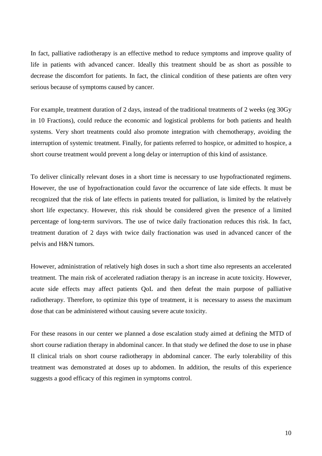In fact, palliative radiotherapy is an effective method to reduce symptoms and improve quality of life in patients with advanced cancer. Ideally this treatment should be as short as possible to decrease the discomfort for patients. In fact, the clinical condition of these patients are often very serious because of symptoms caused by cancer.

For example, treatment duration of 2 days, instead of the traditional treatments of 2 weeks (eg 30Gy in 10 Fractions), could reduce the economic and logistical problems for both patients and health systems. Very short treatments could also promote integration with chemotherapy, avoiding the interruption of systemic treatment. Finally, for patients referred to hospice, or admitted to hospice, a short course treatment would prevent a long delay or interruption of this kind of assistance.

To deliver clinically relevant doses in a short time is necessary to use hypofractionated regimens. However, the use of hypofractionation could favor the occurrence of late side effects. It must be recognized that the risk of late effects in patients treated for palliation, is limited by the relatively short life expectancy. However, this risk should be considered given the presence of a limited percentage of long-term survivors. The use of twice daily fractionation reduces this risk. In fact, treatment duration of 2 days with twice daily fractionation was used in advanced cancer of the pelvis and H&N tumors.

However, administration of relatively high doses in such a short time also represents an accelerated treatment. The main risk of accelerated radiation therapy is an increase in acute toxicity. However, acute side effects may affect patients QoL and then defeat the main purpose of palliative radiotherapy. Therefore, to optimize this type of treatment, it is necessary to assess the maximum dose that can be administered without causing severe acute toxicity.

For these reasons in our center we planned a dose escalation study aimed at defining the MTD of short course radiation therapy in abdominal cancer. In that study we defined the dose to use in phase II clinical trials on short course radiotherapy in abdominal cancer. The early tolerability of this treatment was demonstrated at doses up to abdomen. In addition, the results of this experience suggests a good efficacy of this regimen in symptoms control.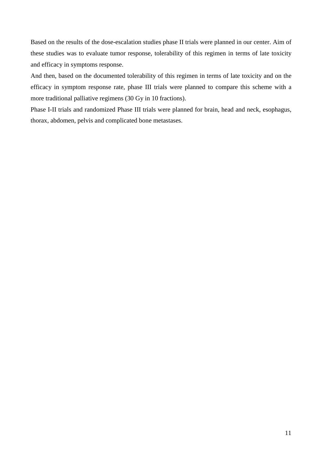Based on the results of the dose-escalation studies phase II trials were planned in our center. Aim of these studies was to evaluate tumor response, tolerability of this regimen in terms of late toxicity and efficacy in symptoms response.

And then, based on the documented tolerability of this regimen in terms of late toxicity and on the efficacy in symptom response rate, phase III trials were planned to compare this scheme with a more traditional palliative regimens (30 Gy in 10 fractions).

Phase I-II trials and randomized Phase III trials were planned for brain, head and neck, esophagus, thorax, abdomen, pelvis and complicated bone metastases.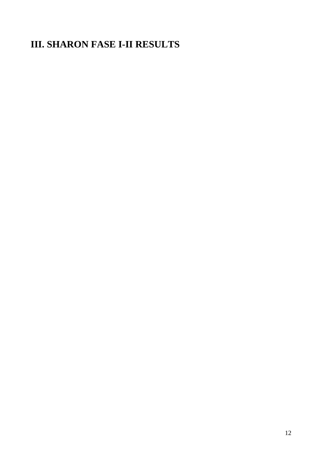# **III. SHARON FASE I-II RESULTS**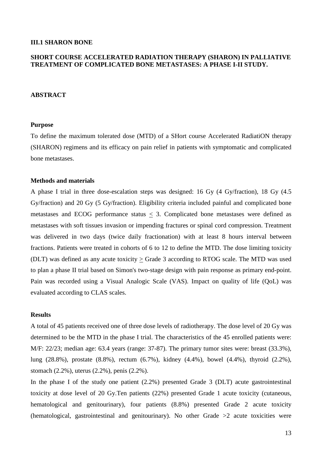#### **III.1 SHARON BONE**

## **SHORT COURSE ACCELERATED RADIATION THERAPY (SHARON) IN PALLIATIVE TREATMENT OF COMPLICATED BONE METASTASES: A PHASE I-II STUDY.**

#### **ABSTRACT**

#### **Purpose**

To define the maximum tolerated dose (MTD) of a SHort course Accelerated RadiatiON therapy (SHARON) regimens and its efficacy on pain relief in patients with symptomatic and complicated bone metastases.

## **Methods and materials**

A phase I trial in three dose-escalation steps was designed: 16 Gy (4 Gy/fraction), 18 Gy (4.5 Gy/fraction) and 20 Gy (5 Gy/fraction). Eligibility criteria included painful and complicated bone metastases and ECOG performance status < 3. Complicated bone metastases were defined as metastases with soft tissues invasion or impending fractures or spinal cord compression. Treatment was delivered in two days (twice daily fractionation) with at least 8 hours interval between fractions. Patients were treated in cohorts of 6 to 12 to define the MTD. The dose limiting toxicity (DLT) was defined as any acute toxicity > Grade 3 according to RTOG scale. The MTD was used to plan a phase II trial based on Simon's two-stage design with pain response as primary end-point. Pain was recorded using a Visual Analogic Scale (VAS). Impact on quality of life (QoL) was evaluated according to CLAS scales.

#### **Results**

A total of 45 patients received one of three dose levels of radiotherapy. The dose level of 20 Gy was determined to be the MTD in the phase I trial. The characteristics of the 45 enrolled patients were: M/F: 22/23; median age: 63.4 years (range: 37-87). The primary tumor sites were: breast (33.3%), lung (28.8%), prostate (8.8%), rectum (6.7%), kidney (4.4%), bowel (4.4%), thyroid (2.2%), stomach (2.2%), uterus (2.2%), penis (2.2%).

In the phase I of the study one patient (2.2%) presented Grade 3 (DLT) acute gastrointestinal toxicity at dose level of 20 Gy.Ten patients (22%) presented Grade 1 acute toxicity (cutaneous, hematological and genitourinary), four patients (8.8%) presented Grade 2 acute toxicity (hematological, gastrointestinal and genitourinary). No other Grade >2 acute toxicities were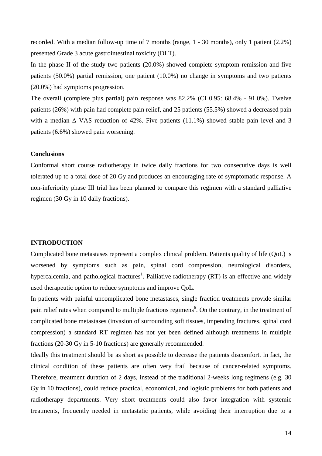recorded. With a median follow-up time of 7 months (range, 1 - 30 months), only 1 patient (2.2%) presented Grade 3 acute gastrointestinal toxicity (DLT).

In the phase II of the study two patients (20.0%) showed complete symptom remission and five patients (50.0%) partial remission, one patient (10.0%) no change in symptoms and two patients (20.0%) had symptoms progression.

The overall (complete plus partial) pain response was 82.2% (CI 0.95: 68.4% - 91.0%). Twelve patients (26%) with pain had complete pain relief, and 25 patients (55.5%) showed a decreased pain with a median  $\Delta$  VAS reduction of 42%. Five patients (11.1%) showed stable pain level and 3 patients (6.6%) showed pain worsening.

### **Conclusions**

Conformal short course radiotherapy in twice daily fractions for two consecutive days is well tolerated up to a total dose of 20 Gy and produces an encouraging rate of symptomatic response. A non-inferiority phase III trial has been planned to compare this regimen with a standard palliative regimen (30 Gy in 10 daily fractions).

## **INTRODUCTION**

Complicated bone metastases represent a complex clinical problem. Patients quality of life (QoL) is worsened by symptoms such as pain, spinal cord compression, neurological disorders, hypercalcemia, and pathological fractures<sup>1</sup>. Palliative radiotherapy (RT) is an effective and widely used therapeutic option to reduce symptoms and improve QoL.

In patients with painful uncomplicated bone metastases, single fraction treatments provide similar pain relief rates when compared to multiple fractions regimens<sup>6</sup>. On the contrary, in the treatment of complicated bone metastases (invasion of surrounding soft tissues, impending fractures, spinal cord compression) a standard RT regimen has not yet been defined although treatments in multiple fractions (20-30 Gy in 5-10 fractions) are generally recommended.

Ideally this treatment should be as short as possible to decrease the patients discomfort. In fact, the clinical condition of these patients are often very frail because of cancer-related symptoms. Therefore, treatment duration of 2 days, instead of the traditional 2-weeks long regimens (e.g. 30 Gy in 10 fractions), could reduce practical, economical, and logistic problems for both patients and radiotherapy departments. Very short treatments could also favor integration with systemic treatments, frequently needed in metastatic patients, while avoiding their interruption due to a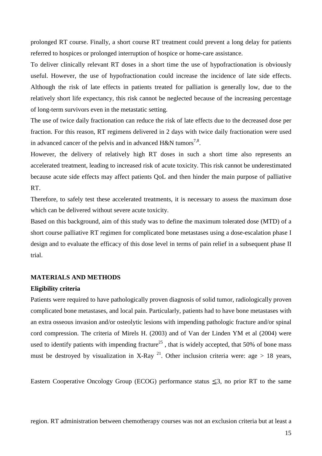prolonged RT course. Finally, a short course RT treatment could prevent a long delay for patients referred to hospices or prolonged interruption of hospice or home-care assistance.

To deliver clinically relevant RT doses in a short time the use of hypofractionation is obviously useful. However, the use of hypofractionation could increase the incidence of late side effects. Although the risk of late effects in patients treated for palliation is generally low, due to the relatively short life expectancy, this risk cannot be neglected because of the increasing percentage of long-term survivors even in the metastatic setting.

The use of twice daily fractionation can reduce the risk of late effects due to the decreased dose per fraction. For this reason, RT regimens delivered in 2 days with twice daily fractionation were used in advanced cancer of the pelvis and in advanced H&N tumors<sup>7,8</sup>.

However, the delivery of relatively high RT doses in such a short time also represents an accelerated treatment, leading to increased risk of acute toxicity. This risk cannot be underestimated because acute side effects may affect patients QoL and then hinder the main purpose of palliative RT.

Therefore, to safely test these accelerated treatments, it is necessary to assess the maximum dose which can be delivered without severe acute toxicity.

Based on this background, aim of this study was to define the maximum tolerated dose (MTD) of a short course palliative RT regimen for complicated bone metastases using a dose-escalation phase I design and to evaluate the efficacy of this dose level in terms of pain relief in a subsequent phase II trial.

## **MATERIALS AND METHODS**

#### **Eligibility criteria**

Patients were required to have pathologically proven diagnosis of solid tumor, radiologically proven complicated bone metastases, and local pain. Particularly, patients had to have bone metastases with an extra osseous invasion and/or osteolytic lesions with impending pathologic fracture and/or spinal cord compression. The criteria of Mirels H. (2003) and of Van der Linden YM et al (2004) were used to identify patients with impending fracture<sup>25</sup>, that is widely accepted, that 50% of bone mass must be destroyed by visualization in X-Ray <sup>21</sup>. Other inclusion criteria were: age > 18 years,

Eastern Cooperative Oncology Group (ECOG) performance status  $\leq 3$ , no prior RT to the same

region. RT administration between chemotherapy courses was not an exclusion criteria but at least a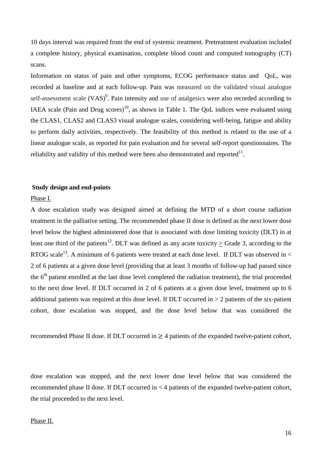10 days interval was required from the end of systemic treatment. Pretreatment evaluation included a complete history, physical examination, complete blood count and computed tomography (CT) scans.

Information on status of pain and other symptoms, ECOG performance status and QoL, was recorded at baseline and at each follow-up. Pain was measured on the validated visual analogue self-assessment scale  $(VAS)^9$ . Pain intensity and use of analgesics were also recorded according to IAEA scale (Pain and Drug scores)<sup>10</sup>, as shown in Table 1. The OoL indices were evaluated using the CLAS1, CLAS2 and CLAS3 visual analogue scales, considering well-being, fatigue and ability to perform daily activities, respectively. The feasibility of this method is related to the use of a linear analogue scale, as reported for pain evaluation and for several self-report questionnaires. The reliability and validity of this method were been also demonstrated and reported $^{11}$ .

## **Study design and end-points**

### Phase I.

A dose escalation study was designed aimed at defining the MTD of a short course radiation treatment in the palliative setting. The recommended phase II dose is defined as the next lower dose level below the highest administered dose that is associated with dose limiting toxicity (DLT) in at least one third of the patients<sup>12</sup>. DLT was defined as any acute toxicity > Grade 3, according to the RTOG scale<sup>13</sup>. A minimum of 6 patients were treated at each dose level. If DLT was observed in  $\lt$ 2 of 6 patients at a given dose level (providing that at least 3 months of follow-up had passed since the 6<sup>th</sup> patient enrolled at the last dose level completed the radiation treatment), the trial proceeded to the next dose level. If DLT occurred in 2 of 6 patients at a given dose level, treatment up to 6 additional patients was required at this dose level. If DLT occurred in > 2 patients of the six-patient cohort, dose escalation was stopped, and the dose level below that was considered the

recommended Phase II dose. If DLT occurred in  $\geq$  4 patients of the expanded twelve-patient cohort,

dose escalation was stopped, and the next lower dose level below that was considered the recommended phase II dose. If DLT occurred in < 4 patients of the expanded twelve-patient cohort, the trial proceeded to the next level.

#### Phase II.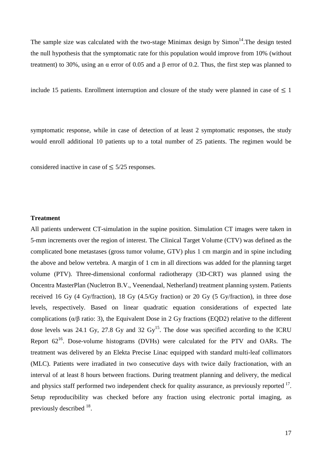The sample size was calculated with the two-stage Minimax design by  $Simon^{14}$ . The design tested the null hypothesis that the symptomatic rate for this population would improve from 10% (without treatment) to 30%, using an  $\alpha$  error of 0.05 and a  $\beta$  error of 0.2. Thus, the first step was planned to

include 15 patients. Enrollment interruption and closure of the study were planned in case of  $\leq 1$ 

symptomatic response, while in case of detection of at least 2 symptomatic responses, the study would enroll additional 10 patients up to a total number of 25 patients. The regimen would be

considered inactive in case of  $\leq 5/25$  responses.

## **Treatment**

All patients underwent CT-simulation in the supine position. Simulation CT images were taken in 5-mm increments over the region of interest. The Clinical Target Volume (CTV) was defined as the complicated bone metastases (gross tumor volume, GTV) plus 1 cm margin and in spine including the above and below vertebra. A margin of 1 cm in all directions was added for the planning target volume (PTV). Three-dimensional conformal radiotherapy (3D-CRT) was planned using the Oncentra MasterPlan (Nucletron B.V., Veenendaal, Netherland) treatment planning system. Patients received 16 Gy (4 Gy/fraction), 18 Gy (4.5/Gy fraction) or 20 Gy (5 Gy/fraction), in three dose levels, respectively. Based on linear quadratic equation considerations of expected late complications ( $\alpha/\beta$  ratio: 3), the Equivalent Dose in 2 Gy fractions (EQD2) relative to the different dose levels was 24.1 Gy, 27.8 Gy and 32  $\text{Gy}^{15}$ . The dose was specified according to the ICRU Report  $62^{16}$ . Dose-volume histograms (DVHs) were calculated for the PTV and OARs. The treatment was delivered by an Elekta Precise Linac equipped with standard multi-leaf collimators (MLC). Patients were irradiated in two consecutive days with twice daily fractionation, with an interval of at least 8 hours between fractions. During treatment planning and delivery, the medical and physics staff performed two independent check for quality assurance, as previously reported  $17$ . Setup reproducibility was checked before any fraction using electronic portal imaging, as previously described <sup>18</sup>.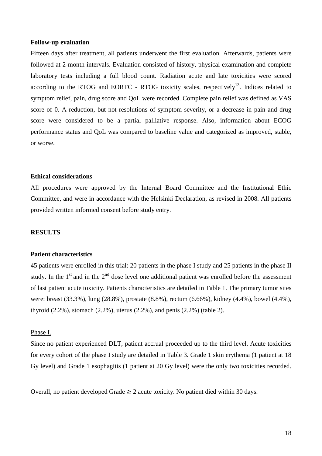#### **Follow-up evaluation**

Fifteen days after treatment, all patients underwent the first evaluation. Afterwards, patients were followed at 2-month intervals. Evaluation consisted of history, physical examination and complete laboratory tests including a full blood count. Radiation acute and late toxicities were scored according to the RTOG and EORTC - RTOG toxicity scales, respectively<sup>13</sup>. Indices related to symptom relief, pain, drug score and QoL were recorded. Complete pain relief was defined as VAS score of 0. A reduction, but not resolutions of symptom severity, or a decrease in pain and drug score were considered to be a partial palliative response. Also, information about ECOG performance status and QoL was compared to baseline value and categorized as improved, stable, or worse.

### **Ethical considerations**

All procedures were approved by the Internal Board Committee and the Institutional Ethic Committee, and were in accordance with the Helsinki Declaration, as revised in 2008. All patients provided written informed consent before study entry.

#### **RESULTS**

### **Patient characteristics**

45 patients were enrolled in this trial: 20 patients in the phase I study and 25 patients in the phase II study. In the  $1<sup>st</sup>$  and in the  $2<sup>nd</sup>$  dose level one additional patient was enrolled before the assessment of last patient acute toxicity. Patients characteristics are detailed in Table 1. The primary tumor sites were: breast (33.3%), lung (28.8%), prostate (8.8%), rectum (6.66%), kidney (4.4%), bowel (4.4%), thyroid (2.2%), stomach (2.2%), uterus (2.2%), and penis (2.2%) (table 2).

## Phase I.

Since no patient experienced DLT, patient accrual proceeded up to the third level. Acute toxicities for every cohort of the phase I study are detailed in Table 3. Grade 1 skin erythema (1 patient at 18 Gy level) and Grade 1 esophagitis (1 patient at 20 Gy level) were the only two toxicities recorded.

Overall, no patient developed Grade  $\geq 2$  acute toxicity. No patient died within 30 days.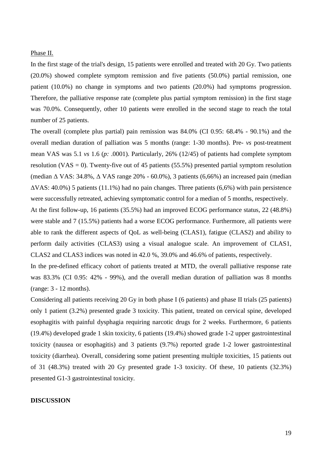#### Phase II.

In the first stage of the trial's design, 15 patients were enrolled and treated with 20 Gy. Two patients (20.0%) showed complete symptom remission and five patients (50.0%) partial remission, one patient (10.0%) no change in symptoms and two patients (20.0%) had symptoms progression. Therefore, the palliative response rate (complete plus partial symptom remission) in the first stage was 70.0%. Consequently, other 10 patients were enrolled in the second stage to reach the total number of 25 patients.

The overall (complete plus partial) pain remission was 84.0% (CI 0.95: 68.4% - 90.1%) and the overall median duration of palliation was 5 months (range: 1-30 months). Pre- *vs* post-treatment mean VAS was 5.1 *vs* 1.6 (*p:* .0001). Particularly, 26% (12/45) of patients had complete symptom resolution (VAS = 0). Twenty-five out of 45 patients (55.5%) presented partial symptom resolution (median ∆ VAS: 34.8%, ∆ VAS range 20% - 60.0%), 3 patients (6,66%) an increased pain (median  $\Delta$ VAS: 40.0%) 5 patients (11.1%) had no pain changes. Three patients (6,6%) with pain persistence were successfully retreated, achieving symptomatic control for a median of 5 months, respectively.

At the first follow-up, 16 patients (35.5%) had an improved ECOG performance status, 22 (48.8%) were stable and 7 (15.5%) patients had a worse ECOG performance. Furthermore, all patients were able to rank the different aspects of QoL as well-being (CLAS1), fatigue (CLAS2) and ability to perform daily activities (CLAS3) using a visual analogue scale. An improvement of CLAS1, CLAS2 and CLAS3 indices was noted in 42.0 %, 39.0% and 46.6% of patients, respectively.

In the pre-defined efficacy cohort of patients treated at MTD, the overall palliative response rate was 83.3% (CI 0.95: 42% - 99%), and the overall median duration of palliation was 8 months (range: 3 - 12 months).

Considering all patients receiving 20 Gy in both phase I (6 patients) and phase II trials (25 patients) only 1 patient (3.2%) presented grade 3 toxicity. This patient, treated on cervical spine, developed esophagitis with painful dysphagia requiring narcotic drugs for 2 weeks. Furthermore, 6 patients (19.4%) developed grade 1 skin toxicity, 6 patients (19.4%) showed grade 1-2 upper gastrointestinal toxicity (nausea or esophagitis) and 3 patients (9.7%) reported grade 1-2 lower gastrointestinal toxicity (diarrhea). Overall, considering some patient presenting multiple toxicities, 15 patients out of 31 (48.3%) treated with 20 Gy presented grade 1-3 toxicity. Of these, 10 patients (32.3%) presented G1-3 gastrointestinal toxicity.

### **DISCUSSION**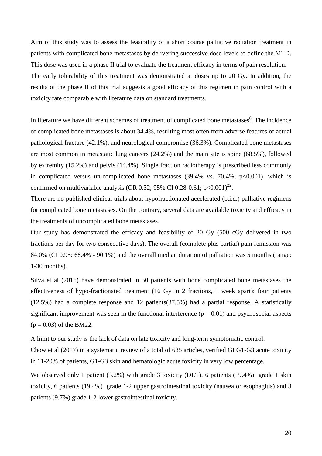Aim of this study was to assess the feasibility of a short course palliative radiation treatment in patients with complicated bone metastases by delivering successive dose levels to define the MTD. This dose was used in a phase II trial to evaluate the treatment efficacy in terms of pain resolution. The early tolerability of this treatment was demonstrated at doses up to 20 Gy. In addition, the results of the phase II of this trial suggests a good efficacy of this regimen in pain control with a toxicity rate comparable with literature data on standard treatments.

In literature we have different schemes of treatment of complicated bone metastases<sup>6</sup>. The incidence of complicated bone metastases is about 34.4%, resulting most often from adverse features of actual pathological fracture (42.1%), and neurological compromise (36.3%). Complicated bone metastases are most common in metastatic lung cancers (24.2%) and the main site is spine (68.5%), followed by extremity (15.2%) and pelvis (14.4%). Single fraction radiotherapy is prescribed less commonly in complicated versus un-complicated bone metastases  $(39.4\% \text{ vs. } 70.4\%; \text{ p} < 0.001)$ , which is confirmed on multivariable analysis (OR 0.32; 95% CI 0.28-0.61;  $p<0.001$ )<sup>22</sup>.

There are no published clinical trials about hypofractionated accelerated (b.i.d.) palliative regimens for complicated bone metastases. On the contrary, several data are available toxicity and efficacy in the treatments of uncomplicated bone metastases.

Our study has demonstrated the efficacy and feasibility of 20 Gy (500 cGy delivered in two fractions per day for two consecutive days). The overall (complete plus partial) pain remission was 84.0% (CI 0.95: 68.4% - 90.1%) and the overall median duration of palliation was 5 months (range: 1-30 months).

Silva et al (2016) have demonstrated in 50 patients with bone complicated bone metastases the effectiveness of hypo-fractionated treatment (16 Gy in 2 fractions, 1 week apart): four patients (12.5%) had a complete response and 12 patients(37.5%) had a partial response. A statistically significant improvement was seen in the functional interference  $(p = 0.01)$  and psychosocial aspects  $(p = 0.03)$  of the BM22.

A limit to our study is the lack of data on late toxicity and long-term symptomatic control.

Chow et al (2017) in a systematic review of a total of 635 articles, verified GI G1-G3 acute toxicity in 11-20% of patients, G1-G3 skin and hematologic acute toxicity in very low percentage.

We observed only 1 patient (3.2%) with grade 3 toxicity (DLT), 6 patients (19.4%) grade 1 skin toxicity, 6 patients (19.4%) grade 1-2 upper gastrointestinal toxicity (nausea or esophagitis) and 3 patients (9.7%) grade 1-2 lower gastrointestinal toxicity.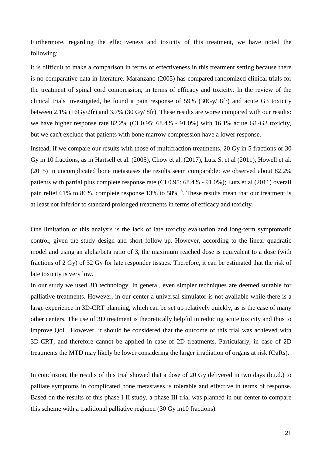Furthermore, regarding the effectiveness and toxicity of this treatment, we have noted the following:

it is difficult to make a comparison in terms of effectiveness in this treatment setting because there is no comparative data in literature. Maranzano (2005) has compared randomized clinical trials for the treatment of spinal cord compression, in terms of efficacy and toxicity. In the review of the clinical trials investigated, he found a pain response of 59% (30Gy/ 8fr) and acute G3 toxicity between 2.1% (16Gy/2fr) and 3.7% (30 Gy/ 8fr). These results are worse compared with our results: we have higher response rate 82.2% (CI 0.95: 68.4% - 91.0%) with 16.1% acute G1-G3 toxicity, but we can't exclude that patients with bone marrow compression have a lower response.

Instead, if we compare our results with those of multifraction treatments, 20 Gy in 5 fractions or 30 Gy in 10 fractions, as in Hartsell et al. (2005), Chow et al. (2017), Lutz S. et al (2011), Howell et al. (2015) in uncomplicated bone metastases the results seem comparable: we observed about 82.2% patients with partial plus complete response rate (CI 0.95: 68.4% - 91.0%); Lutz et al (2011) overall pain relief 61% to 86%, complete response 13% to 58%  $3$ . These results mean that our treatment is at least not inferior to standard prolonged treatments in terms of efficacy and toxicity.

One limitation of this analysis is the lack of late toxicity evaluation and long-term symptomatic control, given the study design and short follow-up. However, according to the linear quadratic model and using an alpha/beta ratio of 3, the maximum reached dose is equivalent to a dose (with fractions of 2 Gy) of 32 Gy for late responder tissues. Therefore, it can be estimated that the risk of late toxicity is very low.

In our study we used 3D technology. In general, even simpler techniques are deemed suitable for palliative treatments. However, in our center a universal simulator is not available while there is a large experience in 3D-CRT planning, which can be set up relatively quickly, as is the case of many other centers. The use of 3D treatment is theoretically helpful in reducing acute toxicity and thus to improve QoL. However, it should be considered that the outcome of this trial was achieved with 3D-CRT, and therefore cannot be applied in case of 2D treatments. Particularly, in case of 2D treatments the MTD may likely be lower considering the larger irradiation of organs at risk (OaRs).

In conclusion, the results of this trial showed that a dose of 20 Gy delivered in two days (b.i.d.) to palliate symptoms in complicated bone metastases is tolerable and effective in terms of response. Based on the results of this phase I-II study, a phase III trial was planned in our center to compare this scheme with a traditional palliative regimen (30 Gy in10 fractions).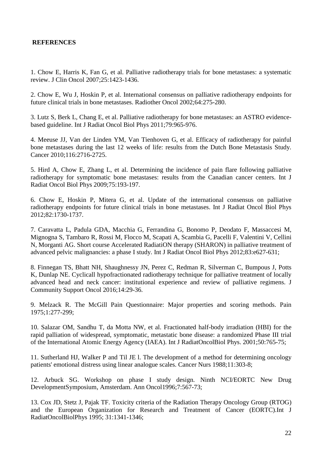## **REFERENCES**

1. Chow E, Harris K, Fan G, et al. Palliative radiotherapy trials for bone metastases: a systematic review. J Clin Oncol 2007;25:1423-1436.

2. Chow E, Wu J, Hoskin P, et al. International consensus on palliative radiotherapy endpoints for future clinical trials in bone metastases. Radiother Oncol 2002;64:275-280.

3. Lutz S, Berk L, Chang E, et al. Palliative radiotherapy for bone metastases: an ASTRO evidencebased guideline. Int J Radiat Oncol Biol Phys 2011;79:965-976.

4. Meeuse JJ, Van der Linden YM, Van Tienhoven G, et al. Efficacy of radiotherapy for painful bone metastases during the last 12 weeks of life: results from the Dutch Bone Metastasis Study. Cancer 2010;116:2716-2725.

5. Hird A, Chow E, Zhang L, et al. Determining the incidence of pain flare following palliative radiotherapy for symptomatic bone metastases: results from the Canadian cancer centers. Int J Radiat Oncol Biol Phys 2009;75:193-197.

6. Chow E, Hoskin P, Mitera G, et al. Update of the international consensus on palliative radiotherapy endpoints for future clinical trials in bone metastases. Int J Radiat Oncol Biol Phys 2012;82:1730-1737.

7. Caravatta L, Padula GDA, Macchia G, Ferrandina G, Bonomo P, Deodato F, Massaccesi M, Mignogna S, Tambaro R, Rossi M, Flocco M, Scapati A, Scambia G, Pacelli F, Valentini V, Cellini N, Morganti AG. Short course Accelerated RadiatiON therapy (SHARON) in palliative treatment of advanced pelvic malignancies: a phase I study. Int J Radiat Oncol Biol Phys 2012;83:e627-631;

8. Finnegan TS, Bhatt NH, Shaughnessy JN, Perez C, Redman R, Silverman C, Bumpous J, Potts K, Dunlap NE. Cyclicall hypofractionated radiotherapy technique for palliative treatment of locally advanced head and neck cancer: institutional experience and review of palliative regimens. J Community Support Oncol 2016;14:29-36.

9. Melzack R. The McGill Pain Questionnaire: Major properties and scoring methods. Pain 1975;1:277-299;

 10. Salazar OM, Sandhu T, da Motta NW, et al. Fractionated half-body irradiation (HBI) for the rapid palliation of widespread, symptomatic, metastatic bone disease: a randomized Phase III trial of the International Atomic Energy Agency (IAEA). Int J RadiatOncolBiol Phys. 2001;50:765-75;

 11. Sutherland HJ, Walker P and Til JE l. The development of a method for determining oncology patients' emotional distress using linear analogue scales. Cancer Nurs 1988;11:303-8;

12. Arbuck SG. Workshop on phase I study design. Ninth NCI/EORTC New Drug DevelopmentSymposium, Amsterdam. Ann Oncol1996;7:567-73;

13. Cox JD, Stetz J, Pajak TF. Toxicity criteria of the Radiation Therapy Oncology Group (RTOG) and the European Organization for Research and Treatment of Cancer (EORTC).Int J RadiatOncolBiolPhys 1995; 31:1341-1346;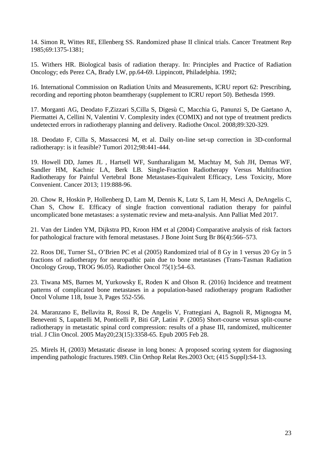14. Simon R, Wittes RE, Ellenberg SS. Randomized phase II clinical trials. Cancer Treatment Rep 1985;69:1375-1381;

15. Withers HR. Biological basis of radiation therapy. In: Principles and Practice of Radiation Oncology; eds Perez CA, Brady LW, pp.64-69. Lippincott, Philadelphia. 1992;

16. International Commission on Radiation Units and Measurements, ICRU report 62: Prescribing, recording and reporting photon beamtherapy (supplement to ICRU report 50). Bethesda 1999.

17. Morganti AG, Deodato F,Zizzari S,Cilla S, Digesù C, Macchia G, Panunzi S, De Gaetano A, Piermattei A, Cellini N, Valentini V. Complexity index (COMIX) and not type of treatment predicts undetected errors in radiotherapy planning and delivery. Radiothe Oncol. 2008;89:320-329.

18. Deodato F, Cilla S, Massaccesi M, et al. Daily on-line set-up correction in 3D-conformal radiotherapy: is it feasible? Tumori 2012;98:441-444.

19. Howell DD, James JL , Hartsell WF, Suntharaligam M, Machtay M, Suh JH, Demas WF, Sandler HM, Kachnic LA, Berk LB. Single-Fraction Radiotherapy Versus Multifraction Radiotherapy for Painful Vertebral Bone Metastases-Equivalent Efficacy, Less Toxicity, More Convenient. Cancer 2013; 119:888-96.

20. Chow R, Hoskin P, Hollenberg D, Lam M, Dennis K, Lutz S, Lam H, Mesci A, DeAngelis C, Chan S, Chow E. Efficacy of single fraction conventional radiation therapy for painful uncomplicated bone metastases: a systematic review and meta-analysis. Ann Palliat Med 2017.

21. Van der Linden YM, Dijkstra PD, Kroon HM et al (2004) Comparative analysis of risk factors for pathological fracture with femoral metastases. J Bone Joint Surg Br 86(4):566–573.

22. Roos DE, Turner SL, O'Brien PC et al (2005) Randomized trial of 8 Gy in 1 versus 20 Gy in 5 fractions of radiotherapy for neuropathic pain due to bone metastases (Trans-Tasman Radiation Oncology Group, TROG 96.05). Radiother Oncol 75(1):54–63.

23. Tiwana MS, Barnes M, Yurkowsky E, Roden K and Olson R. (2016) Incidence and treatment patterns of complicated bone metastases in a population-based radiotherapy program Radiother Oncol Volume 118, Issue 3, Pages 552-556.

24. Maranzano E, Bellavita R, Rossi R, De Angelis V, Frattegiani A, Bagnoli R, Mignogna M, Beneventi S, Lupattelli M, Ponticelli P, Biti GP, Latini P. (2005) Short-course versus split-course radiotherapy in metastatic spinal cord compression: results of a phase III, randomized, multicenter trial. J Clin Oncol. 2005 May20;23(15):3358-65. Epub 2005 Feb 28.

25. Mirels H, (2003) Metastatic disease in long bones: A proposed scoring system for diagnosing impending pathologic fractures.1989. Clin Orthop Relat Res.2003 Oct; (415 Suppl):S4-13.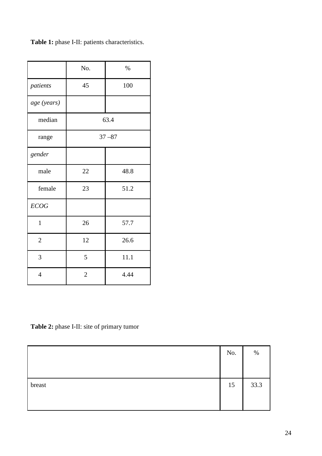|                | No.            | $\%$ |  |  |  |
|----------------|----------------|------|--|--|--|
| patients       | 45             | 100  |  |  |  |
| age (years)    |                |      |  |  |  |
| median         | 63.4           |      |  |  |  |
| range          | $37 - 87$      |      |  |  |  |
| gender         |                |      |  |  |  |
| male           | $22\,$         | 48.8 |  |  |  |
| female         | 23             | 51.2 |  |  |  |
| <b>ECOG</b>    |                |      |  |  |  |
| $\mathbf{1}$   | 26             | 57.7 |  |  |  |
| $\overline{2}$ | 12             | 26.6 |  |  |  |
| 3              | 5              | 11.1 |  |  |  |
| $\overline{4}$ | $\overline{2}$ | 4.44 |  |  |  |

**Table 1:** phase I-II: patients characteristics.

**Table 2:** phase I-II: site of primary tumor

|        | No. | $\%$ |
|--------|-----|------|
|        |     |      |
| breast | 15  | 33.3 |
|        |     |      |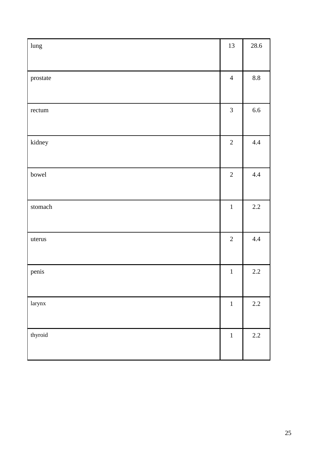| lung                     | 13             | 28.6            |
|--------------------------|----------------|-----------------|
|                          |                |                 |
| prostate                 | $\overline{4}$ | $\!\!\!\!\!8.8$ |
|                          |                |                 |
| rectum                   | $\mathfrak{Z}$ | $6.6\,$         |
|                          |                |                 |
| kidney                   | $\sqrt{2}$     | 4.4             |
|                          |                |                 |
| bowel                    | $\sqrt{2}$     | 4.4             |
|                          |                |                 |
| $\operatorname{stomach}$ | $\mathbf 1$    | 2.2             |
|                          |                |                 |
| uterus                   | $\overline{2}$ | 4.4             |
|                          |                |                 |
| penis                    | $\,1\,$        | $2.2\,$         |
|                          |                |                 |
| larynx                   | $1\,$          | $2.2\,$         |
|                          |                |                 |
| thyroid                  | $\,1\,$        | $2.2\,$         |
|                          |                |                 |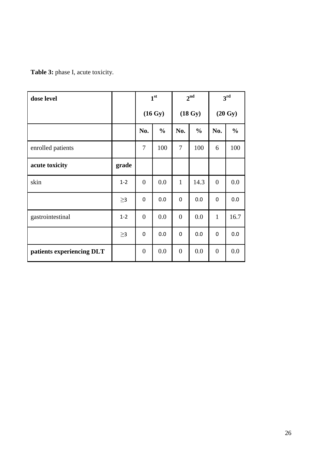**Table 3:** phase I, acute toxicity.

| dose level                |          | 1 <sup>st</sup> |               | 2 <sup>nd</sup>   |               | 3 <sup>rd</sup>   |               |
|---------------------------|----------|-----------------|---------------|-------------------|---------------|-------------------|---------------|
|                           |          | (16 Gy)         |               | $(18 \text{ Gy})$ |               | $(20 \text{ Gy})$ |               |
|                           |          | No.             | $\frac{0}{0}$ | No.               | $\frac{0}{0}$ | No.               | $\frac{0}{0}$ |
| enrolled patients         |          | 7               | 100           | 7                 | 100           | 6                 | 100           |
| acute toxicity            | grade    |                 |               |                   |               |                   |               |
| skin                      | $1 - 2$  | $\overline{0}$  | 0.0           | $\mathbf{1}$      | 14.3          | $\overline{0}$    | 0.0           |
|                           | $\geq$ 3 | $\mathbf 0$     | 0.0           | 0                 | 0.0           | $\mathbf 0$       | 0.0           |
| gastrointestinal          | $1 - 2$  | $\overline{0}$  | 0.0           | $\overline{0}$    | 0.0           | $\mathbf{1}$      | 16.7          |
|                           | $\geq$ 3 | $\mathbf 0$     | 0.0           | 0                 | 0.0           | $\mathbf 0$       | 0.0           |
| patients experiencing DLT |          | $\overline{0}$  | 0.0           | $\overline{0}$    | 0.0           | $\overline{0}$    | 0.0           |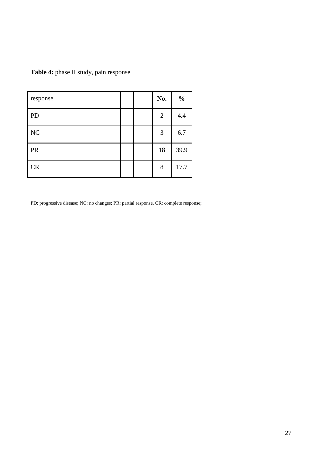| Table 4: phase II study, pain response |  |  |  |  |
|----------------------------------------|--|--|--|--|
|----------------------------------------|--|--|--|--|

| response  |  | No.            | $\frac{0}{0}$ |
|-----------|--|----------------|---------------|
| PD        |  | $\overline{2}$ | 4.4           |
| NC        |  | 3              | 6.7           |
| <b>PR</b> |  | 18             | 39.9          |
| CR        |  | 8              | 17.7          |

PD: progressive disease; NC: no changes; PR: partial response. CR: complete response;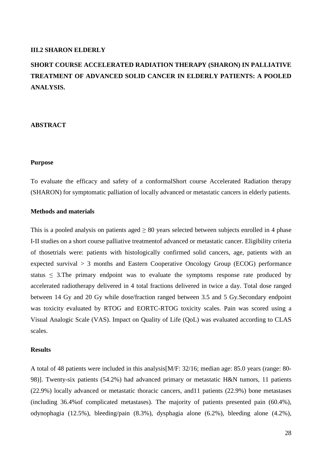#### **III.2 SHARON ELDERLY**

## **SHORT COURSE ACCELERATED RADIATION THERAPY (SHARON) IN PALLIATIVE TREATMENT OF ADVANCED SOLID CANCER IN ELDERLY PATIENTS: A POOLED ANALYSIS.**

#### **ABSTRACT**

#### **Purpose**

To evaluate the efficacy and safety of a conformalShort course Accelerated Radiation therapy (SHARON) for symptomatic palliation of locally advanced or metastatic cancers in elderly patients.

## **Methods and materials**

This is a pooled analysis on patients aged  $\geq 80$  years selected between subjects enrolled in 4 phase I-II studies on a short course palliative treatmentof advanced or metastatic cancer. Eligibility criteria of thosetrials were: patients with histologically confirmed solid cancers, age, patients with an expected survival > 3 months and Eastern Cooperative Oncology Group (ECOG) performance status  $\leq$  3. The primary endpoint was to evaluate the symptoms response rate produced by accelerated radiotherapy delivered in 4 total fractions delivered in twice a day. Total dose ranged between 14 Gy and 20 Gy while dose/fraction ranged between 3.5 and 5 Gy.Secondary endpoint was toxicity evaluated by RTOG and EORTC-RTOG toxicity scales. Pain was scored using a Visual Analogic Scale (VAS). Impact on Quality of Life (QoL) was evaluated according to CLAS scales.

#### **Results**

A total of 48 patients were included in this analysis[M/F: 32/16; median age: 85.0 years (range: 80- 98)]. Twenty-six patients (54.2%) had advanced primary or metastatic H&N tumors, 11 patients (22.9%) locally advanced or metastatic thoracic cancers, and11 patients (22.9%) bone metastases (including 36.4%of complicated metastases). The majority of patients presented pain (60.4%), odynophagia (12.5%), bleeding/pain (8.3%), dysphagia alone (6.2%), bleeding alone (4.2%),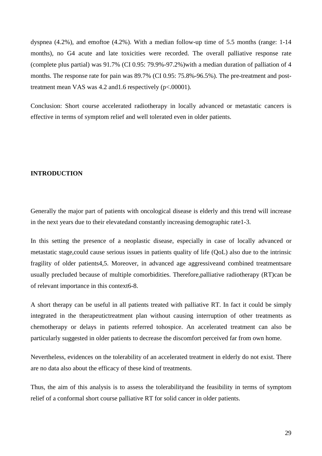dyspnea (4.2%), and emoftoe (4.2%). With a median follow-up time of 5.5 months (range: 1-14 months), no G4 acute and late toxicities were recorded. The overall palliative response rate (complete plus partial) was 91.7% (CI 0.95: 79.9%-97.2%)with a median duration of palliation of 4 months. The response rate for pain was 89.7% (CI 0.95: 75.8%-96.5%). The pre-treatment and posttreatment mean VAS was 4.2 and 1.6 respectively (p<.00001).

Conclusion: Short course accelerated radiotherapy in locally advanced or metastatic cancers is effective in terms of symptom relief and well tolerated even in older patients.

#### **INTRODUCTION**

Generally the major part of patients with oncological disease is elderly and this trend will increase in the next years due to their elevatedand constantly increasing demographic rate1-3.

In this setting the presence of a neoplastic disease, especially in case of locally advanced or metastatic stage,could cause serious issues in patients quality of life (QoL) also due to the intrinsic fragility of older patients4,5. Moreover, in advanced age aggressiveand combined treatmentsare usually precluded because of multiple comorbidities. Therefore,palliative radiotherapy (RT)can be of relevant importance in this context6-8.

A short therapy can be useful in all patients treated with palliative RT. In fact it could be simply integrated in the therapeutictreatment plan without causing interruption of other treatments as chemotherapy or delays in patients referred tohospice. An accelerated treatment can also be particularly suggested in older patients to decrease the discomfort perceived far from own home.

Nevertheless, evidences on the tolerability of an accelerated treatment in elderly do not exist. There are no data also about the efficacy of these kind of treatments.

Thus, the aim of this analysis is to assess the tolerabilityand the feasibility in terms of symptom relief of a conformal short course palliative RT for solid cancer in older patients.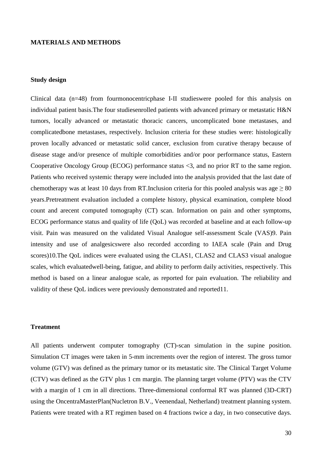## **MATERIALS AND METHODS**

## **Study design**

Clinical data (n=48) from fourmonocentricphase I-II studieswere pooled for this analysis on individual patient basis.The four studiesenrolled patients with advanced primary or metastatic H&N tumors, locally advanced or metastatic thoracic cancers, uncomplicated bone metastases, and complicatedbone metastases, respectively. Inclusion criteria for these studies were: histologically proven locally advanced or metastatic solid cancer, exclusion from curative therapy because of disease stage and/or presence of multiple comorbidities and/or poor performance status, Eastern Cooperative Oncology Group (ECOG) performance status <3, and no prior RT to the same region. Patients who received systemic therapy were included into the analysis provided that the last date of chemotherapy was at least 10 days from RT.Inclusion criteria for this pooled analysis was age  $> 80$ years.Pretreatment evaluation included a complete history, physical examination, complete blood count and arecent computed tomography (CT) scan. Information on pain and other symptoms, ECOG performance status and quality of life (QoL) was recorded at baseline and at each follow-up visit. Pain was measured on the validated Visual Analogue self-assessment Scale (VAS)9. Pain intensity and use of analgesicswere also recorded according to IAEA scale (Pain and Drug scores)10.The QoL indices were evaluated using the CLAS1, CLAS2 and CLAS3 visual analogue scales, which evaluatedwell-being, fatigue, and ability to perform daily activities, respectively. This method is based on a linear analogue scale, as reported for pain evaluation. The reliability and validity of these QoL indices were previously demonstrated and reported11.

#### **Treatment**

All patients underwent computer tomography (CT)-scan simulation in the supine position. Simulation CT images were taken in 5-mm increments over the region of interest. The gross tumor volume (GTV) was defined as the primary tumor or its metastatic site. The Clinical Target Volume (CTV) was defined as the GTV plus 1 cm margin. The planning target volume (PTV) was the CTV with a margin of 1 cm in all directions. Three-dimensional conformal RT was planned (3D-CRT) using the OncentraMasterPlan(Nucletron B.V., Veenendaal, Netherland) treatment planning system. Patients were treated with a RT regimen based on 4 fractions twice a day, in two consecutive days.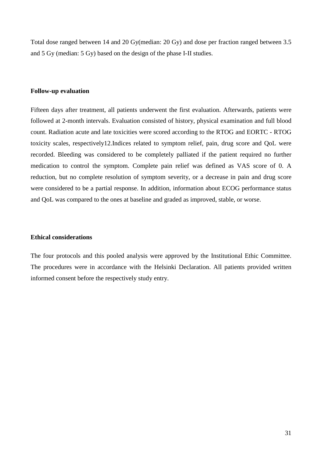Total dose ranged between 14 and 20 Gy(median: 20 Gy) and dose per fraction ranged between 3.5 and 5 Gy (median: 5 Gy) based on the design of the phase I-II studies.

#### **Follow-up evaluation**

Fifteen days after treatment, all patients underwent the first evaluation. Afterwards, patients were followed at 2-month intervals. Evaluation consisted of history, physical examination and full blood count. Radiation acute and late toxicities were scored according to the RTOG and EORTC - RTOG toxicity scales, respectively12.Indices related to symptom relief, pain, drug score and QoL were recorded. Bleeding was considered to be completely palliated if the patient required no further medication to control the symptom. Complete pain relief was defined as VAS score of 0. A reduction, but no complete resolution of symptom severity, or a decrease in pain and drug score were considered to be a partial response. In addition, information about ECOG performance status and QoL was compared to the ones at baseline and graded as improved, stable, or worse.

### **Ethical considerations**

The four protocols and this pooled analysis were approved by the Institutional Ethic Committee. The procedures were in accordance with the Helsinki Declaration. All patients provided written informed consent before the respectively study entry.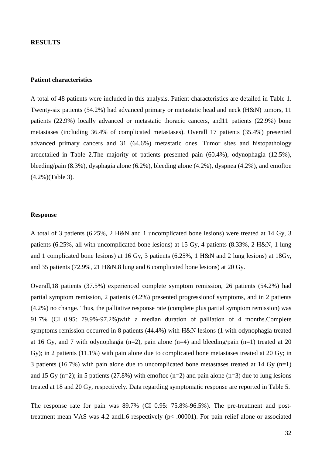#### **RESULTS**

#### **Patient characteristics**

A total of 48 patients were included in this analysis. Patient characteristics are detailed in Table 1. Twenty-six patients (54.2%) had advanced primary or metastatic head and neck (H&N) tumors, 11 patients (22.9%) locally advanced or metastatic thoracic cancers, and11 patients (22.9%) bone metastases (including 36.4% of complicated metastases). Overall 17 patients (35.4%) presented advanced primary cancers and 31 (64.6%) metastatic ones. Tumor sites and histopathology aredetailed in Table 2.The majority of patients presented pain (60.4%), odynophagia (12.5%), bleeding/pain (8.3%), dysphagia alone (6.2%), bleeding alone (4.2%), dyspnea (4.2%), and emoftoe (4.2%)(Table 3).

#### **Response**

A total of 3 patients (6.25%, 2 H&N and 1 uncomplicated bone lesions) were treated at 14 Gy, 3 patients (6.25%, all with uncomplicated bone lesions) at 15 Gy, 4 patients (8.33%, 2 H&N, 1 lung and 1 complicated bone lesions) at 16 Gy, 3 patients (6.25%, 1 H&N and 2 lung lesions) at 18Gy, and 35 patients (72.9%, 21 H&N,8 lung and 6 complicated bone lesions) at 20 Gy.

Overall,18 patients (37.5%) experienced complete symptom remission, 26 patients (54.2%) had partial symptom remission, 2 patients (4.2%) presented progressionof symptoms, and in 2 patients (4.2%) no change. Thus, the palliative response rate (complete plus partial symptom remission) was 91.7% (CI 0.95: 79.9%-97.2%)with a median duration of palliation of 4 months.Complete symptoms remission occurred in 8 patients (44.4%) with H&N lesions (1 with odynophagia treated at 16 Gy, and 7 with odynophagia (n=2), pain alone (n=4) and bleeding/pain (n=1) treated at 20 Gy); in 2 patients (11.1%) with pain alone due to complicated bone metastases treated at 20 Gy; in 3 patients (16.7%) with pain alone due to uncomplicated bone metastases treated at 14 Gy  $(n=1)$ and 15 Gy (n=2); in 5 patients (27.8%) with emoftoe (n=2) and pain alone (n=3) due to lung lesions treated at 18 and 20 Gy, respectively. Data regarding symptomatic response are reported in Table 5.

The response rate for pain was 89.7% (CI 0.95: 75.8%-96.5%). The pre-treatment and posttreatment mean VAS was 4.2 and1.6 respectively (p< .00001). For pain relief alone or associated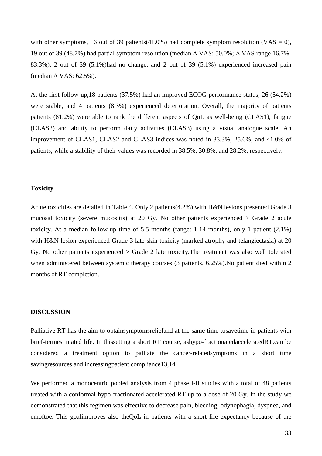with other symptoms, 16 out of 39 patients(41.0%) had complete symptom resolution (VAS = 0), 19 out of 39 (48.7%) had partial symptom resolution (median ∆ VAS: 50.0%; ∆ VAS range 16.7%- 83.3%), 2 out of 39 (5.1%)had no change, and 2 out of 39 (5.1%) experienced increased pain (median ∆ VAS: 62.5%).

At the first follow-up,18 patients (37.5%) had an improved ECOG performance status, 26 (54.2%) were stable, and 4 patients (8.3%) experienced deterioration. Overall, the majority of patients patients (81.2%) were able to rank the different aspects of QoL as well-being (CLAS1), fatigue (CLAS2) and ability to perform daily activities (CLAS3) using a visual analogue scale. An improvement of CLAS1, CLAS2 and CLAS3 indices was noted in 33.3%, 25.6%, and 41.0% of patients, while a stability of their values was recorded in 38.5%, 30.8%, and 28.2%, respectively.

#### **Toxicity**

Acute toxicities are detailed in Table 4. Only 2 patients(4.2%) with H&N lesions presented Grade 3 mucosal toxicity (severe mucositis) at 20 Gy. No other patients experienced > Grade 2 acute toxicity. At a median follow-up time of 5.5 months (range: 1-14 months), only 1 patient (2.1%) with H&N lesion experienced Grade 3 late skin toxicity (marked atrophy and telangiectasia) at 20 Gy. No other patients experienced > Grade 2 late toxicity.The treatment was also well tolerated when administered between systemic therapy courses (3 patients, 6.25%).No patient died within 2 months of RT completion.

### **DISCUSSION**

Palliative RT has the aim to obtainsymptomsreliefand at the same time tosavetime in patients with brief-termestimated life. In thissetting a short RT course, ashypo-fractionatedacceleratedRT,can be considered a treatment option to palliate the cancer-relatedsymptoms in a short time savingresources and increasingpatient compliance13,14.

We performed a monocentric pooled analysis from 4 phase I-II studies with a total of 48 patients treated with a conformal hypo-fractionated accelerated RT up to a dose of 20 Gy. In the study we demonstrated that this regimen was effective to decrease pain, bleeding, odynophagia, dyspnea, and emoftoe. This goalimproves also theQoL in patients with a short life expectancy because of the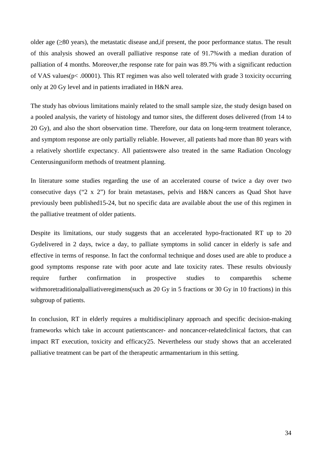older age (≥80 years), the metastatic disease and,if present, the poor performance status. The result of this analysis showed an overall palliative response rate of 91.7%with a median duration of palliation of 4 months. Moreover,the response rate for pain was 89.7% with a significant reduction of VAS values(p< .00001). This RT regimen was also well tolerated with grade 3 toxicity occurring only at 20 Gy level and in patients irradiated in H&N area.

The study has obvious limitations mainly related to the small sample size, the study design based on a pooled analysis, the variety of histology and tumor sites, the different doses delivered (from 14 to 20 Gy), and also the short observation time. Therefore, our data on long-term treatment tolerance, and symptom response are only partially reliable. However, all patients had more than 80 years with a relatively shortlife expectancy. All patientswere also treated in the same Radiation Oncology Centerusinguniform methods of treatment planning.

In literature some studies regarding the use of an accelerated course of twice a day over two consecutive days ("2 x 2") for brain metastases, pelvis and H&N cancers as Quad Shot have previously been published15-24, but no specific data are available about the use of this regimen in the palliative treatment of older patients.

Despite its limitations, our study suggests that an accelerated hypo-fractionated RT up to 20 Gydelivered in 2 days, twice a day, to palliate symptoms in solid cancer in elderly is safe and effective in terms of response. In fact the conformal technique and doses used are able to produce a good symptoms response rate with poor acute and late toxicity rates. These results obviously require further confirmation in prospective studies to comparethis scheme withmoretraditionalpalliativeregimens(such as 20 Gy in 5 fractions or 30 Gy in 10 fractions) in this subgroup of patients.

In conclusion, RT in elderly requires a multidisciplinary approach and specific decision-making frameworks which take in account patientscancer- and noncancer-relatedclinical factors, that can impact RT execution, toxicity and efficacy25. Nevertheless our study shows that an accelerated palliative treatment can be part of the therapeutic armamentarium in this setting.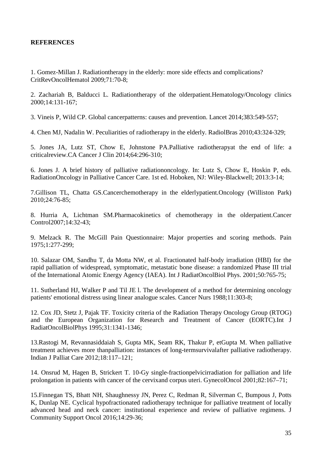## **REFERENCES**

1. Gomez-Millan J. Radiationtherapy in the elderly: more side effects and complications? CritRevOncolHematol 2009;71:70-8;

2. Zachariah B, Balducci L. Radiationtherapy of the olderpatient.Hematology/Oncology clinics 2000;14:131-167;

3. Vineis P, Wild CP. Global cancerpatterns: causes and prevention. Lancet 2014;383:549-557;

4. Chen MJ, Nadalin W. Peculiarities of radiotherapy in the elderly. RadiolBras 2010;43:324-329;

5. Jones JA, Lutz ST, Chow E, Johnstone PA.Palliative radiotherapyat the end of life: a criticalreview.CA Cancer J Clin 2014;64:296-310;

6. Jones J. A brief history of palliative radiationoncology. In: Lutz S, Chow E, Hoskin P, eds. RadiationOncology in Palliative Cancer Care. 1st ed. Hoboken, NJ: Wiley-Blackwell; 2013:3-14;

7.Gillison TL, Chatta GS.Cancerchemotherapy in the elderlypatient.Oncology (Williston Park) 2010;24:76-85;

8. Hurria A, Lichtman SM.Pharmacokinetics of chemotherapy in the olderpatient.Cancer Control2007;14:32-43;

9. Melzack R. The McGill Pain Questionnaire: Major properties and scoring methods. Pain 1975;1:277-299;

10. Salazar OM, Sandhu T, da Motta NW, et al. Fractionated half-body irradiation (HBI) for the rapid palliation of widespread, symptomatic, metastatic bone disease: a randomized Phase III trial of the International Atomic Energy Agency (IAEA). Int J RadiatOncolBiol Phys. 2001;50:765-75;

11. Sutherland HJ, Walker P and Til JE l. The development of a method for determining oncology patients' emotional distress using linear analogue scales. Cancer Nurs 1988;11:303-8;

12. Cox JD, Stetz J, Pajak TF. Toxicity criteria of the Radiation Therapy Oncology Group (RTOG) and the European Organization for Research and Treatment of Cancer (EORTC).Int J RadiatOncolBiolPhys 1995;31:1341-1346;

13.Rastogi M, Revannasiddaiah S, Gupta MK, Seam RK, Thakur P, etGupta M. When palliative treatment achieves more thanpalliation: instances of long-termsurvivalafter palliative radiotherapy. Indian J Palliat Care 2012;18:117–121;

14. Onsrud M, Hagen B, Strickert T. 10-Gy single-fractionpelvicirradiation for palliation and life prolongation in patients with cancer of the cervixand corpus uteri. GynecolOncol 2001;82:167–71;

15.Finnegan TS, Bhatt NH, Shaughnessy JN, Perez C, Redman R, Silverman C, Bumpous J, Potts K, Dunlap NE. Cyclical hypofractionated radiotherapy technique for palliative treatment of locally advanced head and neck cancer: institutional experience and review of palliative regimens. J Community Support Oncol 2016;14:29-36;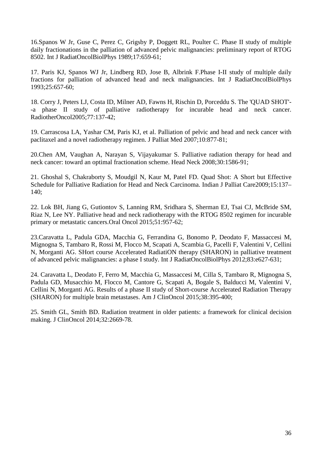16.Spanos W Jr, Guse C, Perez C, Grigsby P, Doggett RL, Poulter C. Phase II study of multiple daily fractionations in the palliation of advanced pelvic malignancies: preliminary report of RTOG 8502. Int J RadiatOncolBiolPhys 1989;17:659-61;

17. Paris KJ, Spanos WJ Jr, Lindberg RD, Jose B, Albrink F.Phase I-II study of multiple daily fractions for palliation of advanced head and neck malignancies. Int J RadiatOncolBiolPhys 1993;25:657-60;

18. Corry J, Peters LJ, Costa ID, Milner AD, Fawns H, Rischin D, Porceddu S. The 'QUAD SHOT'- -a phase II study of palliative radiotherapy for incurable head and neck cancer. RadiotherOncol2005;77:137-42;

19. Carrascosa LA, Yashar CM, Paris KJ, et al. Palliation of pelvic and head and neck cancer with paclitaxel and a novel radiotherapy regimen. J Palliat Med 2007;10:877-81;

20.Chen AM, Vaughan A, Narayan S, Vijayakumar S. Palliative radiation therapy for head and neck cancer: toward an optimal fractionation scheme. Head Neck 2008;30:1586-91;

21. Ghoshal S, Chakraborty S, Moudgil N, Kaur M, Patel FD. Quad Shot: A Short but Effective Schedule for Palliative Radiation for Head and Neck Carcinoma. Indian J Palliat Care2009;15:137– 140;

22. Lok BH, Jiang G, Gutiontov S, Lanning RM, Sridhara S, Sherman EJ, Tsai CJ, McBride SM, Riaz N, Lee NY. Palliative head and neck radiotherapy with the RTOG 8502 regimen for incurable primary or metastatic cancers.Oral Oncol 2015;51:957-62;

23.Caravatta L, Padula GDA, Macchia G, Ferrandina G, Bonomo P, Deodato F, Massaccesi M, Mignogna S, Tambaro R, Rossi M, Flocco M, Scapati A, Scambia G, Pacelli F, Valentini V, Cellini N, Morganti AG. SHort course Accelerated RadiatiON therapy (SHARON) in palliative treatment of advanced pelvic malignancies: a phase I study. Int J RadiatOncolBiolPhys 2012;83:e627-631;

24. Caravatta L, Deodato F, Ferro M, Macchia G, Massaccesi M, Cilla S, Tambaro R, Mignogna S, Padula GD, Musacchio M, Flocco M, Cantore G, Scapati A, Bogale S, Balducci M, Valentini V, Cellini N, Morganti AG. Results of a phase II study of Short-course Accelerated Radiation Therapy (SHARON) for multiple brain metastases. Am J ClinOncol 2015;38:395-400;

25. Smith GL, Smith BD. Radiation treatment in older patients: a framework for clinical decision making. J ClinOncol 2014;32:2669-78.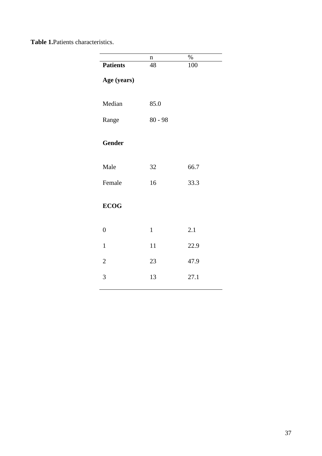**Table 1.**Patients characteristics.

|                 | $\mathbf n$  | $\%$ |  |  |  |
|-----------------|--------------|------|--|--|--|
| <b>Patients</b> | 48           | 100  |  |  |  |
| Age (years)     |              |      |  |  |  |
| Median          | 85.0         |      |  |  |  |
|                 |              |      |  |  |  |
| Range           | $80 - 98$    |      |  |  |  |
|                 |              |      |  |  |  |
| <b>Gender</b>   |              |      |  |  |  |
| Male            | 32           | 66.7 |  |  |  |
| Female          | 16           | 33.3 |  |  |  |
|                 |              |      |  |  |  |
| <b>ECOG</b>     |              |      |  |  |  |
| $\overline{0}$  | $\mathbf{1}$ | 2.1  |  |  |  |
|                 |              |      |  |  |  |
| $\mathbf{1}$    | 11           | 22.9 |  |  |  |
| $\overline{2}$  | 23           | 47.9 |  |  |  |
| 3               | 13           | 27.1 |  |  |  |
|                 |              |      |  |  |  |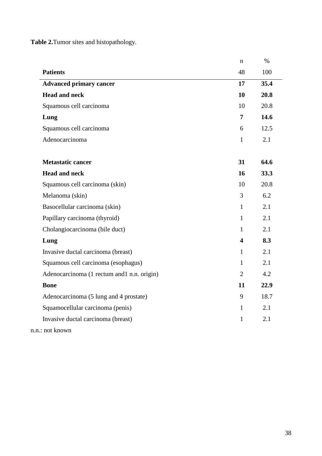**Table 2.**Tumor sites and histopathology.

|                                            | $\mathbf n$             | $\%$ |
|--------------------------------------------|-------------------------|------|
| <b>Patients</b>                            | 48                      | 100  |
| <b>Advanced primary cancer</b>             | 17                      | 35.4 |
| <b>Head and neck</b>                       | 10                      | 20.8 |
| Squamous cell carcinoma                    | 10                      | 20.8 |
| Lung                                       | $\overline{7}$          | 14.6 |
| Squamous cell carcinoma                    | 6                       | 12.5 |
| Adenocarcinoma                             | $\mathbf{1}$            | 2.1  |
|                                            |                         |      |
| <b>Metastatic cancer</b>                   | 31                      | 64.6 |
| <b>Head and neck</b>                       | 16                      | 33.3 |
| Squamous cell carcinoma (skin)             | 10                      | 20.8 |
| Melanoma (skin)                            | 3                       | 6.2  |
| Basocellular carcinoma (skin)              | $\mathbf{1}$            | 2.1  |
| Papillary carcinoma (thyroid)              | $\mathbf{1}$            | 2.1  |
| Cholangiocarcinoma (bile duct)             | $\mathbf{1}$            | 2.1  |
| Lung                                       | $\overline{\mathbf{4}}$ | 8.3  |
| Invasive ductal carcinoma (breast)         | $\mathbf{1}$            | 2.1  |
| Squamous cell carcinoma (esophagus)        | $\mathbf{1}$            | 2.1  |
| Adenocarcinoma (1 rectum and1 n.n. origin) | $\overline{2}$          | 4.2  |
| <b>Bone</b>                                | 11                      | 22.9 |
| Adenocarcinoma (5 lung and 4 prostate)     | 9                       | 18.7 |
| Squamocellular carcinoma (penis)           | $\mathbf{1}$            | 2.1  |
| Invasive ductal carcinoma (breast)         | $\mathbf{1}$            | 2.1  |

n.n.: not known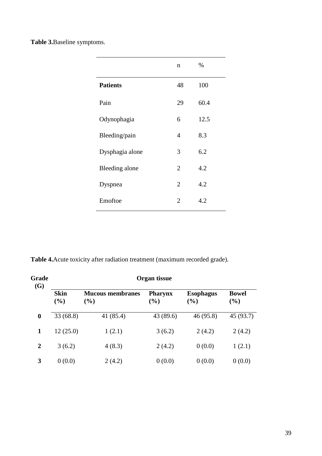**Table 3.**Baseline symptoms.

|                 | $\mathbf n$    | %    |
|-----------------|----------------|------|
| <b>Patients</b> | 48             | 100  |
| Pain            | 29             | 60.4 |
| Odynophagia     | 6              | 12.5 |
| Bleeding/pain   | 4              | 8.3  |
| Dysphagia alone | 3              | 6.2  |
| Bleeding alone  | 2              | 4.2  |
| Dyspnea         | $\overline{2}$ | 4.2  |
| Emoftoe         | $\overline{2}$ | 4.2  |

**Table 4.**Acute toxicity after radiation treatment (maximum recorded grade).

| Grade<br>(G)     | Organ tissue          |                                |                       |                         |                        |  |  |
|------------------|-----------------------|--------------------------------|-----------------------|-------------------------|------------------------|--|--|
|                  | <b>Skin</b><br>$(\%)$ | <b>Mucous membranes</b><br>(%) | <b>Pharynx</b><br>(%) | <b>Esophagus</b><br>(%) | <b>Bowel</b><br>$(\%)$ |  |  |
| $\boldsymbol{0}$ | 33(68.8)              | 41 (85.4)                      | 43 (89.6)             | 46 (95.8)               | 45 (93.7)              |  |  |
| 1                | 12(25.0)              | 1(2.1)                         | 3(6.2)                | 2(4.2)                  | 2(4.2)                 |  |  |
| $\overline{2}$   | 3(6.2)                | 4(8.3)                         | 2(4.2)                | 0(0.0)                  | 1(2.1)                 |  |  |
| 3                | 0(0.0)                | 2(4.2)                         | 0(0.0)                | 0(0.0)                  | 0(0.0)                 |  |  |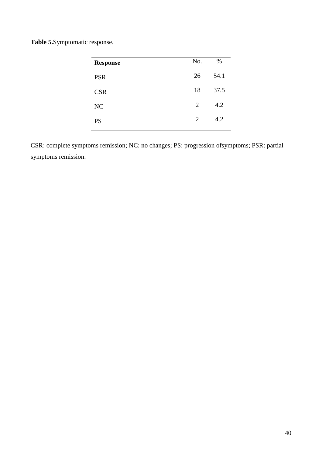**Table 5.**Symptomatic response.

| <b>Response</b> | No. | $\%$ |
|-----------------|-----|------|
| <b>PSR</b>      | 26  | 54.1 |
| <b>CSR</b>      | 18  | 37.5 |
| NC              | 2   | 4.2  |
| <b>PS</b>       | 2   | 4.2  |

CSR: complete symptoms remission; NC: no changes; PS: progression ofsymptoms; PSR: partial symptoms remission.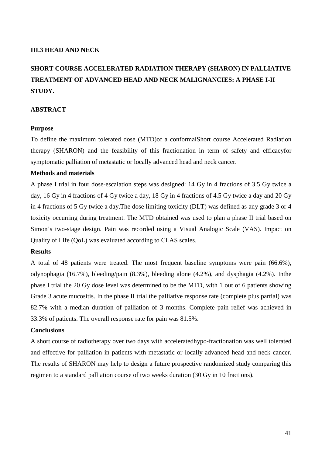#### **III.3 HEAD AND NECK**

## **SHORT COURSE ACCELERATED RADIATION THERAPY (SHARON) IN PALLIATIVE TREATMENT OF ADVANCED HEAD AND NECK MALIGNANCIES: A PHASE I-II STUDY.**

#### **ABSTRACT**

#### **Purpose**

To define the maximum tolerated dose (MTD)of a conformalShort course Accelerated Radiation therapy (SHARON) and the feasibility of this fractionation in term of safety and efficacyfor symptomatic palliation of metastatic or locally advanced head and neck cancer.

#### **Methods and materials**

A phase I trial in four dose-escalation steps was designed: 14 Gy in 4 fractions of 3.5 Gy twice a day, 16 Gy in 4 fractions of 4 Gy twice a day, 18 Gy in 4 fractions of 4.5 Gy twice a day and 20 Gy in 4 fractions of 5 Gy twice a day.The dose limiting toxicity (DLT) was defined as any grade 3 or 4 toxicity occurring during treatment. The MTD obtained was used to plan a phase II trial based on Simon's two-stage design. Pain was recorded using a Visual Analogic Scale (VAS). Impact on Quality of Life (QoL) was evaluated according to CLAS scales.

#### **Results**

A total of 48 patients were treated. The most frequent baseline symptoms were pain (66.6%), odynophagia (16.7%), bleeding/pain (8.3%), bleeding alone (4.2%), and dysphagia (4.2%). Inthe phase I trial the 20 Gy dose level was determined to be the MTD, with 1 out of 6 patients showing Grade 3 acute mucositis. In the phase II trial the palliative response rate (complete plus partial) was 82.7% with a median duration of palliation of 3 months. Complete pain relief was achieved in 33.3% of patients. The overall response rate for pain was 81.5%.

#### **Conclusions**

A short course of radiotherapy over two days with acceleratedhypo-fractionation was well tolerated and effective for palliation in patients with metastatic or locally advanced head and neck cancer. The results of SHARON may help to design a future prospective randomized study comparing this regimen to a standard palliation course of two weeks duration (30 Gy in 10 fractions).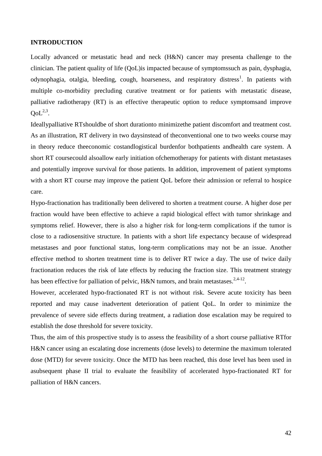## **INTRODUCTION**

Locally advanced or metastatic head and neck (H&N) cancer may presenta challenge to the clinician. The patient quality of life (QoL)is impacted because of symptomssuch as pain, dysphagia, odynophagia, otalgia, bleeding, cough, hoarseness, and respiratory distress<sup>1</sup>. In patients with multiple co-morbidity precluding curative treatment or for patients with metastatic disease, palliative radiotherapy (RT) is an effective therapeutic option to reduce symptomsand improve  $QoL<sup>2,3</sup>$ .

Ideallypalliative RTshouldbe of short durationto minimizethe patient discomfort and treatment cost. As an illustration, RT delivery in two daysinstead of theconventional one to two weeks course may in theory reduce theeconomic costandlogistical burdenfor bothpatients andhealth care system. A short RT coursecould alsoallow early initiation ofchemotherapy for patients with distant metastases and potentially improve survival for those patients. In addition, improvement of patient symptoms with a short RT course may improve the patient QoL before their admission or referral to hospice care.

Hypo-fractionation has traditionally been delivered to shorten a treatment course. A higher dose per fraction would have been effective to achieve a rapid biological effect with tumor shrinkage and symptoms relief. However, there is also a higher risk for long-term complications if the tumor is close to a radiosensitive structure. In patients with a short life expectancy because of widespread metastases and poor functional status, long-term complications may not be an issue. Another effective method to shorten treatment time is to deliver RT twice a day. The use of twice daily fractionation reduces the risk of late effects by reducing the fraction size. This treatment strategy has been effective for palliation of pelvic, H&N tumors, and brain metastases.<sup>2,4-12</sup>.

However, accelerated hypo-fractionated RT is not without risk. Severe acute toxicity has been reported and may cause inadvertent deterioration of patient QoL. In order to minimize the prevalence of severe side effects during treatment, a radiation dose escalation may be required to establish the dose threshold for severe toxicity.

Thus, the aim of this prospective study is to assess the feasibility of a short course palliative RTfor H&N cancer using an escalating dose increments (dose levels) to determine the maximum tolerated dose (MTD) for severe toxicity. Once the MTD has been reached, this dose level has been used in asubsequent phase II trial to evaluate the feasibility of accelerated hypo-fractionated RT for palliation of H&N cancers.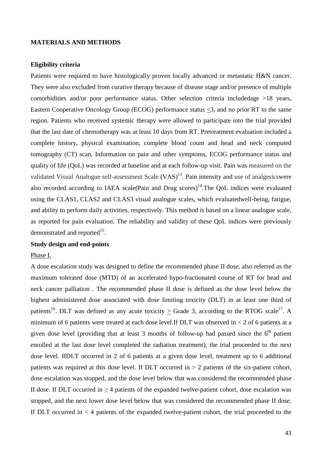#### **MATERIALS AND METHODS**

#### **Eligibility criteria**

Patients were required to have histologically proven locally advanced or metastatic H&N cancer. They were also excluded from curative therapy because of disease stage and/or presence of multiple comorbidities and/or poor performance status. Other selection criteria includedage >18 years, Eastern Cooperative Oncology Group (ECOG) performance status <3, and no prior RT to the same region. Patients who received systemic therapy were allowed to participate into the trial provided that the last date of chemotherapy was at least 10 days from RT. Pretreatment evaluation included a complete history, physical examination, complete blood count and head and neck computed tomography (CT) scan. Information on pain and other symptoms, ECOG performance status and quality of life (QoL) was recorded at baseline and at each follow-up visit. Pain was measured on the validated Visual Analogue self-assessment Scale  $(VAS)^{13}$ . Pain intensity and use of analgesicswere also recorded according to IAEA scale(Pain and Drug scores)<sup>14</sup>. The OoL indices were evaluated using the CLAS1, CLAS2 and CLAS3 visual analogue scales, which evaluatedwell-being, fatigue, and ability to perform daily activities, respectively. This method is based on a linear analogue scale, as reported for pain evaluation. The reliability and validity of these QoL indices were previously demonstrated and reported $^{15}$ .

## **Study design and end-points**

#### Phase I.

A dose escalation study was designed to define the recommended phase II dose, also referred as the maximum tolerated dose (MTD) of an accelerated hypo-fractionated course of RT for head and neck cancer palliation . The recommended phase II dose is defined as the dose level below the highest administered dose associated with dose limiting toxicity (DLT) in at least one third of patients<sup>16</sup>. DLT was defined as any acute toxicity > Grade 3, according to the RTOG scale<sup>17</sup>. A minimum of 6 patients were treated at each dose level. If DLT was observed in  $<$  2 of 6 patients at a given dose level (providing that at least 3 months of follow-up had passed since the  $6<sup>th</sup>$  patient enrolled at the last dose level completed the radiation treatment), the trial proceeded to the next dose level. IfDLT occurred in 2 of 6 patients at a given dose level, treatment up to 6 additional patients was required at this dose level. If DLT occurred in > 2 patients of the six-patient cohort, dose escalation was stopped, and the dose level below that was considered the recommended phase II dose. If DLT occurred in  $>$  4 patients of the expanded twelve-patient cohort, dose escalation was stopped, and the next lower dose level below that was considered the recommended phase II dose. If DLT occurred in  $\lt 4$  patients of the expanded twelve-patient cohort, the trial proceeded to the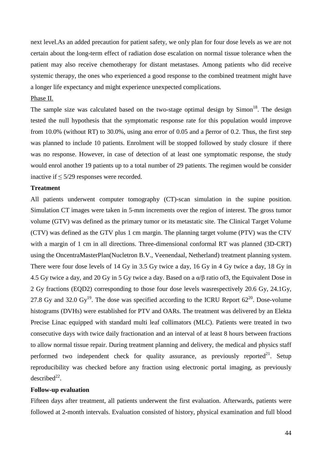next level.As an added precaution for patient safety, we only plan for four dose levels as we are not certain about the long-term effect of radiation dose escalation on normal tissue tolerance when the patient may also receive chemotherapy for distant metastases. Among patients who did receive systemic therapy, the ones who experienced a good response to the combined treatment might have a longer life expectancy and might experience unexpected complications.

#### Phase II.

The sample size was calculated based on the two-stage optimal design by  $Simon<sup>18</sup>$ . The design tested the null hypothesis that the symptomatic response rate for this population would improve from 10.0% (without RT) to 30.0%, using anα error of 0.05 and a βerror of 0.2. Thus, the first step was planned to include 10 patients. Enrolment will be stopped followed by study closure if there was no response. However, in case of detection of at least one symptomatic response, the study would enrol another 19 patients up to a total number of 29 patients. The regimen would be consider inactive if ≤ 5/29 responses were recorded.

#### **Treatment**

All patients underwent computer tomography (CT)-scan simulation in the supine position. Simulation CT images were taken in 5-mm increments over the region of interest. The gross tumor volume (GTV) was defined as the primary tumor or its metastatic site. The Clinical Target Volume (CTV) was defined as the GTV plus 1 cm margin. The planning target volume (PTV) was the CTV with a margin of 1 cm in all directions. Three-dimensional conformal RT was planned (3D-CRT) using the OncentraMasterPlan(Nucletron B.V., Veenendaal, Netherland) treatment planning system. There were four dose levels of 14 Gy in 3.5 Gy twice a day, 16 Gy in 4 Gy twice a day, 18 Gy in 4.5 Gy twice a day, and 20 Gy in 5 Gy twice a day. Based on a α/β ratio of3, the Equivalent Dose in 2 Gy fractions (EQD2) corresponding to those four dose levels wasrespectively 20.6 Gy, 24.1Gy, 27.8 Gy and 32.0 Gy<sup>19</sup>. The dose was specified according to the ICRU Report  $62^{20}$ . Dose-volume histograms (DVHs) were established for PTV and OARs. The treatment was delivered by an Elekta Precise Linac equipped with standard multi leaf collimators (MLC). Patients were treated in two consecutive days with twice daily fractionation and an interval of at least 8 hours between fractions to allow normal tissue repair. During treatment planning and delivery, the medical and physics staff performed two independent check for quality assurance, as previously reported<sup>21</sup>. Setup reproducibility was checked before any fraction using electronic portal imaging, as previously  $described<sup>22</sup>$ .

#### **Follow-up evaluation**

Fifteen days after treatment, all patients underwent the first evaluation. Afterwards, patients were followed at 2-month intervals. Evaluation consisted of history, physical examination and full blood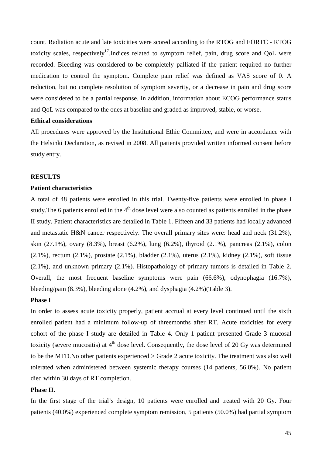count. Radiation acute and late toxicities were scored according to the RTOG and EORTC - RTOG toxicity scales, respectively<sup>17</sup>. Indices related to symptom relief, pain, drug score and OoL were recorded. Bleeding was considered to be completely palliated if the patient required no further medication to control the symptom. Complete pain relief was defined as VAS score of 0. A reduction, but no complete resolution of symptom severity, or a decrease in pain and drug score were considered to be a partial response. In addition, information about ECOG performance status and QoL was compared to the ones at baseline and graded as improved, stable, or worse.

#### **Ethical considerations**

All procedures were approved by the Institutional Ethic Committee, and were in accordance with the Helsinki Declaration, as revised in 2008. All patients provided written informed consent before study entry.

#### **RESULTS**

#### **Patient characteristics**

A total of 48 patients were enrolled in this trial. Twenty-five patients were enrolled in phase I study. The 6 patients enrolled in the  $4<sup>th</sup>$  dose level were also counted as patients enrolled in the phase II study. Patient characteristics are detailed in Table 1. Fifteen and 33 patients had locally advanced and metastatic H&N cancer respectively. The overall primary sites were: head and neck (31.2%), skin (27.1%), ovary (8.3%), breast (6.2%), lung (6.2%), thyroid (2.1%), pancreas (2.1%), colon (2.1%), rectum (2.1%), prostate (2.1%), bladder (2.1%), uterus (2.1%), kidney (2.1%), soft tissue (2.1%), and unknown primary (2.1%). Histopathology of primary tumors is detailed in Table 2. Overall, the most frequent baseline symptoms were pain (66.6%), odynophagia (16.7%), bleeding/pain (8.3%), bleeding alone (4.2%), and dysphagia (4.2%)(Table 3).

#### **Phase I**

In order to assess acute toxicity properly, patient accrual at every level continued until the sixth enrolled patient had a minimum follow-up of threemonths after RT. Acute toxicities for every cohort of the phase I study are detailed in Table 4. Only 1 patient presented Grade 3 mucosal toxicity (severe mucositis) at  $4<sup>th</sup>$  dose level. Consequently, the dose level of 20 Gy was determined to be the MTD.No other patients experienced > Grade 2 acute toxicity. The treatment was also well tolerated when administered between systemic therapy courses (14 patients, 56.0%). No patient died within 30 days of RT completion.

## **Phase II.**

In the first stage of the trial's design, 10 patients were enrolled and treated with 20 Gy. Four patients (40.0%) experienced complete symptom remission, 5 patients (50.0%) had partial symptom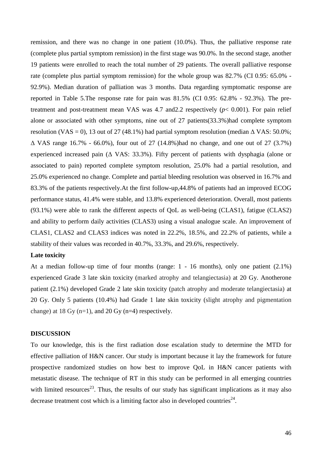remission, and there was no change in one patient (10.0%). Thus, the palliative response rate (complete plus partial symptom remission) in the first stage was 90.0%. In the second stage, another 19 patients were enrolled to reach the total number of 29 patients. The overall palliative response rate (complete plus partial symptom remission) for the whole group was 82.7% (CI 0.95: 65.0% - 92.9%). Median duration of palliation was 3 months. Data regarding symptomatic response are reported in Table 5.The response rate for pain was 81.5% (CI 0.95: 62.8% - 92.3%). The pretreatment and post-treatment mean VAS was 4.7 and2.2 respectively (*p*< 0.001). For pain relief alone or associated with other symptoms, nine out of 27 patients(33.3%)had complete symptom resolution (VAS = 0), 13 out of 27 (48.1%) had partial symptom resolution (median  $\Delta$  VAS: 50.0%; ∆ VAS range 16.7% - 66.0%), four out of 27 (14.8%)had no change, and one out of 27 (3.7%) experienced increased pain (∆ VAS: 33.3%). Fifty percent of patients with dysphagia (alone or associated to pain) reported complete symptom resolution, 25.0% had a partial resolution, and 25.0% experienced no change. Complete and partial bleeding resolution was observed in 16.7% and 83.3% of the patients respectively.At the first follow-up,44.8% of patients had an improved ECOG performance status, 41.4% were stable, and 13.8% experienced deterioration. Overall, most patients (93.1%) were able to rank the different aspects of QoL as well-being (CLAS1), fatigue (CLAS2) and ability to perform daily activities (CLAS3) using a visual analogue scale. An improvement of CLAS1, CLAS2 and CLAS3 indices was noted in 22.2%, 18.5%, and 22.2% of patients, while a stability of their values was recorded in 40.7%, 33.3%, and 29.6%, respectively.

#### **Late toxicity**

At a median follow-up time of four months (range: 1 - 16 months), only one patient (2.1%) experienced Grade 3 late skin toxicity (marked atrophy and telangiectasia) at 20 Gy. Anotherone patient (2.1%) developed Grade 2 late skin toxicity (patch atrophy and moderate telangiectasia) at 20 Gy. Only 5 patients (10.4%) had Grade 1 late skin toxicity (slight atrophy and pigmentation change) at 18 Gy  $(n=1)$ , and 20 Gy  $(n=4)$  respectively.

#### **DISCUSSION**

To our knowledge, this is the first radiation dose escalation study to determine the MTD for effective palliation of H&N cancer. Our study is important because it lay the framework for future prospective randomized studies on how best to improve QoL in H&N cancer patients with metastatic disease. The technique of RT in this study can be performed in all emerging countries with limited resources<sup>23</sup>. Thus, the results of our study has significant implications as it may also decrease treatment cost which is a limiting factor also in developed countries<sup>24</sup>.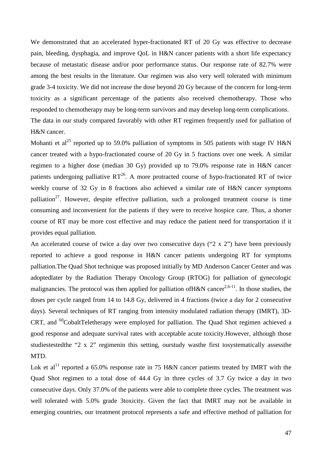We demonstrated that an accelerated hyper-fractionated RT of 20 Gy was effective to decrease pain, bleeding, dysphagia, and improve QoL in H&N cancer patients with a short life expectancy because of metastatic disease and/or poor performance status. Our response rate of 82.7% were among the best results in the literature. Our regimen was also very well tolerated with minimum grade 3-4 toxicity. We did not increase the dose beyond 20 Gy because of the concern for long-term toxicity as a significant percentage of the patients also received chemotherapy. Those who responded to chemotherapy may be long-term survivors and may develop long-term complications. The data in our study compared favorably with other RT regimen frequently used for palliation of H&N cancer.

Mohanti et al<sup>25</sup> reported up to 59.0% palliation of symptoms in 505 patients with stage IV H&N cancer treated with a hypo-fractionated course of 20 Gy in 5 fractions over one week. A similar regimen to a higher dose (median 30 Gy) provided up to 79.0% response rate in H&N cancer patients undergoing palliative  $RT^{26}$ . A more protracted course of hypo-fractionated RT of twice weekly course of 32 Gy in 8 fractions also achieved a similar rate of H&N cancer symptoms palliation<sup>27</sup>. However, despite effective palliation, such a prolonged treatment course is time consuming and inconvenient for the patients if they were to receive hospice care. Thus, a shorter course of RT may be more cost effective and may reduce the patient need for transportation if it provides equal palliation.

An accelerated course of twice a day over two consecutive days ("2 x 2") have been previously reported to achieve a good response in H&N cancer patients undergoing RT for symptoms palliation.The Quad Shot technique was proposed initially by MD Anderson Cancer Center and was adoptedlater by the Radiation Therapy Oncology Group (RTOG) for palliation of gynecologic malignancies. The protocol was then applied for palliation of H&N cancer<sup>2,6-11</sup>. In those studies, the doses per cycle ranged from 14 to 14.8 Gy, delivered in 4 fractions (twice a day for 2 consecutive days). Several techniques of RT ranging from intensity modulated radiation therapy (IMRT), 3D-CRT, and  ${}^{60}$ CobaltTeletherapy were employed for palliation. The Quad Shot regimen achieved a good response and adequate survival rates with acceptable acute toxicity.However, although those studiestestedthe "2 x 2" regimenin this setting, ourstudy wasthe first tosystematically assessthe MTD.

Lok et al<sup>11</sup> reported a 65.0% response rate in 75 H&N cancer patients treated by IMRT with the Quad Shot regimen to a total dose of 44.4 Gy in three cycles of 3.7 Gy twice a day in two consecutive days. Only 37.0% of the patients were able to complete three cycles. The treatment was well tolerated with 5.0% grade 3toxicity. Given the fact that IMRT may not be available in emerging countries, our treatment protocol represents a safe and effective method of palliation for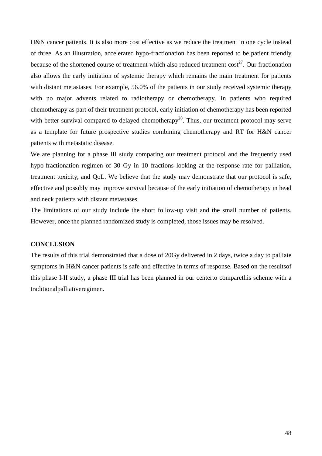H&N cancer patients. It is also more cost effective as we reduce the treatment in one cycle instead of three. As an illustration, accelerated hypo-fractionation has been reported to be patient friendly because of the shortened course of treatment which also reduced treatment  $cost^{27}$ . Our fractionation also allows the early initiation of systemic therapy which remains the main treatment for patients with distant metastases. For example, 56.0% of the patients in our study received systemic therapy with no major advents related to radiotherapy or chemotherapy. In patients who required chemotherapy as part of their treatment protocol, early initiation of chemotherapy has been reported with better survival compared to delayed chemotherapy<sup>28</sup>. Thus, our treatment protocol may serve as a template for future prospective studies combining chemotherapy and RT for H&N cancer patients with metastatic disease.

We are planning for a phase III study comparing our treatment protocol and the frequently used hypo-fractionation regimen of 30 Gy in 10 fractions looking at the response rate for palliation, treatment toxicity, and QoL. We believe that the study may demonstrate that our protocol is safe, effective and possibly may improve survival because of the early initiation of chemotherapy in head and neck patients with distant metastases.

The limitations of our study include the short follow-up visit and the small number of patients. However, once the planned randomized study is completed, those issues may be resolved.

## **CONCLUSION**

The results of this trial demonstrated that a dose of 20Gy delivered in 2 days, twice a day to palliate symptoms in H&N cancer patients is safe and effective in terms of response. Based on the resultsof this phase I-II study, a phase III trial has been planned in our centerto comparethis scheme with a traditionalpalliativeregimen.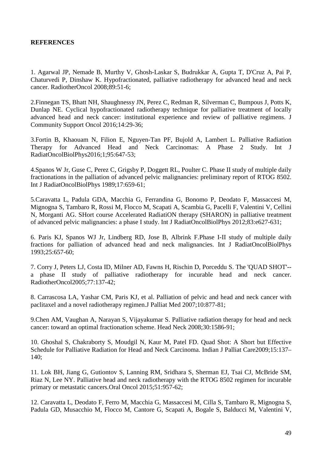## **REFERENCES**

1. Agarwal JP, Nemade B, Murthy V, Ghosh-Laskar S, Budrukkar A, Gupta T, D'Cruz A, Pai P, Chaturvedi P, Dinshaw K. Hypofractionated, palliative radiotherapy for advanced head and neck cancer. RadiotherOncol 2008;89:51-6;

2.Finnegan TS, Bhatt NH, Shaughnessy JN, Perez C, Redman R, Silverman C, Bumpous J, Potts K, Dunlap NE. Cyclical hypofractionated radiotherapy technique for palliative treatment of locally advanced head and neck cancer: institutional experience and review of palliative regimens. J Community Support Oncol 2016;14:29-36;

3.Fortin B, Khaouam N, Filion E, Nguyen-Tan PF, Bujold A, Lambert L. Palliative Radiation Therapy for Advanced Head and Neck Carcinomas: A Phase 2 Study. Int J RadiatOncolBiolPhys2016;1;95:647-53;

4.Spanos W Jr, Guse C, Perez C, Grigsby P, Doggett RL, Poulter C. Phase II study of multiple daily fractionations in the palliation of advanced pelvic malignancies: preliminary report of RTOG 8502. Int J RadiatOncolBiolPhys 1989;17:659-61;

5.Caravatta L, Padula GDA, Macchia G, Ferrandina G, Bonomo P, Deodato F, Massaccesi M, Mignogna S, Tambaro R, Rossi M, Flocco M, Scapati A, Scambia G, Pacelli F, Valentini V, Cellini N, Morganti AG. SHort course Accelerated RadiatiON therapy (SHARON) in palliative treatment of advanced pelvic malignancies: a phase I study. Int J RadiatOncolBiolPhys 2012;83:e627-631;

6. Paris KJ, Spanos WJ Jr, Lindberg RD, Jose B, Albrink F.Phase I-II study of multiple daily fractions for palliation of advanced head and neck malignancies. Int J RadiatOncolBiolPhys 1993;25:657-60;

7. Corry J, Peters LJ, Costa ID, Milner AD, Fawns H, Rischin D, Porceddu S. The 'QUAD SHOT'- a phase II study of palliative radiotherapy for incurable head and neck cancer. RadiotherOncol2005;77:137-42;

8. Carrascosa LA, Yashar CM, Paris KJ, et al. Palliation of pelvic and head and neck cancer with paclitaxel and a novel radiotherapy regimen.J Palliat Med 2007;10:877-81;

9.Chen AM, Vaughan A, Narayan S, Vijayakumar S. Palliative radiation therapy for head and neck cancer: toward an optimal fractionation scheme. Head Neck 2008;30:1586-91;

10. Ghoshal S, Chakraborty S, Moudgil N, Kaur M, Patel FD. Quad Shot: A Short but Effective Schedule for Palliative Radiation for Head and Neck Carcinoma. Indian J Palliat Care2009;15:137– 140;

11. Lok BH, Jiang G, Gutiontov S, Lanning RM, Sridhara S, Sherman EJ, Tsai CJ, McBride SM, Riaz N, Lee NY. Palliative head and neck radiotherapy with the RTOG 8502 regimen for incurable primary or metastatic cancers.Oral Oncol 2015;51:957-62;

12. Caravatta L, Deodato F, Ferro M, Macchia G, Massaccesi M, Cilla S, Tambaro R, Mignogna S, Padula GD, Musacchio M, Flocco M, Cantore G, Scapati A, Bogale S, Balducci M, Valentini V,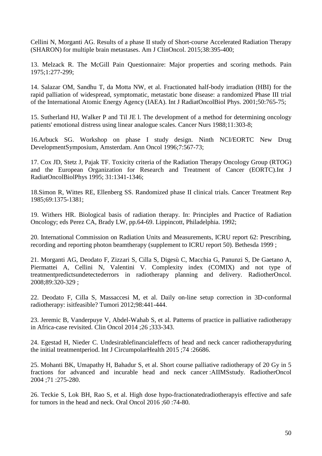Cellini N, Morganti AG. Results of a phase II study of Short-course Accelerated Radiation Therapy (SHARON) for multiple brain metastases. Am J ClinOncol. 2015;38:395-400;

13. Melzack R. The McGill Pain Questionnaire: Major properties and scoring methods. Pain 1975;1:277-299;

14. Salazar OM, Sandhu T, da Motta NW, et al. Fractionated half-body irradiation (HBI) for the rapid palliation of widespread, symptomatic, metastatic bone disease: a randomized Phase III trial of the International Atomic Energy Agency (IAEA). Int J RadiatOncolBiol Phys. 2001;50:765-75;

15. Sutherland HJ, Walker P and Til JE l. The development of a method for determining oncology patients' emotional distress using linear analogue scales. Cancer Nurs 1988;11:303-8;

16.Arbuck SG. Workshop on phase I study design. Ninth NCI/EORTC New Drug DevelopmentSymposium, Amsterdam. Ann Oncol 1996;7:567-73;

17. Cox JD, Stetz J, Pajak TF. Toxicity criteria of the Radiation Therapy Oncology Group (RTOG) and the European Organization for Research and Treatment of Cancer (EORTC).Int J RadiatOncolBiolPhys 1995; 31:1341-1346;

18.Simon R, Wittes RE, Ellenberg SS. Randomized phase II clinical trials. Cancer Treatment Rep 1985;69:1375-1381;

19. Withers HR. Biological basis of radiation therapy. In: Principles and Practice of Radiation Oncology; eds Perez CA, Brady LW, pp.64-69. Lippincott, Philadelphia. 1992;

20. International Commission on Radiation Units and Measurements, ICRU report 62: Prescribing, recording and reporting photon beamtherapy (supplement to ICRU report 50). Bethesda 1999 ;

21. Morganti AG, Deodato F, Zizzari S, Cilla S, Digesù C, Macchia G, Panunzi S, De Gaetano A, Piermattei A, Cellini N, Valentini V. Complexity index (COMIX) and not type of treatmentpredictsundetectederrors in radiotherapy planning and delivery. RadiotherOncol. 2008;89:320-329 ;

22. Deodato F, Cilla S, Massaccesi M, et al. Daily on-line setup correction in 3D-conformal radiotherapy: isitfeasible? Tumori 2012;98:441-444.

23. Jeremic B, Vanderpuye V, Abdel-Wahab S, et al. Patterns of practice in palliative radiotherapy in Africa-case revisited. Clin Oncol 2014 ;26 ;333-343.

24. Egestad H, Nieder C. Undesirablefinancialeffects of head and neck cancer radiotherapyduring the initial treatmentperiod. Int J CircumpolarHealth 2015 ;74 :26686.

25. Mohanti BK, Umapathy H, Bahadur S, et al. Short course palliative radiotherapy of 20 Gy in 5 fractions for advanced and incurable head and neck cancer :AIIMSstudy. RadiotherOncol 2004 ;71 :275-280.

26. Teckie S, Lok BH, Rao S, et al. High dose hypo-fractionatedradiotherapyis effective and safe for tumors in the head and neck. Oral Oncol 2016 ;60 :74-80.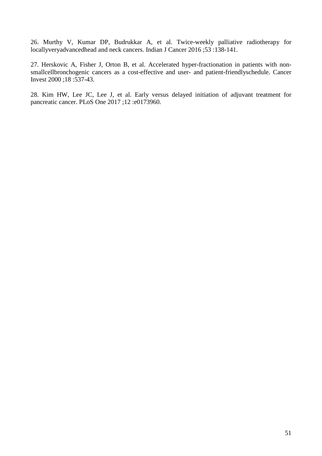26. Murthy V, Kumar DP, Budrukkar A, et al. Twice-weekly palliative radiotherapy for locallyveryadvancedhead and neck cancers. Indian J Cancer 2016 ;53 :138-141.

27. Herskovic A, Fisher J, Orton B, et al. Accelerated hyper-fractionation in patients with nonsmallcellbronchogenic cancers as a cost-effective and user- and patient-friendlyschedule. Cancer Invest 2000 ;18 :537-43.

28. Kim HW, Lee JC, Lee J, et al. Early versus delayed initiation of adjuvant treatment for pancreatic cancer. PLoS One 2017 ;12 :e0173960.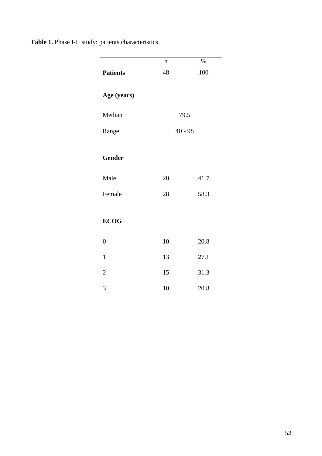**Table 1.** Phase I-II study: patients characteristics.

|                 | $\mathbf n$ | $\%$      |
|-----------------|-------------|-----------|
| <b>Patients</b> | 48          | 100       |
| Age (years)     |             |           |
| Median          |             | 79.5      |
| Range           |             | $40 - 98$ |
| <b>Gender</b>   |             |           |
| Male            | 20          | 41.7      |
| Female          | 28          | 58.3      |
| <b>ECOG</b>     |             |           |
| $\overline{0}$  | 10          | 20.8      |
| $\mathbf{1}$    | 13          | 27.1      |
| $\overline{2}$  | 15          | 31.3      |
| 3               | 10          | 20.8      |
|                 |             |           |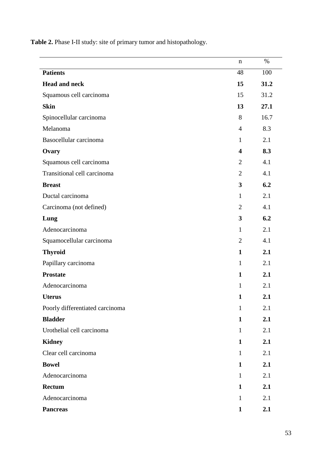**Table 2.** Phase I-II study: site of primary tumor and histopathology.

|                                 | n                       | $\%$ |
|---------------------------------|-------------------------|------|
| <b>Patients</b>                 | 48                      | 100  |
| <b>Head and neck</b>            | 15                      | 31.2 |
| Squamous cell carcinoma         | 15                      | 31.2 |
| <b>Skin</b>                     | 13                      | 27.1 |
| Spinocellular carcinoma         | 8                       | 16.7 |
| Melanoma                        | $\overline{4}$          | 8.3  |
| Basocellular carcinoma          | $\mathbf{1}$            | 2.1  |
| Ovary                           | $\overline{\mathbf{4}}$ | 8.3  |
| Squamous cell carcinoma         | $\overline{2}$          | 4.1  |
| Transitional cell carcinoma     | $\overline{2}$          | 4.1  |
| <b>Breast</b>                   | 3                       | 6.2  |
| Ductal carcinoma                | $\mathbf{1}$            | 2.1  |
| Carcinoma (not defined)         | $\overline{2}$          | 4.1  |
| Lung                            | 3                       | 6.2  |
| Adenocarcinoma                  | $\mathbf{1}$            | 2.1  |
| Squamocellular carcinoma        | $\overline{2}$          | 4.1  |
| <b>Thyroid</b>                  | $\mathbf{1}$            | 2.1  |
| Papillary carcinoma             | $\mathbf{1}$            | 2.1  |
| <b>Prostate</b>                 | $\mathbf{1}$            | 2.1  |
| Adenocarcinoma                  | $\mathbf{1}$            | 2.1  |
| <b>Uterus</b>                   | 1                       | 2.1  |
| Poorly differentiated carcinoma | $\mathbf{1}$            | 2.1  |
| <b>Bladder</b>                  | $\mathbf{1}$            | 2.1  |
| Urothelial cell carcinoma       | $\mathbf{1}$            | 2.1  |
| <b>Kidney</b>                   | $\mathbf{1}$            | 2.1  |
| Clear cell carcinoma            | $\mathbf{1}$            | 2.1  |
| <b>Bowel</b>                    | $\mathbf{1}$            | 2.1  |
| Adenocarcinoma                  | $\mathbf{1}$            | 2.1  |
| <b>Rectum</b>                   | $\mathbf{1}$            | 2.1  |
| Adenocarcinoma                  | $\mathbf{1}$            | 2.1  |
| <b>Pancreas</b>                 | $\mathbf{1}$            | 2.1  |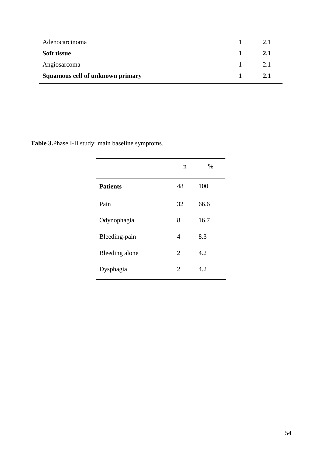| Angiosarcoma<br>Squamous cell of unknown primary | 2.1<br>2.1 |
|--------------------------------------------------|------------|
| Soft tissue                                      | 2.1        |
| Adenocarcinoma                                   | 2.1        |

**Table 3.**Phase I-II study: main baseline symptoms.

|                 | n                           | $\%$ |
|-----------------|-----------------------------|------|
| <b>Patients</b> | 48                          | 100  |
| Pain            | 32                          | 66.6 |
| Odynophagia     | 8                           | 16.7 |
| Bleeding-pain   | 4                           | 8.3  |
| Bleeding alone  | 2                           | 4.2  |
| Dysphagia       | $\mathcal{D}_{\mathcal{L}}$ | 4.2  |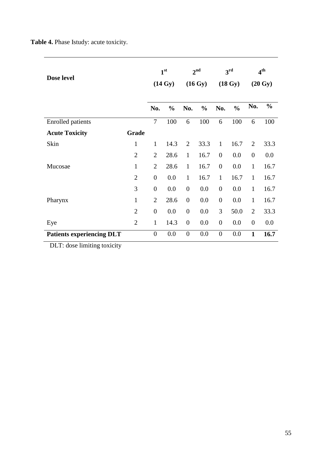**Table 4.** Phase Istudy: acute toxicity.

| Dose level                       |                | 1 <sup>st</sup><br>$(14 \text{ Gy})$ |               | 2 <sup>nd</sup><br>$(16 \text{ Gy})$ |               | 3 <sup>rd</sup><br>$(18 \text{ Gy})$ |               | 4 <sup>th</sup><br>$(20 \text{ Gy})$ |               |
|----------------------------------|----------------|--------------------------------------|---------------|--------------------------------------|---------------|--------------------------------------|---------------|--------------------------------------|---------------|
|                                  |                | No.                                  | $\frac{0}{0}$ | No.                                  | $\frac{0}{0}$ | No.                                  | $\frac{0}{0}$ | No.                                  | $\frac{0}{0}$ |
| <b>Enrolled</b> patients         |                | $\overline{7}$                       | 100           | 6                                    | 100           | 6                                    | 100           | 6                                    | 100           |
| <b>Acute Toxicity</b>            | Grade          |                                      |               |                                      |               |                                      |               |                                      |               |
| Skin                             | $\mathbf{1}$   | $\mathbf{1}$                         | 14.3          | $\overline{2}$                       | 33.3          | $\mathbf{1}$                         | 16.7          | $\overline{2}$                       | 33.3          |
|                                  | $\overline{2}$ | $\overline{2}$                       | 28.6          | $\mathbf{1}$                         | 16.7          | $\overline{0}$                       | 0.0           | $\overline{0}$                       | 0.0           |
| Mucosae                          | $\mathbf{1}$   | $\overline{2}$                       | 28.6          | $\mathbf{1}$                         | 16.7          | $\overline{0}$                       | 0.0           | $\mathbf{1}$                         | 16.7          |
|                                  | $\overline{2}$ | $\boldsymbol{0}$                     | 0.0           | $\mathbf{1}$                         | 16.7          | $\mathbf{1}$                         | 16.7          | $\mathbf{1}$                         | 16.7          |
|                                  | 3              | $\overline{0}$                       | 0.0           | $\overline{0}$                       | 0.0           | $\boldsymbol{0}$                     | 0.0           | $\mathbf{1}$                         | 16.7          |
| Pharynx                          | $\mathbf{1}$   | $\overline{2}$                       | 28.6          | $\overline{0}$                       | 0.0           | $\boldsymbol{0}$                     | 0.0           | $\mathbf{1}$                         | 16.7          |
|                                  | $\overline{2}$ | $\boldsymbol{0}$                     | 0.0           | $\overline{0}$                       | 0.0           | 3                                    | 50.0          | $\overline{2}$                       | 33.3          |
| Eye                              | $\overline{2}$ | $\mathbf{1}$                         | 14.3          | $\overline{0}$                       | 0.0           | $\boldsymbol{0}$                     | 0.0           | $\overline{0}$                       | 0.0           |
| <b>Patients experiencing DLT</b> |                | $\boldsymbol{0}$                     | 0.0           | $\boldsymbol{0}$                     | 0.0           | $\boldsymbol{0}$                     | 0.0           | $\mathbf{1}$                         | 16.7          |

DLT: dose limiting toxicity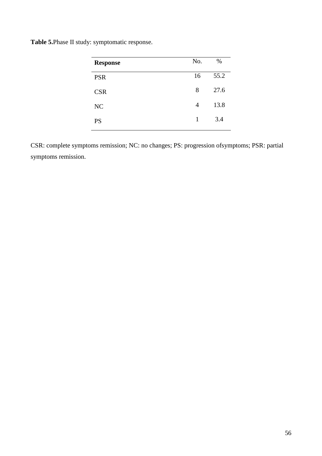**Table 5.**Phase II study: symptomatic response.

| <b>Response</b> | No. | $\%$ |
|-----------------|-----|------|
| <b>PSR</b>      | 16  | 55.2 |
| <b>CSR</b>      | 8   | 27.6 |
| NC              | 4   | 13.8 |
| <b>PS</b>       | 1   | 3.4  |

CSR: complete symptoms remission; NC: no changes; PS: progression ofsymptoms; PSR: partial symptoms remission.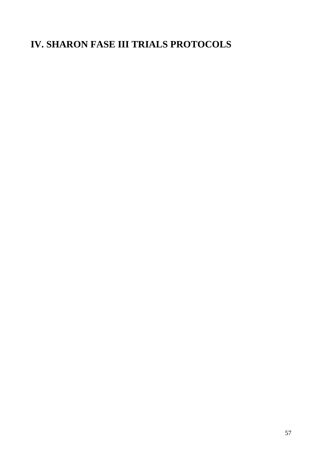# **IV. SHARON FASE III TRIALS PROTOCOLS**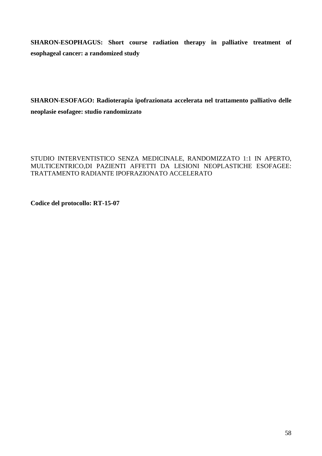**SHARON-ESOPHAGUS: Short course radiation therapy in palliative treatment of esophageal cancer: a randomized study**

**SHARON-ESOFAGO: Radioterapia ipofrazionata accelerata nel trattamento palliativo delle neoplasie esofagee: studio randomizzato**

## STUDIO INTERVENTISTICO SENZA MEDICINALE, RANDOMIZZATO 1:1 IN APERTO, MULTICENTRICO,DI PAZIENTI AFFETTI DA LESIONI NEOPLASTICHE ESOFAGEE: TRATTAMENTO RADIANTE IPOFRAZIONATO ACCELERATO

**Codice del protocollo: RT-15-07**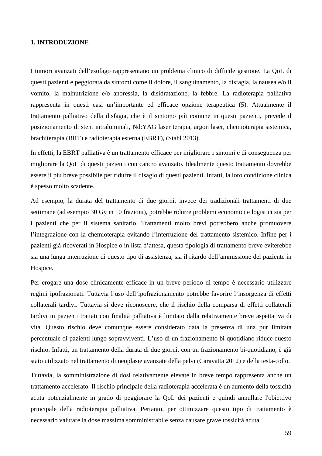## **1. INTRODUZIONE**

I tumori avanzati dell'esofago rappresentano un problema clinico di difficile gestione. La QoL di questi pazienti è peggiorata da sintomi come il dolore, il sanguinamento, la disfagia, la nausea e/o il vomito, la malnutrizione e/o anoressia, la disidratazione, la febbre. La radioterapia palliativa rappresenta in questi casi un'importante ed efficace opzione terapeutica (5). Attualmente il trattamento palliativo della disfagia, che è il sintomo più comune in questi pazienti, prevede il posizionamento di stent intraluminali, Nd:YAG laser terapia, argon laser, chemioterapia sistemica, brachiterapia (BRT) e radioterapia esterna (EBRT), (Stahl 2013).

In effetti, la EBRT palliativa è un trattamento efficace per migliorare i sintomi e di conseguenza per migliorare la QoL di questi pazienti con cancro avanzato. Idealmente questo trattamento dovrebbe essere il più breve possibile per ridurre il disagio di questi pazienti. Infatti, la loro condizione clinica è spesso molto scadente.

Ad esempio, la durata del trattamento di due giorni, invece dei tradizionali trattamenti di due settimane (ad esempio 30 Gy in 10 frazioni), potrebbe ridurre problemi economici e logistici sia per i pazienti che per il sistema sanitario. Trattamenti molto brevi potrebbero anche promuovere l'integrazione con la chemioterapia evitando l'interruzione del trattamento sistemico. Infine per i pazienti già ricoverati in Hospice o in lista d'attesa, questa tipologia di trattamento breve eviterebbe sia una lunga interruzione di questo tipo di assistenza, sia il ritardo dell'ammissione del paziente in Hospice.

Per erogare una dose clinicamente efficace in un breve periodo di tempo è necessario utilizzare regimi ipofrazionati. Tuttavia l'uso dell'ipofrazionamento potrebbe favorire l'insorgenza di effetti collaterali tardivi. Tuttavia si deve riconoscere, che il rischio della comparsa di effetti collaterali tardivi in pazienti trattati con finalità palliativa è limitato dalla relativamente breve aspettativa di vita. Questo rischio deve comunque essere considerato data la presenza di una pur limitata percentuale di pazienti lungo sopravviventi. L'uso di un frazionamento bi-quotidiano riduce questo rischio. Infatti, un trattamento della durata di due giorni, con un frazionamento bi-quotidiano, è già stato utilizzato nel trattamento di neoplasie avanzate della pelvi (Caravatta 2012) e della testa-collo.

Tuttavia, la somministrazione di dosi relativamente elevate in breve tempo rappresenta anche un trattamento accelerato. Il rischio principale della radioterapia accelerata è un aumento della tossicità acuta potenzialmente in grado di peggiorare la QoL dei pazienti e quindi annullare l'obiettivo principale della radioterapia palliativa. Pertanto, per ottimizzare questo tipo di trattamento è necessario valutare la dose massima somministrabile senza causare grave tossicità acuta.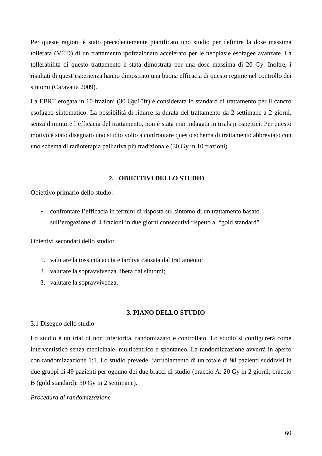Per queste ragioni è stato precedentemente pianificato uno studio per definire la dose massima tollerata (MTD) di un trattamento ipofrazionato accelerato per le neoplasie esofagee avanzate. La tollerabilità di questo trattamento è stata dimostrata per una dose massima di 20 Gy. Inoltre, i risultati di quest'esperienza hanno dimostrato una buona efficacia di questo regime nel controllo dei sintomi (Caravatta 2009).

La EBRT erogata in 10 frazioni (30 Gy/10fr) è considerata lo standard di trattamento per il cancro esofageo sintomatico. La possibilità di ridurre la durata del trattamento da 2 settimane a 2 giorni, senza diminuire l'efficacia del trattamento, non è stata mai indagata in trials prospettici. Per questo motivo è stato disegnato uno studio volto a confrontare questo schema di trattamento abbreviato con uno schema di radioterapia palliativa più tradizionale (30 Gy in 10 frazioni).

#### **2. OBIETTIVI DELLO STUDIO**

Obiettivo primario dello studio:

• confrontare l'efficacia in termini di risposta sul sintomo di un trattamento basato sull'erogazione di 4 frazioni in due giorni consecutivi rispetto al "gold standard" .

Obiettivi secondari dello studio:

- 1. valutare la tossicità acuta e tardiva causata dal trattamento;
- 2. valutare la sopravvivenza libera dai sintomi;
- 3. valutare la sopravvivenza.

#### **3. PIANO DELLO STUDIO**

#### 3.1 Disegno dello studio

Lo studio è un trial di non inferiorità, randomizzato e controllato. Lo studio si configurerà come interventistico senza medicinale, multicentrico e spontaneo. La randomizzazione avverrà in aperto con randomizzazione 1:1. Lo studio prevede l'arruolamento di un totale di 98 pazienti suddivisi in due gruppi di 49 pazienti per ognuno dei due bracci di studio (braccio A: 20 Gy in 2 giorni; braccio B (gold standard): 30 Gy in 2 settimane).

#### *Procedura di randomizzazione*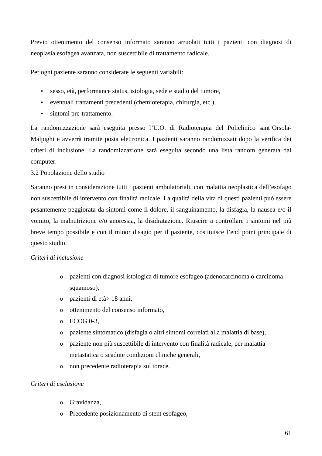Previo ottenimento del consenso informato saranno arruolati tutti i pazienti con diagnosi di neoplasia esofagea avanzata, non suscettibile di trattamento radicale.

Per ogni paziente saranno considerate le seguenti variabili:

- sesso, età, performance status, istologia, sede e stadio del tumore,
- eventuali trattamenti precedenti (chemioterapia, chirurgia, etc.),
- sintomi pre-trattamento.

La randomizzazione sarà eseguita presso l'U.O. di Radioterapia del Policlinico sant'Orsola-Malpighi e avverrà tramite posta elettronica. I pazienti saranno randomizzati dopo la verifica dei criteri di inclusione. La randomizzazione sarà eseguita secondo una lista random generata dal computer.

## 3.2 Popolazione dello studio

Saranno presi in considerazione tutti i pazienti ambulatoriali, con malattia neoplastica dell'esofago non suscettibile di intervento con finalità radicale. La qualità della vita di questi pazienti può essere pesantemente peggiorata da sintomi come il dolore, il sanguinamento, la disfagia, la nausea e/o il vomito, la malnutrizione e/o anoressia, la disidratazione. Riuscire a controllare i sintomi nel più breve tempo possibile e con il minor disagio per il paziente, costituisce l'end point principale di questo studio.

## *Criteri di inclusione*

- o pazienti con diagnosi istologica di tumore esofageo (adenocarcinoma o carcinoma squamoso).
- o pazienti di età> 18 anni,
- o ottenimento del consenso informato,
- $\circ$  ECOG 0-3.
- o paziente sintomatico (disfagia o altri sintomi correlati alla malattia di base),
- o paziente non più suscettibile di intervento con finalità radicale, per malattia metastatica o scadute condizioni cliniche generali,
- o non precedente radioterapia sul torace.

## *Criteri di esclusione*

- o Gravidanza,
- o Precedente posizionamento di stent esofageo,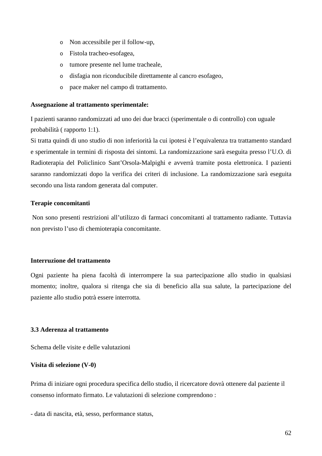- o Non accessibile per il follow-up,
- o Fistola tracheo-esofagea,
- o tumore presente nel lume tracheale,
- o disfagia non riconducibile direttamente al cancro esofageo,
- o pace maker nel campo di trattamento.

#### **Assegnazione al trattamento sperimentale:**

I pazienti saranno randomizzati ad uno dei due bracci (sperimentale o di controllo) con uguale probabilità ( rapporto 1:1).

Si tratta quindi di uno studio di non inferiorità la cui ipotesi è l'equivalenza tra trattamento standard e sperimentale in termini di risposta dei sintomi. La randomizzazione sarà eseguita presso l'U.O. di Radioterapia del Policlinico Sant'Orsola-Malpighi e avverrà tramite posta elettronica. I pazienti saranno randomizzati dopo la verifica dei criteri di inclusione. La randomizzazione sarà eseguita secondo una lista random generata dal computer.

#### **Terapie concomitanti**

 Non sono presenti restrizioni all'utilizzo di farmaci concomitanti al trattamento radiante. Tuttavia non previsto l'uso di chemioterapia concomitante.

#### **Interruzione del trattamento**

Ogni paziente ha piena facoltà di interrompere la sua partecipazione allo studio in qualsiasi momento; inoltre, qualora si ritenga che sia di beneficio alla sua salute, la partecipazione del paziente allo studio potrà essere interrotta.

## **3.3 Aderenza al trattamento**

Schema delle visite e delle valutazioni

#### **Visita di selezione (V-0)**

Prima di iniziare ogni procedura specifica dello studio, il ricercatore dovrà ottenere dal paziente il consenso informato firmato. Le valutazioni di selezione comprendono :

- data di nascita, età, sesso, performance status,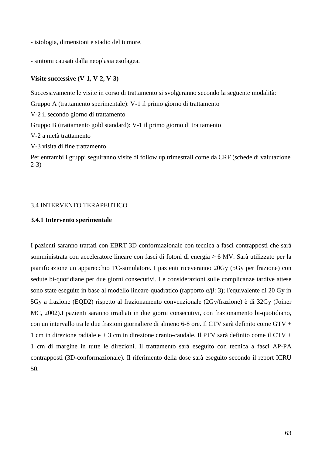- istologia, dimensioni e stadio del tumore,

- sintomi causati dalla neoplasia esofagea.

#### **Visite successive (V-1, V-2, V-3)**

Successivamente le visite in corso di trattamento si svolgeranno secondo la seguente modalità: Gruppo A (trattamento sperimentale): V-1 il primo giorno di trattamento V-2 il secondo giorno di trattamento Gruppo B (trattamento gold standard): V-1 il primo giorno di trattamento V-2 a metà trattamento V-3 visita di fine trattamento Per entrambi i gruppi seguiranno visite di follow up trimestrali come da CRF (schede di valutazione 2-3)

#### 3.4 INTERVENTO TERAPEUTICO

#### **3.4.1 Intervento sperimentale**

I pazienti saranno trattati con EBRT 3D conformazionale con tecnica a fasci contrapposti che sarà somministrata con acceleratore lineare con fasci di fotoni di energia ≥ 6 MV. Sarà utilizzato per la pianificazione un apparecchio TC-simulatore. I pazienti riceveranno 20Gy (5Gy per frazione) con sedute bi-quotidiane per due giorni consecutivi. Le considerazioni sulle complicanze tardive attese sono state eseguite in base al modello lineare-quadratico (rapporto  $\alpha/\beta$ : 3); l'equivalente di 20 Gy in 5Gy a frazione (EQD2) rispetto al frazionamento convenzionale (2Gy/frazione) è di 32Gy (Joiner MC, 2002).I pazienti saranno irradiati in due giorni consecutivi, con frazionamento bi-quotidiano, con un intervallo tra le due frazioni giornaliere di almeno 6-8 ore. Il CTV sarà definito come GTV + 1 cm in direzione radiale e + 3 cm in direzione cranio-caudale. Il PTV sarà definito come il CTV + 1 cm di margine in tutte le direzioni. Il trattamento sarà eseguito con tecnica a fasci AP-PA contrapposti (3D-conformazionale). Il riferimento della dose sarà eseguito secondo il report ICRU 50.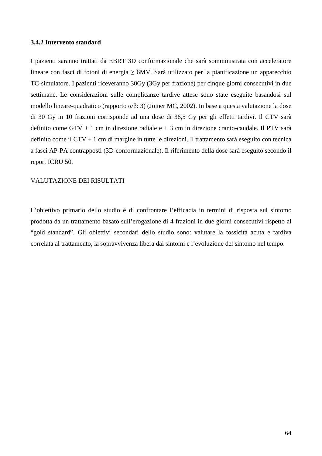#### **3.4.2 Intervento standard**

I pazienti saranno trattati da EBRT 3D conformazionale che sarà somministrata con acceleratore lineare con fasci di fotoni di energia ≥ 6MV. Sarà utilizzato per la pianificazione un apparecchio TC-simulatore. I pazienti riceveranno 30Gy (3Gy per frazione) per cinque giorni consecutivi in due settimane. Le considerazioni sulle complicanze tardive attese sono state eseguite basandosi sul modello lineare-quadratico (rapporto α/β: 3) (Joiner MC, 2002). In base a questa valutazione la dose di 30 Gy in 10 frazioni corrisponde ad una dose di 36,5 Gy per gli effetti tardivi. Il CTV sarà definito come  $GTV + 1$  cm in direzione radiale  $e + 3$  cm in direzione cranio-caudale. Il PTV sarà definito come il CTV + 1 cm di margine in tutte le direzioni. Il trattamento sarà eseguito con tecnica a fasci AP-PA contrapposti (3D-conformazionale). Il riferimento della dose sarà eseguito secondo il report ICRU 50.

#### VALUTAZIONE DEI RISULTATI

L'obiettivo primario dello studio è di confrontare l'efficacia in termini di risposta sul sintomo prodotta da un trattamento basato sull'erogazione di 4 frazioni in due giorni consecutivi rispetto al "gold standard". Gli obiettivi secondari dello studio sono: valutare la tossicità acuta e tardiva correlata al trattamento, la sopravvivenza libera dai sintomi e l'evoluzione del sintomo nel tempo.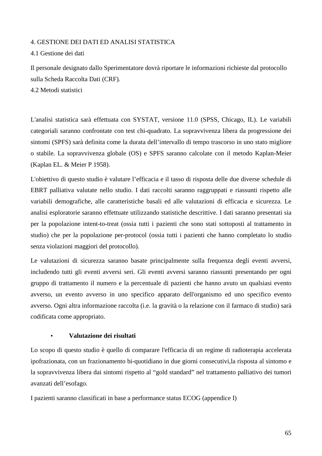## 4. GESTIONE DEI DATI ED ANALISI STATISTICA

#### 4.1 Gestione dei dati

Il personale designato dallo Sperimentatore dovrà riportare le informazioni richieste dal protocollo sulla Scheda Raccolta Dati (CRF)*.* 

4.2 Metodi statistici

L'analisi statistica sarà effettuata con SYSTAT, versione 11.0 (SPSS, Chicago, IL). Le variabili categoriali saranno confrontate con test chi-quadrato. La sopravvivenza libera da progressione dei sintomi (SPFS) sarà definita come la durata dell'intervallo di tempo trascorso in uno stato migliore o stabile. La sopravvivenza globale (OS) e SPFS saranno calcolate con il metodo Kaplan-Meier (Kaplan EL. & Meier P 1958).

L'obiettivo di questo studio è valutare l'efficacia e il tasso di risposta delle due diverse schedule di EBRT palliativa valutate nello studio. I dati raccolti saranno raggruppati e riassunti rispetto alle variabili demografiche, alle caratteristiche basali ed alle valutazioni di efficacia e sicurezza. Le analisi esploratorie saranno effettuate utilizzando statistiche descrittive. I dati saranno presentati sia per la popolazione intent-to-treat (ossia tutti i pazienti che sono stati sottoposti al trattamento in studio) che per la popolazione per-protocol (ossia tutti i pazienti che hanno completato lo studio senza violazioni maggiori del protocollo).

Le valutazioni di sicurezza saranno basate principalmente sulla frequenza degli eventi avversi, includendo tutti gli eventi avversi seri. Gli eventi avversi saranno riassunti presentando per ogni gruppo di trattamento il numero e la percentuale di pazienti che hanno avuto un qualsiasi evento avverso, un evento avverso in uno specifico apparato dell'organismo ed uno specifico evento avverso. Ogni altra informazione raccolta (i.e. la gravità o la relazione con il farmaco di studio) sarà codificata come appropriato.

#### • **Valutazione dei risultati**

Lo scopo di questo studio è quello di comparare l'efficacia di un regime di radioterapia accelerata ipofrazionata, con un frazionamento bi-quotidiano in due giorni consecutivi,la risposta al sintomo e la sopravvivenza libera dai sintomi rispetto al "gold standard" nel trattamento palliativo dei tumori avanzati dell'esofago.

I pazienti saranno classificati in base a performance status ECOG (appendice I)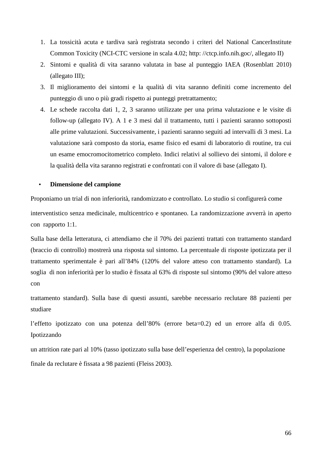- 1. La tossicità acuta e tardiva sarà registrata secondo i criteri del National CancerInstitute Common Toxicity (NCI-CTC versione in scala 4.02; http: //ctcp.info.nih.goc/, allegato II)
- 2. Sintomi e qualità di vita saranno valutata in base al punteggio IAEA (Rosenblatt 2010) (allegato III);
- 3. Il miglioramento dei sintomi e la qualità di vita saranno definiti come incremento del punteggio di uno o più gradi rispetto ai punteggi pretrattamento;
- 4. Le schede raccolta dati 1, 2, 3 saranno utilizzate per una prima valutazione e le visite di follow-up (allegato IV). A 1 e 3 mesi dal il trattamento, tutti i pazienti saranno sottoposti alle prime valutazioni. Successivamente, i pazienti saranno seguiti ad intervalli di 3 mesi. La valutazione sarà composto da storia, esame fisico ed esami di laboratorio di routine, tra cui un esame emocromocitometrico completo. Indici relativi al sollievo dei sintomi, il dolore e la qualità della vita saranno registrati e confrontati con il valore di base (allegato I).

## • **Dimensione del campione**

Proponiamo un trial di non inferiorità, randomizzato e controllato. Lo studio si configurerà come interventistico senza medicinale, multicentrico e spontaneo. La randomizzazione avverrà in aperto con rapporto 1:1.

Sulla base della letteratura, ci attendiamo che il 70% dei pazienti trattati con trattamento standard (braccio di controllo) mostrerà una risposta sul sintomo. La percentuale di risposte ipotizzata per il trattamento sperimentale è pari all'84% (120% del valore atteso con trattamento standard). La soglia di non inferiorità per lo studio è fissata al 63% di risposte sul sintomo (90% del valore atteso con

trattamento standard). Sulla base di questi assunti, sarebbe necessario reclutare 88 pazienti per studiare

l'effetto ipotizzato con una potenza dell'80% (errore beta=0.2) ed un errore alfa di 0.05. Ipotizzando

un attrition rate pari al 10% (tasso ipotizzato sulla base dell'esperienza del centro), la popolazione finale da reclutare è fissata a 98 pazienti (Fleiss 2003).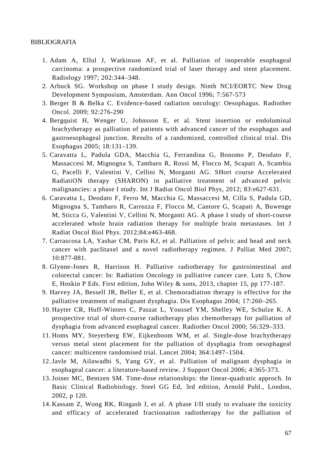#### BIBLIOGRAFIA

- 1. Adam A, Ellul J, Watkinson AF, et al. Palliation of inoperable esophageal carcinoma: a prospective randomized trial of laser therapy and stent placement. Radiology 1997; 202:344–348.
- 2. Arbuck SG. Workshop on phase I study design. Ninth NCI/EORTC New Drug Development Symposium, Amsterdam. Ann Oncol 1996; 7:567-573
- 3. Berger B & Belka C. Evidence-based radiation oncology: Oesophagus. Radiother Oncol. 2009; 92:276-290
- 4. Bergquist H, Wenger U, Johnsson E, et al. Stent insertion or endoluminal brachytherapy as palliation of patients with advanced cancer of the esophagus and gastroesophageal junction. Results of a randomized, controlled clinical trial. Dis Esophagus 2005; 18:131–139.
- 5. Caravatta L, Padula GDA, Macchia G, Ferrandina G, Bonomo P, Deodato F, Massaccesi M, Mignogna S, Tambaro R, Rossi M, Flocco M, Scapati A, Scambia G, Pacelli F, Valentini V, Cellini N, Morganti AG. SHort course Accelerated RadiatiON therapy (SHARON) in palliative treatment of advanced pelvic malignancies: a phase I study. Int J Radiat Oncol Biol Phys, 2012; 83:e627-631.
- 6. Caravatta L, Deodato F, Ferro M, Macchia G, Massaccesi M, Cilla S, Padula GD, Mignogna S, Tambaro R, Carrozza F, Flocco M, Cantore G, Scapati A, Buwenge M, Sticca G, Valentini V, Cellini N, Morganti AG. A phase I study of short-course accelerated whole brain radiation therapy for multiple brain metastases. Int J Radiat Oncol Biol Phys. 2012;84:e463-468.
- 7. Carrascosa LA, Yashar CM, Paris KJ, et al. Palliation of pelvic and head and neck cancer with paclitaxel and a novel radiotherapy regimen. J Palliat Med 2007; 10:877-881.
- 8. Glynne-Jones R, Harrison H. Palliative radiotherapy for gastrointestinal and colorectal cancer: In: Radiation Oncology in palliative cancer care. Lutz S, Chow E, Hoskin P Eds. First edition, John Wiley & sons, 2013, chapter 15, pp 177-187.
- 9. Harvey JA, Bessell JR, Beller E, et al. Chemoradiation therapy is effective for the palliative treatment of malignant dysphagia. Dis Esophagus 2004; 17:260–265.
- 10. Hayter CR, Huff-Winters C, Paszat L, Youssef YM, Shelley WE, Schulze K. A prospective trial of short-course radiotherapy plus chemotherapy for palliation of dysphagia from advanced esophageal cancer. Radiother Oncol 2000; 56:329–333.
- 11. Homs MY, Steyerberg EW, Eijkenboom WM, et al. Single-dose brachytherapy versus metal stent placement for the palliation of dysphagia from oesophageal cancer: multicentre randomised trial. Lancet 2004; 364:1497–1504.
- 12.Javle M, Ailawadhi S, Yang GY, et al. Palliation of malignant dysphagia in esophageal cancer: a literature-based review. J Support Oncol 2006; 4:365-373.
- 13.Joiner MC, Bentzen SM. Time-dose relationships: the linear-quadratic approch. In Basic Clinical Radiobiology. Steel GG Ed, 3rd edition, Arnold Publ., London, 2002, p 120.
- 14. Kassam Z, Wong RK, Ringash J, et al. A phase I/II study to evaluate the toxicity and efficacy of accelerated fractionation radiotherapy for the palliation of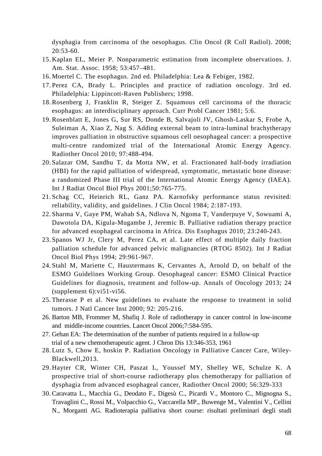dysphagia from carcinoma of the oesophagus. Clin Oncol (R Coll Radiol). 2008; 20:53-60.

- 15. Kaplan EL, Meier P. Nonparametric estimation from incomplete observations. J. Am. Stat. Assoc. 1958; 53:457–481.
- 16. Moertel C. The esophagus. 2nd ed. Philadelphia: Lea & Febiger, 1982.
- 17. Perez CA, Brady L. Principles and practice of radiation oncology. 3rd ed. Philadelphia: Lippincott-Raven Publishers; 1998.
- 18. Rosenberg J, Franklin R, Steiger Z. Squamous cell carcinoma of the thoracic esophagus: an interdisciplinary approach. Curr Probl Cancer 1981; 5:6.
- 19. Rosenblatt E, Jones G, Sur RS, Donde B, Salvajoli JV, Ghosh-Laskar S, Frobe A, Suleiman A, Xiao Z, Nag S. Adding external beam to intra-luminal brachytherapy improves palliation in obstructive squamous cell oesophageal cancer: a prospective multi-centre randomized trial of the International Atomic Energy Agency. Radiother Oncol 2010; 97:488-494.
- 20. Salazar OM, Sandhu T, da Motta NW, et al. Fractionated half-body irradiation (HBI) for the rapid palliation of widespread, symptomatic, metastatic bone disease: a randomized Phase III trial of the International Atomic Energy Agency (IAEA). Int J Radiat Oncol Biol Phys 2001;50:765-775.
- 21. Schag CC, Heinrich RL, Ganz PA. Karnofsky performance status revisited: reliability, validity, and guidelines. J Clin Oncol 1984; 2:187-193.
- 22. Sharma V, Gaye PM, Wahab SA, Ndlova N, Ngoma T, Vanderpuye V, Sowuami A, Dawotola DA, Kigula-Mugambe J, Jeremic B. Palliative radiation therapy practice for advanced esophageal carcinoma in Africa. Dis Esophagus 2010; 23:240-243.
- 23. Spanos WJ Jr, Clery M, Perez CA, et al. Late effect of multiple daily fraction palliation schedule for advanced pelvic malignancies (RTOG 8502). Int J Radiat Oncol Biol Phys 1994; 29:961-967.
- 24. Stahl M, Mariette C, Haustermans K, Cervantes A, Arnold D, on behalf of the ESMO Guidelines Working Group. Oesophageal cancer: ESMO Clinical Practice Guidelines for diagnosis, treatment and follow-up. Annals of Oncology 2013; 24  $(supplement 6):vi51-vi56.$
- 25. Therasse P et al. New guidelines to evaluate the response to treatment in solid tumors. J Natl Cancer Inst 2000; 92: 205-216.
- 26. Barton MB, Frommer M, Shafiq J. Role of radiotherapy in cancer control in low-income and middle-income countries. Lancet Oncol 2006;7:584-595.
- 27. Gehan EA: The determination of the number of patients required in a follow-up trial of a new chemotherapeutic agent. J Chron Dis 13:346-353, 1961
- 28. Lutz S, Chow E, hoskin P. Radiation Oncology in Palliative Cancer Care, Wiley-Blackwell,2013.
- 29. Hayter CR, Winter CH, Paszat L, Youssef MY, Shelley WE, Schulze K. A prospective trial of short-course radiotherapy plus chemotherapy for palliation of dysphagia from advanced esophageal cancer, Radiother Oncol 2000; 56:329-333
- 30. Caravatta L., Macchia G., Deodato F., Digesù C., Picardi V., Montoro C., Mignogna S., Travaglini C., Rossi M., Volpacchio G., Vaccarella MP., Buwenge M., Valentini V., Cellini N., Morganti AG. Radioterapia palliativa short course: risultati preliminari degli studi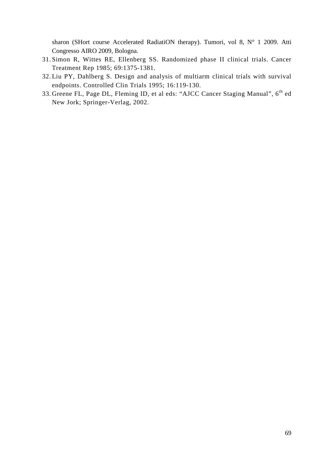sharon (SHort course Accelerated RadiatiON therapy). Tumori, vol 8, N° 1 2009. Atti Congresso AIRO 2009, Bologna.

- 31. Simon R, Wittes RE, Ellenberg SS. Randomized phase II clinical trials. Cancer Treatment Rep 1985; 69:1375-1381.
- 32. Liu PY, Dahlberg S. Design and analysis of multiarm clinical trials with survival endpoints. Controlled Clin Trials 1995; 16:119-130.
- 33. Greene FL, Page DL, Fleming ID, et al eds: "AJCC Cancer Staging Manual", 6<sup>th</sup> ed New Jork; Springer-Verlag, 2002.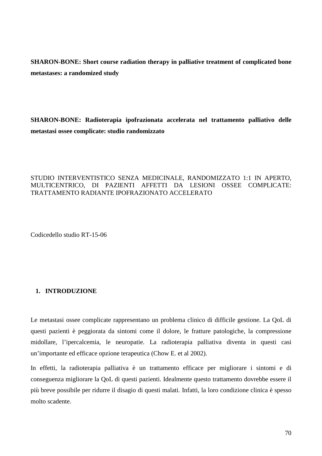**SHARON-BONE: Short course radiation therapy in palliative treatment of complicated bone metastases: a randomized study** 

**SHARON-BONE: Radioterapia ipofrazionata accelerata nel trattamento palliativo delle metastasi ossee complicate: studio randomizzato** 

## STUDIO INTERVENTISTICO SENZA MEDICINALE, RANDOMIZZATO 1:1 IN APERTO, MULTICENTRICO, DI PAZIENTI AFFETTI DA LESIONI OSSEE COMPLICATE: TRATTAMENTO RADIANTE IPOFRAZIONATO ACCELERATO

Codicedello studio RT-15-06

## **1. INTRODUZIONE**

Le metastasi ossee complicate rappresentano un problema clinico di difficile gestione. La QoL di questi pazienti è peggiorata da sintomi come il dolore, le fratture patologiche, la compressione midollare, l'ipercalcemia, le neuropatie. La radioterapia palliativa diventa in questi casi un'importante ed efficace opzione terapeutica (Chow E. et al 2002).

In effetti, la radioterapia palliativa è un trattamento efficace per migliorare i sintomi e di conseguenza migliorare la QoL di questi pazienti. Idealmente questo trattamento dovrebbe essere il più breve possibile per ridurre il disagio di questi malati. Infatti, la loro condizione clinica è spesso molto scadente.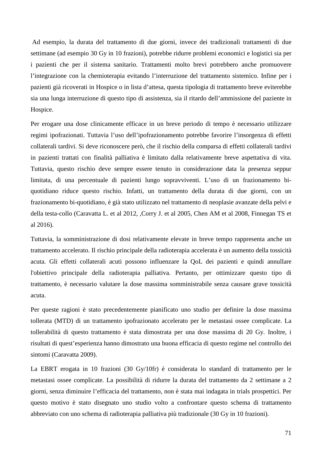Ad esempio, la durata del trattamento di due giorni, invece dei tradizionali trattamenti di due settimane (ad esempio 30 Gy in 10 frazioni), potrebbe ridurre problemi economici e logistici sia per i pazienti che per il sistema sanitario. Trattamenti molto brevi potrebbero anche promuovere l'integrazione con la chemioterapia evitando l'interruzione del trattamento sistemico. Infine per i pazienti già ricoverati in Hospice o in lista d'attesa, questa tipologia di trattamento breve eviterebbe sia una lunga interruzione di questo tipo di assistenza, sia il ritardo dell'ammissione del paziente in Hospice.

Per erogare una dose clinicamente efficace in un breve periodo di tempo è necessario utilizzare regimi ipofrazionati. Tuttavia l'uso dell'ipofrazionamento potrebbe favorire l'insorgenza di effetti collaterali tardivi. Si deve riconoscere però, che il rischio della comparsa di effetti collaterali tardivi in pazienti trattati con finalità palliativa è limitato dalla relativamente breve aspettativa di vita. Tuttavia, questo rischio deve sempre essere tenuto in considerazione data la presenza seppur limitata, di una percentuale di pazienti lungo sopravviventi. L'uso di un frazionamento biquotidiano riduce questo rischio. Infatti, un trattamento della durata di due giorni, con un frazionamento bi-quotidiano, è già stato utilizzato nel trattamento di neoplasie avanzate della pelvi e della testa-collo (Caravatta L. et al 2012, ,Corry J. et al 2005, Chen AM et al 2008, Finnegan TS et al 2016).

Tuttavia, la somministrazione di dosi relativamente elevate in breve tempo rappresenta anche un trattamento accelerato. Il rischio principale della radioterapia accelerata è un aumento della tossicità acuta. Gli effetti collaterali acuti possono influenzare la QoL dei pazienti e quindi annullare l'obiettivo principale della radioterapia palliativa. Pertanto, per ottimizzare questo tipo di trattamento, è necessario valutare la dose massima somministrabile senza causare grave tossicità acuta.

Per queste ragioni è stato precedentemente pianificato uno studio per definire la dose massima tollerata (MTD) di un trattamento ipofrazionato accelerato per le metastasi ossee complicate. La tollerabilità di questo trattamento è stata dimostrata per una dose massima di 20 Gy. Inoltre, i risultati di quest'esperienza hanno dimostrato una buona efficacia di questo regime nel controllo dei sintomi (Caravatta 2009).

La EBRT erogata in 10 frazioni (30 Gy/10fr) è considerata lo standard di trattamento per le metastasi ossee complicate. La possibilità di ridurre la durata del trattamento da 2 settimane a 2 giorni, senza diminuire l'efficacia del trattamento, non è stata mai indagata in trials prospettici. Per questo motivo è stato disegnato uno studio volto a confrontare questo schema di trattamento abbreviato con uno schema di radioterapia palliativa più tradizionale (30 Gy in 10 frazioni).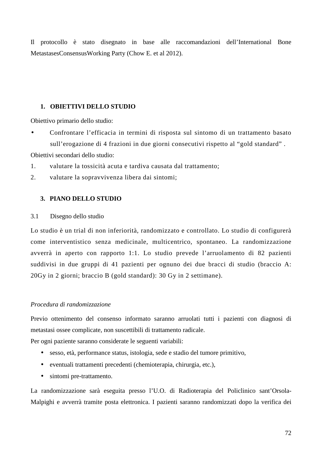Il protocollo è stato disegnato in base alle raccomandazioni dell'International Bone MetastasesConsensusWorking Party (Chow E. et al 2012).

## **1. OBIETTIVI DELLO STUDIO**

Obiettivo primario dello studio:

• Confrontare l'efficacia in termini di risposta sul sintomo di un trattamento basato sull'erogazione di 4 frazioni in due giorni consecutivi rispetto al "gold standard" .

Obiettivi secondari dello studio:

- 1. valutare la tossicità acuta e tardiva causata dal trattamento;
- 2. valutare la sopravvivenza libera dai sintomi;

## **3. PIANO DELLO STUDIO**

## 3.1 Disegno dello studio

Lo studio è un trial di non inferiorità, randomizzato e controllato. Lo studio di configurerà come interventistico senza medicinale, multicentrico, spontaneo. La randomizzazione avverrà in aperto con rapporto 1:1. Lo studio prevede l'arruolamento di 82 pazienti suddivisi in due gruppi di 41 pazienti per ognuno dei due bracci di studio (braccio A: 20Gy in 2 giorni; braccio B (gold standard): 30 Gy in 2 settimane).

## *Procedura di randomizzazione*

Previo ottenimento del consenso informato saranno arruolati tutti i pazienti con diagnosi di metastasi ossee complicate, non suscettibili di trattamento radicale.

Per ogni paziente saranno considerate le seguenti variabili:

- sesso, età, performance status, istologia, sede e stadio del tumore primitivo,
- eventuali trattamenti precedenti (chemioterapia, chirurgia, etc.),
- sintomi pre-trattamento.

La randomizzazione sarà eseguita presso l'U.O. di Radioterapia del Policlinico sant'Orsola-Malpighi e avverrà tramite posta elettronica. I pazienti saranno randomizzati dopo la verifica dei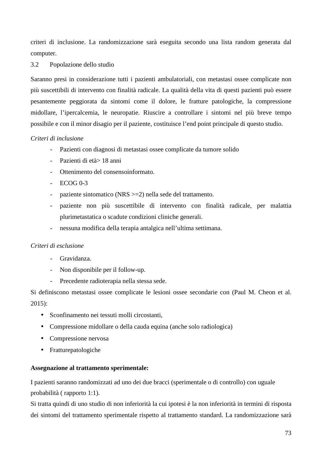criteri di inclusione. La randomizzazione sarà eseguita secondo una lista random generata dal computer.

## 3.2 Popolazione dello studio

Saranno presi in considerazione tutti i pazienti ambulatoriali, con metastasi ossee complicate non più suscettibili di intervento con finalità radicale. La qualità della vita di questi pazienti può essere pesantemente peggiorata da sintomi come il dolore, le fratture patologiche, la compressione midollare, l'ipercalcemia, le neuropatie. Riuscire a controllare i sintomi nel più breve tempo possibile e con il minor disagio per il paziente, costituisce l'end point principale di questo studio.

## *Criteri di inclusione*

- Pazienti con diagnosi di metastasi ossee complicate da tumore solido
- Pazienti di età> 18 anni
- Ottenimento del consensoinformato.
- $-$  ECOG 0-3
- paziente sintomatico (NRS >=2) nella sede del trattamento.
- paziente non più suscettibile di intervento con finalità radicale, per malattia plurimetastatica o scadute condizioni cliniche generali.
- nessuna modifica della terapia antalgica nell'ultima settimana.

## *Criteri di esclusione*

- Gravidanza.
- Non disponibile per il follow-up.
- Precedente radioterapia nella stessa sede.

Si definiscono metastasi ossee complicate le lesioni ossee secondarie con (Paul M. Cheon et al. 2015):

- Sconfinamento nei tessuti molli circostanti,
- Compressione midollare o della cauda equina (anche solo radiologica)
- Compressione nervosa
- Fratturepatologiche

## **Assegnazione al trattamento sperimentale:**

I pazienti saranno randomizzati ad uno dei due bracci (sperimentale o di controllo) con uguale probabilità ( rapporto 1:1).

Si tratta quindi di uno studio di non inferiorità la cui ipotesi è la non inferiorità in termini di risposta dei sintomi del trattamento sperimentale rispetto al trattamento standard. La randomizzazione sarà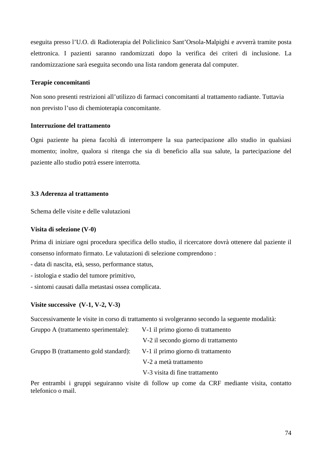eseguita presso l'U.O. di Radioterapia del Policlinico Sant'Orsola-Malpighi e avverrà tramite posta elettronica. I pazienti saranno randomizzati dopo la verifica dei criteri di inclusione. La randomizzazione sarà eseguita secondo una lista random generata dal computer.

#### **Terapie concomitanti**

 Non sono presenti restrizioni all'utilizzo di farmaci concomitanti al trattamento radiante. Tuttavia non previsto l'uso di chemioterapia concomitante.

## **Interruzione del trattamento**

Ogni paziente ha piena facoltà di interrompere la sua partecipazione allo studio in qualsiasi momento; inoltre, qualora si ritenga che sia di beneficio alla sua salute, la partecipazione del paziente allo studio potrà essere interrotta.

## **3.3 Aderenza al trattamento**

Schema delle visite e delle valutazioni

## **Visita di selezione (V-0)**

Prima di iniziare ogni procedura specifica dello studio, il ricercatore dovrà ottenere dal paziente il consenso informato firmato. Le valutazioni di selezione comprendono :

- data di nascita, età, sesso, performance status,

- istologia e stadio del tumore primitivo,
- sintomi causati dalla metastasi ossea complicata.

## **Visite successive (V-1, V-2, V-3)**

Successivamente le visite in corso di trattamento si svolgeranno secondo la seguente modalità:

| Gruppo A (trattamento sperimentale):  | V-1 il primo giorno di trattamento   |
|---------------------------------------|--------------------------------------|
|                                       | V-2 il secondo giorno di trattamento |
| Gruppo B (trattamento gold standard): | V-1 il primo giorno di trattamento   |
|                                       | V-2 a metà trattamento               |
|                                       | V-3 visita di fine trattamento       |
|                                       |                                      |

Per entrambi i gruppi seguiranno visite di follow up come da CRF mediante visita, contatto telefonico o mail.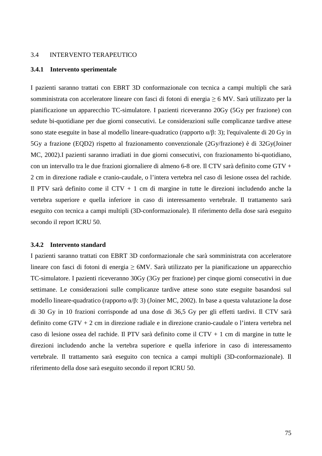#### 3.4 INTERVENTO TERAPEUTICO

#### **3.4.1 Intervento sperimentale**

I pazienti saranno trattati con EBRT 3D conformazionale con tecnica a campi multipli che sarà somministrata con acceleratore lineare con fasci di fotoni di energia  $\geq 6$  MV. Sarà utilizzato per la pianificazione un apparecchio TC-simulatore. I pazienti riceveranno 20Gy (5Gy per frazione) con sedute bi-quotidiane per due giorni consecutivi. Le considerazioni sulle complicanze tardive attese sono state eseguite in base al modello lineare-quadratico (rapporto  $\alpha/\beta$ : 3); l'equivalente di 20 Gy in 5Gy a frazione (EQD2) rispetto al frazionamento convenzionale (2Gy/frazione) è di 32Gy(Joiner MC, 2002).I pazienti saranno irradiati in due giorni consecutivi, con frazionamento bi-quotidiano, con un intervallo tra le due frazioni giornaliere di almeno 6-8 ore. Il CTV sarà definito come GTV + 2 cm in direzione radiale e cranio-caudale, o l'intera vertebra nel caso di lesione ossea del rachide. Il PTV sarà definito come il CTV + 1 cm di margine in tutte le direzioni includendo anche la vertebra superiore e quella inferiore in caso di interessamento vertebrale. Il trattamento sarà eseguito con tecnica a campi multipli (3D-conformazionale). Il riferimento della dose sarà eseguito secondo il report ICRU 50.

#### **3.4.2 Intervento standard**

I pazienti saranno trattati con EBRT 3D conformazionale che sarà somministrata con acceleratore lineare con fasci di fotoni di energia ≥ 6MV. Sarà utilizzato per la pianificazione un apparecchio TC-simulatore. I pazienti riceveranno 30Gy (3Gy per frazione) per cinque giorni consecutivi in due settimane. Le considerazioni sulle complicanze tardive attese sono state eseguite basandosi sul modello lineare-quadratico (rapporto α/β: 3) (Joiner MC, 2002). In base a questa valutazione la dose di 30 Gy in 10 frazioni corrisponde ad una dose di 36,5 Gy per gli effetti tardivi. Il CTV sarà definito come GTV + 2 cm in direzione radiale e in direzione cranio-caudale o l'intera vertebra nel caso di lesione ossea del rachide. Il PTV sarà definito come il CTV + 1 cm di margine in tutte le direzioni includendo anche la vertebra superiore e quella inferiore in caso di interessamento vertebrale. Il trattamento sarà eseguito con tecnica a campi multipli (3D-conformazionale). Il riferimento della dose sarà eseguito secondo il report ICRU 50.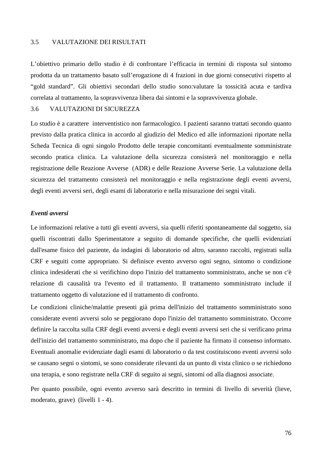### 3.5 VALUTAZIONE DEI RISULTATI

L'obiettivo primario dello studio è di confrontare l'efficacia in termini di risposta sul sintomo prodotta da un trattamento basato sull'erogazione di 4 frazioni in due giorni consecutivi rispetto al "gold standard". Gli obiettivi secondari dello studio sono:valutare la tossicità acuta e tardiva correlata al trattamento, la sopravvivenza libera dai sintomi e la sopravvivenza globale.

#### 3.6 VALUTAZIONI DI SICUREZZA

Lo studio è a carattere interventistico non farmacologico. I pazienti saranno trattati secondo quanto previsto dalla pratica clinica in accordo al giudizio del Medico ed alle informazioni riportate nella Scheda Tecnica di ogni singolo Prodotto delle terapie concomitanti eventualmente somministrate secondo pratica clinica. La valutazione della sicurezza consisterà nel monitoraggio e nella registrazione delle Reazione Avverse (ADR) e delle Reazione Avverse Serie. La valutazione della sicurezza del trattamento consisterà nel monitoraggio e nella registrazione degli eventi avversi, degli eventi avversi seri, degli esami di laboratorio e nella misurazione dei segni vitali.

## *Eventi avversi*

Le informazioni relative a tutti gli eventi avversi, sia quelli riferiti spontaneamente dal soggetto, sia quelli riscontrati dallo Sperimentatore a seguito di domande specifiche, che quelli evidenziati dall'esame fisico del paziente, da indagini di laboratorio od altro, saranno raccolti, registrati sulla CRF e seguiti come appropriato. Si definisce evento avverso ogni segno, sintomo o condizione clinica indesiderati che si verifichino dopo l'inizio del trattamento somministrato, anche se non c'è relazione di causalità tra l'evento ed il trattamento. Il trattamento somministrato include il trattamento oggetto di valutazione ed il trattamento di confronto.

Le condizioni cliniche/malattie presenti già prima dell'inizio del trattamento somministrato sono considerate eventi avversi solo se peggiorano dopo l'inizio del trattamento somministrato. Occorre definire la raccolta sulla CRF degli eventi avversi e degli eventi avversi seri che si verificano prima dell'inizio del trattamento somministrato, ma dopo che il paziente ha firmato il consenso informato. Eventuali anomalie evidenziate dagli esami di laboratorio o da test costituiscono eventi avversi solo se causano segni o sintomi, se sono considerate rilevanti da un punto di vista clinico o se richiedono una terapia, e sono registrate nella CRF di seguito ai segni, sintomi od alla diagnosi associate.

Per quanto possibile, ogni evento avverso sarà descritto in termini di livello di severità (lieve, moderato, grave) (livelli 1 - 4).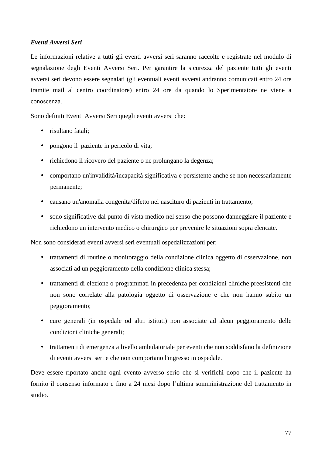# *Eventi Avversi Seri*

Le informazioni relative a tutti gli eventi avversi seri saranno raccolte e registrate nel modulo di segnalazione degli Eventi Avversi Seri. Per garantire la sicurezza del paziente tutti gli eventi avversi seri devono essere segnalati (gli eventuali eventi avversi andranno comunicati entro 24 ore tramite mail al centro coordinatore) entro 24 ore da quando lo Sperimentatore ne viene a conoscenza.

Sono definiti Eventi Avversi Seri quegli eventi avversi che:

- risultano fatali:
- pongono il paziente in pericolo di vita;
- richiedono il ricovero del paziente o ne prolungano la degenza;
- comportano un'invalidità/incapacità significativa e persistente anche se non necessariamente permanente;
- causano un'anomalia congenita/difetto nel nascituro di pazienti in trattamento;
- sono significative dal punto di vista medico nel senso che possono danneggiare il paziente e richiedono un intervento medico o chirurgico per prevenire le situazioni sopra elencate.

Non sono considerati eventi avversi seri eventuali ospedalizzazioni per:

- trattamenti di routine o monitoraggio della condizione clinica oggetto di osservazione, non associati ad un peggioramento della condizione clinica stessa;
- trattamenti di elezione o programmati in precedenza per condizioni cliniche preesistenti che non sono correlate alla patologia oggetto di osservazione e che non hanno subito un peggioramento;
- cure generali (in ospedale od altri istituti) non associate ad alcun peggioramento delle condizioni cliniche generali;
- trattamenti di emergenza a livello ambulatoriale per eventi che non soddisfano la definizione di eventi avversi seri e che non comportano l'ingresso in ospedale.

Deve essere riportato anche ogni evento avverso serio che si verifichi dopo che il paziente ha fornito il consenso informato e fino a 24 mesi dopo l'ultima somministrazione del trattamento in studio.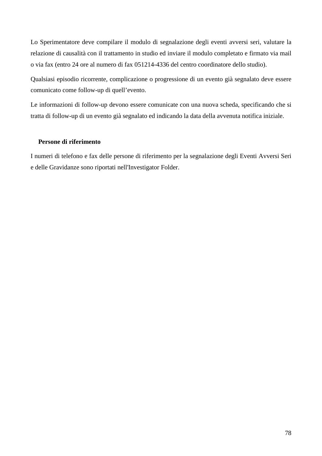Lo Sperimentatore deve compilare il modulo di segnalazione degli eventi avversi seri, valutare la relazione di causalità con il trattamento in studio ed inviare il modulo completato e firmato via mail o via fax (entro 24 ore al numero di fax 051214-4336 del centro coordinatore dello studio).

Qualsiasi episodio ricorrente, complicazione o progressione di un evento già segnalato deve essere comunicato come follow-up di quell'evento.

Le informazioni di follow-up devono essere comunicate con una nuova scheda, specificando che si tratta di follow-up di un evento già segnalato ed indicando la data della avvenuta notifica iniziale.

## **Persone di riferimento**

I numeri di telefono e fax delle persone di riferimento per la segnalazione degli Eventi Avversi Seri e delle Gravidanze sono riportati nell'Investigator Folder.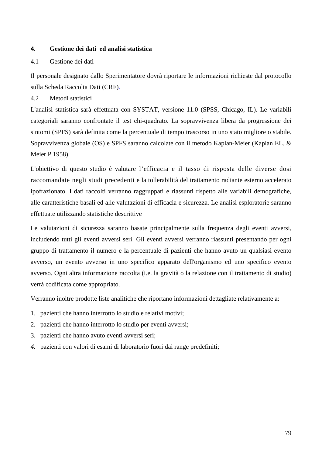## **4. Gestione dei dati ed analisi statistica**

## 4.1 Gestione dei dati

Il personale designato dallo Sperimentatore dovrà riportare le informazioni richieste dal protocollo sulla Scheda Raccolta Dati (CRF)*.* 

4.2 Metodi statistici

L'analisi statistica sarà effettuata con SYSTAT, versione 11.0 (SPSS, Chicago, IL). Le variabili categoriali saranno confrontate il test chi-quadrato. La sopravvivenza libera da progressione dei sintomi (SPFS) sarà definita come la percentuale di tempo trascorso in uno stato migliore o stabile. Sopravvivenza globale (OS) e SPFS saranno calcolate con il metodo Kaplan-Meier (Kaplan EL. & Meier P 1958).

L'obiettivo di questo studio è valutare l'efficacia e il tasso di risposta delle diverse dosi raccomandate negli studi precedenti e la tollerabilità del trattamento radiante esterno accelerato ipofrazionato. I dati raccolti verranno raggruppati e riassunti rispetto alle variabili demografiche, alle caratteristiche basali ed alle valutazioni di efficacia e sicurezza. Le analisi esploratorie saranno effettuate utilizzando statistiche descrittive

Le valutazioni di sicurezza saranno basate principalmente sulla frequenza degli eventi avversi, includendo tutti gli eventi avversi seri. Gli eventi avversi verranno riassunti presentando per ogni gruppo di trattamento il numero e la percentuale di pazienti che hanno avuto un qualsiasi evento avverso, un evento avverso in uno specifico apparato dell'organismo ed uno specifico evento avverso. Ogni altra informazione raccolta (i.e. la gravità o la relazione con il trattamento di studio) verrà codificata come appropriato.

Verranno inoltre prodotte liste analitiche che riportano informazioni dettagliate relativamente a:

- 1. pazienti che hanno interrotto lo studio e relativi motivi;
- 2. pazienti che hanno interrotto lo studio per eventi avversi;
- 3. pazienti che hanno avuto eventi avversi seri;
- *4.* pazienti con valori di esami di laboratorio fuori dai range predefiniti;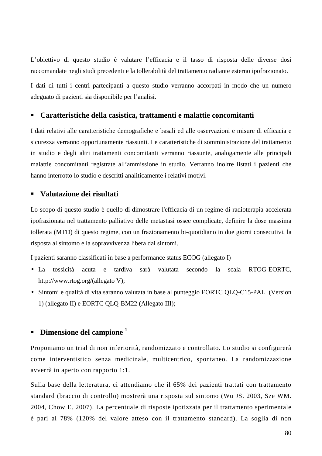L'obiettivo di questo studio è valutare l'efficacia e il tasso di risposta delle diverse dosi raccomandate negli studi precedenti e la tollerabilità del trattamento radiante esterno ipofrazionato.

I dati di tutti i centri partecipanti a questo studio verranno accorpati in modo che un numero adeguato di pazienti sia disponibile per l'analisi.

## **Caratteristiche della casistica, trattamenti e malattie concomitanti**

I dati relativi alle caratteristiche demografiche e basali ed alle osservazioni e misure di efficacia e sicurezza verranno opportunamente riassunti. Le caratteristiche di somministrazione del trattamento in studio e degli altri trattamenti concomitanti verranno riassunte, analogamente alle principali malattie concomitanti registrate all'ammissione in studio. Verranno inoltre listati i pazienti che hanno interrotto lo studio e descritti analiticamente i relativi motivi.

## **Valutazione dei risultati**

Lo scopo di questo studio è quello di dimostrare l'efficacia di un regime di radioterapia accelerata ipofrazionata nel trattamento palliativo delle metastasi ossee complicate, definire la dose massima tollerata (MTD) di questo regime, con un frazionamento bi-quotidiano in due giorni consecutivi, la risposta al sintomo e la sopravvivenza libera dai sintomi.

I pazienti saranno classificati in base a performance status ECOG (allegato I)

- La tossicità acuta e tardiva sarà valutata secondo la scala RTOG-EORTC, http://www.rtog.org/(allegato V);
- Sintomi e qualità di vita saranno valutata in base al punteggio EORTC QLQ-C15-PAL (Version 1) (allegato II) e EORTC QLQ-BM22 (Allegato III);

# **Dimensione del campione <sup>1</sup>**

Proponiamo un trial di non inferiorità, randomizzato e controllato. Lo studio si configurerà come interventistico senza medicinale, multicentrico, spontaneo. La randomizzazione avverrà in aperto con rapporto 1:1.

Sulla base della letteratura, ci attendiamo che il 65% dei pazienti trattati con trattamento standard (braccio di controllo) mostrerà una risposta sul sintomo (Wu JS. 2003, Sze WM. 2004, Chow E. 2007). La percentuale di risposte ipotizzata per il trattamento sperimentale è pari al 78% (120% del valore atteso con il trattamento standard). La soglia di non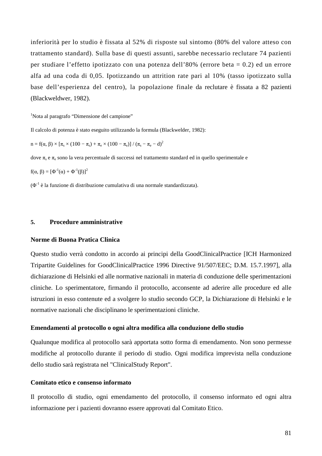inferiorità per lo studio è fissata al 52% di risposte sul sintomo (80% del valore atteso con trattamento standard). Sulla base di questi assunti, sarebbe necessario reclutare 74 pazienti per studiare l'effetto ipotizzato con una potenza dell'80% (errore beta = 0.2) ed un errore alfa ad una coda di 0,05. Ipotizzando un attrition rate pari al 10% (tasso ipotizzato sulla base dell'esperienza del centro), la popolazione finale da reclutare è fissata a 82 pazienti (Blackweldwer, 1982).

<sup>1</sup>Nota al paragrafo "Dimensione del campione"

Il calcolo di potenza è stato eseguito utilizzando la formula (Blackwelder, 1982):

 $n = f(α, β) \times [\pi_s \times (100 - \pi_s) + \pi_e \times (100 - \pi_e)] / (\pi_s - \pi_e - d)^2$ 

dove  $\pi_s$  e  $\pi_e$  sono la vera percentuale di successi nel trattamento standard ed in quello sperimentale e

 $f(α, β) = [Φ<sup>-1</sup>(α) + Φ<sup>-1</sup>(β)]<sup>2</sup>$ 

 $(\Phi^1)$  è la funzione di distribuzione cumulativa di una normale standardizzata).

#### **5. Procedure amministrative**

#### **Norme di Buona Pratica Clinica**

Questo studio verrà condotto in accordo ai principi della GoodClinicalPractice [ICH Harmonized Tripartite Guidelines for GoodClinicalPractice 1996 Directive 91/507/EEC; D.M. 15.7.1997], alla dichiarazione di Helsinki ed alle normative nazionali in materia di conduzione delle sperimentazioni cliniche. Lo sperimentatore, firmando il protocollo, acconsente ad aderire alle procedure ed alle istruzioni in esso contenute ed a svolgere lo studio secondo GCP, la Dichiarazione di Helsinki e le normative nazionali che disciplinano le sperimentazioni cliniche.

#### **Emendamenti al protocollo o ogni altra modifica alla conduzione dello studio**

Qualunque modifica al protocollo sarà apportata sotto forma di emendamento. Non sono permesse modifiche al protocollo durante il periodo di studio. Ogni modifica imprevista nella conduzione dello studio sarà registrata nel "ClinicalStudy Report".

#### **Comitato etico e consenso informato**

Il protocollo di studio, ogni emendamento del protocollo, il consenso informato ed ogni altra informazione per i pazienti dovranno essere approvati dal Comitato Etico.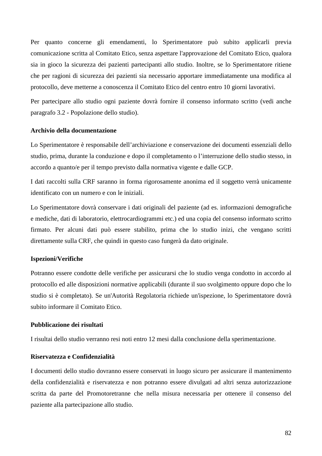Per quanto concerne gli emendamenti, lo Sperimentatore può subito applicarli previa comunicazione scritta al Comitato Etico, senza aspettare l'approvazione del Comitato Etico, qualora sia in gioco la sicurezza dei pazienti partecipanti allo studio. Inoltre, se lo Sperimentatore ritiene che per ragioni di sicurezza dei pazienti sia necessario apportare immediatamente una modifica al protocollo, deve metterne a conoscenza il Comitato Etico del centro entro 10 giorni lavorativi.

Per partecipare allo studio ogni paziente dovrà fornire il consenso informato scritto (vedi anche paragrafo 3.2 - Popolazione dello studio).

#### **Archivio della documentazione**

Lo Sperimentatore è responsabile dell'archiviazione e conservazione dei documenti essenziali dello studio, prima, durante la conduzione e dopo il completamento o l'interruzione dello studio stesso, in accordo a quanto/e per il tempo previsto dalla normativa vigente e dalle GCP.

I dati raccolti sulla CRF saranno in forma rigorosamente anonima ed il soggetto verrà unicamente identificato con un numero e con le iniziali.

Lo Sperimentatore dovrà conservare i dati originali del paziente (ad es. informazioni demografiche e mediche, dati di laboratorio, elettrocardiogrammi etc.) ed una copia del consenso informato scritto firmato. Per alcuni dati può essere stabilito, prima che lo studio inizi, che vengano scritti direttamente sulla CRF, che quindi in questo caso fungerà da dato originale.

#### **Ispezioni/Verifiche**

Potranno essere condotte delle verifiche per assicurarsi che lo studio venga condotto in accordo al protocollo ed alle disposizioni normative applicabili (durante il suo svolgimento oppure dopo che lo studio si è completato). Se un'Autorità Regolatoria richiede un'ispezione, lo Sperimentatore dovrà subito informare il Comitato Etico.

## **Pubblicazione dei risultati**

I risultai dello studio verranno resi noti entro 12 mesi dalla conclusione della sperimentazione.

## **Riservatezza e Confidenzialità**

I documenti dello studio dovranno essere conservati in luogo sicuro per assicurare il mantenimento della confidenzialità e riservatezza e non potranno essere divulgati ad altri senza autorizzazione scritta da parte del Promotoretranne che nella misura necessaria per ottenere il consenso del paziente alla partecipazione allo studio.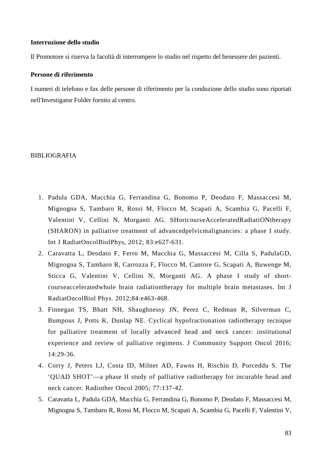#### **Interruzione dello studio**

Il Promotore si riserva la facoltà di interrompere lo studio nel rispetto del benessere dei pazienti.

### **Persone di riferimento**

I numeri di telefono e fax delle persone di riferimento per la conduzione dello studio sono riportati nell'Investigator Folder fornito al centro.

#### BIBLIOGRAFIA

- 1. Padula GDA, Macchia G, Ferrandina G, Bonomo P, Deodato F, Massaccesi M, Mignogna S, Tambaro R, Rossi M, Flocco M, Scapati A, Scambia G, Pacelli F, Valentini V, Cellini N, Morganti AG. SHortcourseAcceleratedRadiatiONtherapy (SHARON) in palliative treatment of advancedpelvicmalignancies: a phase I study. Int J RadiatOncolBiolPhys, 2012; 83:e627-631.
- 2. Caravatta L, Deodato F, Ferro M, Macchia G, Massaccesi M, Cilla S, PadulaGD, Mignogna S, Tambaro R, Carrozza F, Flocco M, Cantore G, Scapati A, Buwenge M, Sticca G, Valentini V, Cellini N, Morganti AG. A phase I study of shortcourseacceleratedwhole brain radiationtherapy for multiple brain metastases. Int J RadiatOncolBiol Phys. 2012;84:e463-468.
- 3. Finnegan TS, Bhatt NH, Shaughnessy JN, Perez C, Redman R, Silverman C, Bumpous J, Potts K, Dunlap NE. Cyclical hypofractionation radiotherapy tecnique for palliative treatment of locally advanced head and neck cancer: institutional experience and review of palliative regimens. J Community Support Oncol 2016; 14:29-36.
- 4. Corry J, Peters LJ, Costa ID, Milner AD, Fawns H, Rischin D, Porceddu S. The 'QUAD SHOT'—a phase II study of palliative radiotherapy for incurable head and neck cancer. Radiother Oncol 2005; 77:137-42.
- 5. Caravatta L, Padula GDA, Macchia G, Ferrandina G, Bonomo P, Deodato F, Massaccesi M, Mignogna S, Tambaro R, Rossi M, Flocco M, Scapati A, Scambia G, Pacelli F, Valentini V,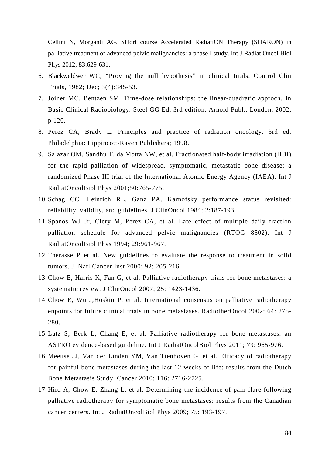Cellini N, Morganti AG. SHort course Accelerated RadiatiON Therapy (SHARON) in palliative treatment of advanced pelvic malignancies: a phase I study. Int J Radiat Oncol Biol Phys 2012; 83:629-631.

- 6. Blackweldwer WC, "Proving the null hypothesis" in clinical trials. Control Clin Trials, 1982; Dec; 3(4):345-53.
- 7. Joiner MC, Bentzen SM. Time-dose relationships: the linear-quadratic approch. In Basic Clinical Radiobiology. Steel GG Ed, 3rd edition, Arnold Publ., London, 2002, p 120.
- 8. Perez CA, Brady L. Principles and practice of radiation oncology. 3rd ed. Philadelphia: Lippincott-Raven Publishers; 1998.
- 9. Salazar OM, Sandhu T, da Motta NW, et al. Fractionated half-body irradiation (HBI) for the rapid palliation of widespread, symptomatic, metastatic bone disease: a randomized Phase III trial of the International Atomic Energy Agency (IAEA). Int J RadiatOncolBiol Phys 2001;50:765-775.
- 10. Schag CC, Heinrich RL, Ganz PA. Karnofsky performance status revisited: reliability, validity, and guidelines. J ClinOncol 1984; 2:187-193.
- 11. Spanos WJ Jr, Clery M, Perez CA, et al. Late effect of multiple daily fraction palliation schedule for advanced pelvic malignancies (RTOG 8502). Int J RadiatOncolBiol Phys 1994; 29:961-967.
- 12. Therasse P et al. New guidelines to evaluate the response to treatment in solid tumors. J. Natl Cancer Inst 2000; 92: 205-216.
- 13.Chow E, Harris K, Fan G, et al. Palliative radiotherapy trials for bone metastases: a systematic review. J ClinOncol 2007; 25: 1423-1436.
- 14.Chow E, Wu J,Hoskin P, et al. International consensus on palliative radiotherapy enpoints for future clinical trials in bone metastases. RadiotherOncol 2002; 64: 275- 280.
- 15. Lutz S, Berk L, Chang E, et al. Palliative radiotherapy for bone metastases: an ASTRO evidence-based guideline. Int J RadiatOncolBiol Phys 2011; 79: 965-976.
- 16. Meeuse JJ, Van der Linden YM, Van Tienhoven G, et al. Efficacy of radiotherapy for painful bone metastases during the last 12 weeks of life: results from the Dutch Bone Metastasis Study. Cancer 2010; 116: 2716-2725.
- 17. Hird A, Chow E, Zhang L, et al. Determining the incidence of pain flare following palliative radiotherapy for symptomatic bone metastases: results from the Canadian cancer centers. Int J RadiatOncolBiol Phys 2009; 75: 193-197.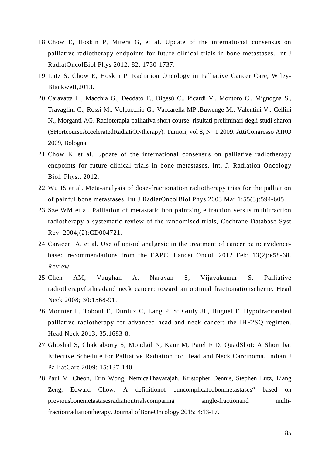- 18.Chow E, Hoskin P, Mitera G, et al. Update of the international consensus on palliative radiotherapy endpoints for future clinical trials in bone metastases. Int J RadiatOncolBiol Phys 2012; 82: 1730-1737.
- 19. Lutz S, Chow E, Hoskin P. Radiation Oncology in Palliative Cancer Care, Wiley-Blackwell,2013.
- 20.Caravatta L., Macchia G., Deodato F., Digesù C., Picardi V., Montoro C., Mignogna S., Travaglini C., Rossi M., Volpacchio G., Vaccarella MP.,Buwenge M., Valentini V., Cellini N., Morganti AG. Radioterapia palliativa short course: risultati preliminari degli studi sharon (SHortcourseAcceleratedRadiatiONtherapy). Tumori, vol 8, N° 1 2009. AttiCongresso AIRO 2009, Bologna.
- 21.Chow E. et al. Update of the international consensus on palliative radiotherapy endpoints for future clinical trials in bone metastases, Int. J. Radiation Oncology Biol. Phys., 2012.
- 22. Wu JS et al. Meta-analysis of dose-fractionation radiotherapy trias for the palliation of painful bone metastases. Int J RadiatOncolBiol Phys 2003 Mar 1;55(3):594-605.
- 23. Sze WM et al. Palliation of metastatic bon pain:single fraction versus multifraction radiotherapy-a systematic review of the randomised trials, Cochrane Database Syst Rev. 2004;(2):CD004721.
- 24.Caraceni A. et al. Use of opioid analgesic in the treatment of cancer pain: evidencebased recommendations from the EAPC. Lancet Oncol. 2012 Feb; 13(2):e58-68. Review.
- 25.Chen AM, Vaughan A, Narayan S, Vijayakumar S. Palliative radiotherapyforheadand neck cancer: toward an optimal fractionationscheme. Head Neck 2008: 30:1568-91.
- 26. Monnier L, Toboul E, Durdux C, Lang P, St Guily JL, Huguet F. Hypofracionated palliative radiotherapy for advanced head and neck cancer: the IHF2SQ regimen. Head Neck 2013; 35:1683-8.
- 27. Ghoshal S, Chakraborty S, Moudgil N, Kaur M, Patel F D. QuadShot: A Short bat Effective Schedule for Palliative Radiation for Head and Neck Carcinoma. Indian J PalliatCare 2009; 15:137-140.
- 28. Paul M. Cheon, Erin Wong, NemicaThavarajah, Kristopher Dennis, Stephen Lutz, Liang Zeng, Edward Chow. A definition of .uncomplicatedbonmetastases based on previousbonemetastasesradiationtrialscomparing single-fractionand multifractionradiationtherapy. Journal ofBoneOncology 2015; 4:13-17.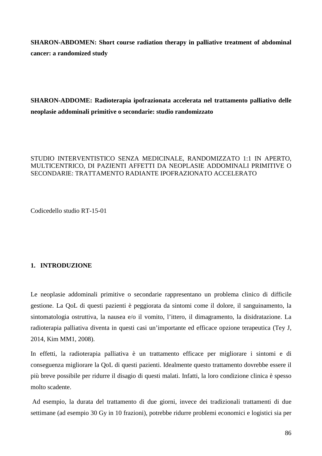**SHARON-ABDOMEN: Short course radiation therapy in palliative treatment of abdominal cancer: a randomized study** 

**SHARON-ADDOME: Radioterapia ipofrazionata accelerata nel trattamento palliativo delle neoplasie addominali primitive o secondarie: studio randomizzato** 

# STUDIO INTERVENTISTICO SENZA MEDICINALE, RANDOMIZZATO 1:1 IN APERTO, MULTICENTRICO, DI PAZIENTI AFFETTI DA NEOPLASIE ADDOMINALI PRIMITIVE O SECONDARIE: TRATTAMENTO RADIANTE IPOFRAZIONATO ACCELERATO

Codicedello studio RT-15-01

# **1. INTRODUZIONE**

Le neoplasie addominali primitive o secondarie rappresentano un problema clinico di difficile gestione. La QoL di questi pazienti è peggiorata da sintomi come il dolore, il sanguinamento, la sintomatologia ostruttiva, la nausea e/o il vomito, l'ittero, il dimagramento, la disidratazione. La radioterapia palliativa diventa in questi casi un'importante ed efficace opzione terapeutica (Tey J, 2014, Kim MM1, 2008).

In effetti, la radioterapia palliativa è un trattamento efficace per migliorare i sintomi e di conseguenza migliorare la QoL di questi pazienti. Idealmente questo trattamento dovrebbe essere il più breve possibile per ridurre il disagio di questi malati. Infatti, la loro condizione clinica è spesso molto scadente.

 Ad esempio, la durata del trattamento di due giorni, invece dei tradizionali trattamenti di due settimane (ad esempio 30 Gy in 10 frazioni), potrebbe ridurre problemi economici e logistici sia per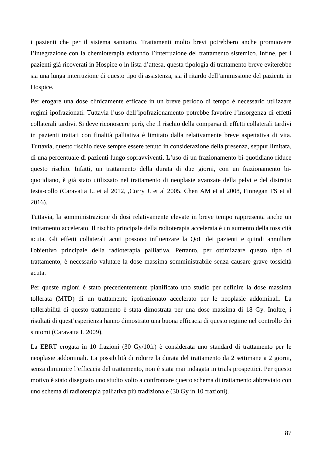i pazienti che per il sistema sanitario. Trattamenti molto brevi potrebbero anche promuovere l'integrazione con la chemioterapia evitando l'interruzione del trattamento sistemico. Infine, per i pazienti già ricoverati in Hospice o in lista d'attesa, questa tipologia di trattamento breve eviterebbe sia una lunga interruzione di questo tipo di assistenza, sia il ritardo dell'ammissione del paziente in Hospice.

Per erogare una dose clinicamente efficace in un breve periodo di tempo è necessario utilizzare regimi ipofrazionati. Tuttavia l'uso dell'ipofrazionamento potrebbe favorire l'insorgenza di effetti collaterali tardivi. Si deve riconoscere però, che il rischio della comparsa di effetti collaterali tardivi in pazienti trattati con finalità palliativa è limitato dalla relativamente breve aspettativa di vita. Tuttavia, questo rischio deve sempre essere tenuto in considerazione della presenza, seppur limitata, di una percentuale di pazienti lungo sopravviventi. L'uso di un frazionamento bi-quotidiano riduce questo rischio. Infatti, un trattamento della durata di due giorni, con un frazionamento biquotidiano, è già stato utilizzato nel trattamento di neoplasie avanzate della pelvi e del distretto testa-collo (Caravatta L. et al 2012, ,Corry J. et al 2005, Chen AM et al 2008, Finnegan TS et al 2016).

Tuttavia, la somministrazione di dosi relativamente elevate in breve tempo rappresenta anche un trattamento accelerato. Il rischio principale della radioterapia accelerata è un aumento della tossicità acuta. Gli effetti collaterali acuti possono influenzare la QoL dei pazienti e quindi annullare l'obiettivo principale della radioterapia palliativa. Pertanto, per ottimizzare questo tipo di trattamento, è necessario valutare la dose massima somministrabile senza causare grave tossicità acuta.

Per queste ragioni è stato precedentemente pianificato uno studio per definire la dose massima tollerata (MTD) di un trattamento ipofrazionato accelerato per le neoplasie addominali. La tollerabilità di questo trattamento è stata dimostrata per una dose massima di 18 Gy. Inoltre, i risultati di quest'esperienza hanno dimostrato una buona efficacia di questo regime nel controllo dei sintomi (Caravatta L 2009).

La EBRT erogata in 10 frazioni (30 Gy/10fr) è considerata uno standard di trattamento per le neoplasie addominali. La possibilità di ridurre la durata del trattamento da 2 settimane a 2 giorni, senza diminuire l'efficacia del trattamento, non è stata mai indagata in trials prospettici. Per questo motivo è stato disegnato uno studio volto a confrontare questo schema di trattamento abbreviato con uno schema di radioterapia palliativa più tradizionale (30 Gy in 10 frazioni).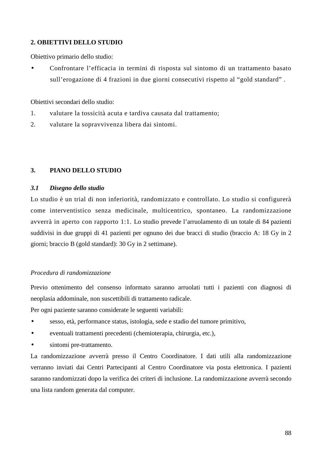# **2. OBIETTIVI DELLO STUDIO**

Obiettivo primario dello studio:

• Confrontare l'efficacia in termini di risposta sul sintomo di un trattamento basato sull'erogazione di 4 frazioni in due giorni consecutivi rispetto al "gold standard" .

Obiettivi secondari dello studio:

- 1. valutare la tossicità acuta e tardiva causata dal trattamento;
- 2. valutare la sopravvivenza libera dai sintomi.

## **3. PIANO DELLO STUDIO**

## *3.1 Disegno dello studio*

Lo studio è un trial di non inferiorità, randomizzato e controllato. Lo studio si configurerà come interventistico senza medicinale, multicentrico, spontaneo. La randomizzazione avverrà in aperto con rapporto 1:1. Lo studio prevede l'arruolamento di un totale di 84 pazienti suddivisi in due gruppi di 41 pazienti per ognuno dei due bracci di studio (braccio A: 18 Gy in 2 giorni; braccio B (gold standard): 30 Gy in 2 settimane).

## *Procedura di randomizzazione*

Previo ottenimento del consenso informato saranno arruolati tutti i pazienti con diagnosi di neoplasia addominale, non suscettibili di trattamento radicale.

Per ogni paziente saranno considerate le seguenti variabili:

- sesso, età, performance status, istologia, sede e stadio del tumore primitivo,
- eventuali trattamenti precedenti (chemioterapia, chirurgia, etc.),
- sintomi pre-trattamento.

La randomizzazione avverrà presso il Centro Coordinatore. I dati utili alla randomizzazione verranno inviati dai Centri Partecipanti al Centro Coordinatore via posta elettronica. I pazienti saranno randomizzati dopo la verifica dei criteri di inclusione. La randomizzazione avverrà secondo una lista random generata dal computer.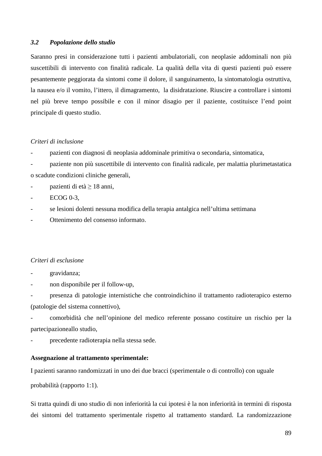#### *3.2 Popolazione dello studio*

Saranno presi in considerazione tutti i pazienti ambulatoriali, con neoplasie addominali non più suscettibili di intervento con finalità radicale. La qualità della vita di questi pazienti può essere pesantemente peggiorata da sintomi come il dolore, il sanguinamento, la sintomatologia ostruttiva, la nausea e/o il vomito, l'ittero, il dimagramento, la disidratazione. Riuscire a controllare i sintomi nel più breve tempo possibile e con il minor disagio per il paziente, costituisce l'end point principale di questo studio.

#### *Criteri di inclusione*

- pazienti con diagnosi di neoplasia addominale primitiva o secondaria, sintomatica,

- paziente non più suscettibile di intervento con finalità radicale, per malattia plurimetastatica o scadute condizioni cliniche generali,

 $\frac{1}{2}$  pazienti di età  $\geq 18$  anni,

ECOG 0-3.

- se lesioni dolenti nessuna modifica della terapia antalgica nell'ultima settimana

Ottenimento del consenso informato.

#### *Criteri di esclusione*

gravidanza;

non disponibile per il follow-up,

- presenza di patologie internistiche che controindichino il trattamento radioterapico esterno (patologie del sistema connettivo),

- comorbidità che nell'opinione del medico referente possano costituire un rischio per la partecipazioneallo studio,

precedente radioterapia nella stessa sede.

#### **Assegnazione al trattamento sperimentale:**

I pazienti saranno randomizzati in uno dei due bracci (sperimentale o di controllo) con uguale

probabilità (rapporto 1:1).

Si tratta quindi di uno studio di non inferiorità la cui ipotesi è la non inferiorità in termini di risposta dei sintomi del trattamento sperimentale rispetto al trattamento standard. La randomizzazione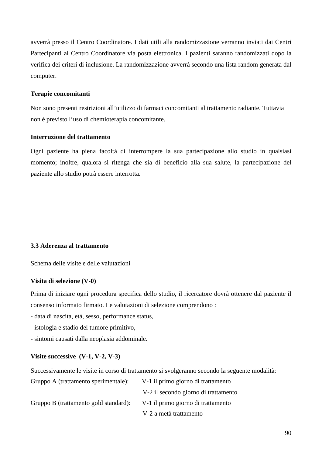avverrà presso il Centro Coordinatore. I dati utili alla randomizzazione verranno inviati dai Centri Partecipanti al Centro Coordinatore via posta elettronica. I pazienti saranno randomizzati dopo la verifica dei criteri di inclusione. La randomizzazione avverrà secondo una lista random generata dal computer.

## **Terapie concomitanti**

 Non sono presenti restrizioni all'utilizzo di farmaci concomitanti al trattamento radiante. Tuttavia non è previsto l'uso di chemioterapia concomitante.

## **Interruzione del trattamento**

Ogni paziente ha piena facoltà di interrompere la sua partecipazione allo studio in qualsiasi momento; inoltre, qualora si ritenga che sia di beneficio alla sua salute, la partecipazione del paziente allo studio potrà essere interrotta.

# **3.3 Aderenza al trattamento**

Schema delle visite e delle valutazioni

## **Visita di selezione (V-0)**

Prima di iniziare ogni procedura specifica dello studio, il ricercatore dovrà ottenere dal paziente il consenso informato firmato. Le valutazioni di selezione comprendono :

- data di nascita, età, sesso, performance status,

- istologia e stadio del tumore primitivo,

- sintomi causati dalla neoplasia addominale.

# **Visite successive (V-1, V-2, V-3)**

Successivamente le visite in corso di trattamento si svolgeranno secondo la seguente modalità:

| Gruppo A (trattamento sperimentale):  | V-1 il primo giorno di trattamento   |
|---------------------------------------|--------------------------------------|
|                                       | V-2 il secondo giorno di trattamento |
| Gruppo B (trattamento gold standard): | V-1 il primo giorno di trattamento   |
|                                       | V-2 a metà trattamento               |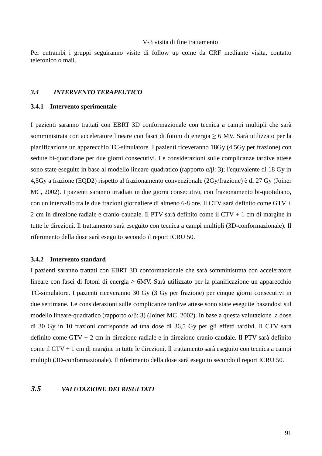#### V-3 visita di fine trattamento

Per entrambi i gruppi seguiranno visite di follow up come da CRF mediante visita, contatto telefonico o mail.

## *3.4 INTERVENTO TERAPEUTICO*

#### **3.4.1 Intervento sperimentale**

I pazienti saranno trattati con EBRT 3D conformazionale con tecnica a campi multipli che sarà somministrata con acceleratore lineare con fasci di fotoni di energia ≥ 6 MV. Sarà utilizzato per la pianificazione un apparecchio TC-simulatore. I pazienti riceveranno 18Gy (4,5Gy per frazione) con sedute bi-quotidiane per due giorni consecutivi. Le considerazioni sulle complicanze tardive attese sono state eseguite in base al modello lineare-quadratico (rapporto  $\alpha/\beta$ : 3); l'equivalente di 18 Gy in 4,5Gy a frazione (EQD2) rispetto al frazionamento convenzionale (2Gy/frazione) è di 27 Gy (Joiner MC, 2002). I pazienti saranno irradiati in due giorni consecutivi, con frazionamento bi-quotidiano, con un intervallo tra le due frazioni giornaliere di almeno 6-8 ore. Il CTV sarà definito come GTV + 2 cm in direzione radiale e cranio-caudale. Il PTV sarà definito come il CTV + 1 cm di margine in tutte le direzioni. Il trattamento sarà eseguito con tecnica a campi multipli (3D-conformazionale). Il riferimento della dose sarà eseguito secondo il report ICRU 50.

## **3.4.2 Intervento standard**

I pazienti saranno trattati con EBRT 3D conformazionale che sarà somministrata con acceleratore lineare con fasci di fotoni di energia ≥ 6MV. Sarà utilizzato per la pianificazione un apparecchio TC-simulatore. I pazienti riceveranno 30 Gy (3 Gy per frazione) per cinque giorni consecutivi in due settimane. Le considerazioni sulle complicanze tardive attese sono state eseguite basandosi sul modello lineare-quadratico (rapporto α/β: 3) (Joiner MC, 2002). In base a questa valutazione la dose di 30 Gy in 10 frazioni corrisponde ad una dose di 36,5 Gy per gli effetti tardivi. Il CTV sarà definito come GTV + 2 cm in direzione radiale e in direzione cranio-caudale. Il PTV sarà definito come il CTV + 1 cm di margine in tutte le direzioni. Il trattamento sarà eseguito con tecnica a campi multipli (3D-conformazionale). Il riferimento della dose sarà eseguito secondo il report ICRU 50.

# *3.5 VALUTAZIONE DEI RISULTATI*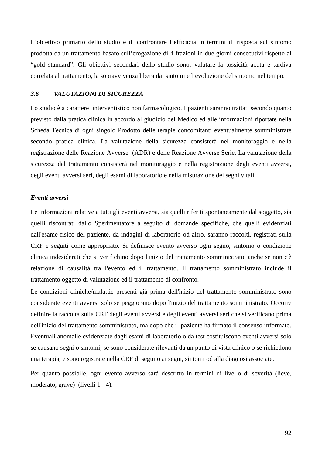L'obiettivo primario dello studio è di confrontare l'efficacia in termini di risposta sul sintomo prodotta da un trattamento basato sull'erogazione di 4 frazioni in due giorni consecutivi rispetto al "gold standard". Gli obiettivi secondari dello studio sono: valutare la tossicità acuta e tardiva correlata al trattamento, la sopravvivenza libera dai sintomi e l'evoluzione del sintomo nel tempo.

### *3.6 VALUTAZIONI DI SICUREZZA*

Lo studio è a carattere interventistico non farmacologico. I pazienti saranno trattati secondo quanto previsto dalla pratica clinica in accordo al giudizio del Medico ed alle informazioni riportate nella Scheda Tecnica di ogni singolo Prodotto delle terapie concomitanti eventualmente somministrate secondo pratica clinica. La valutazione della sicurezza consisterà nel monitoraggio e nella registrazione delle Reazione Avverse (ADR) e delle Reazione Avverse Serie. La valutazione della sicurezza del trattamento consisterà nel monitoraggio e nella registrazione degli eventi avversi, degli eventi avversi seri, degli esami di laboratorio e nella misurazione dei segni vitali.

#### *Eventi avversi*

Le informazioni relative a tutti gli eventi avversi, sia quelli riferiti spontaneamente dal soggetto, sia quelli riscontrati dallo Sperimentatore a seguito di domande specifiche, che quelli evidenziati dall'esame fisico del paziente, da indagini di laboratorio od altro, saranno raccolti, registrati sulla CRF e seguiti come appropriato. Si definisce evento avverso ogni segno, sintomo o condizione clinica indesiderati che si verifichino dopo l'inizio del trattamento somministrato, anche se non c'è relazione di causalità tra l'evento ed il trattamento. Il trattamento somministrato include il trattamento oggetto di valutazione ed il trattamento di confronto.

Le condizioni cliniche/malattie presenti già prima dell'inizio del trattamento somministrato sono considerate eventi avversi solo se peggiorano dopo l'inizio del trattamento somministrato. Occorre definire la raccolta sulla CRF degli eventi avversi e degli eventi avversi seri che si verificano prima dell'inizio del trattamento somministrato, ma dopo che il paziente ha firmato il consenso informato. Eventuali anomalie evidenziate dagli esami di laboratorio o da test costituiscono eventi avversi solo se causano segni o sintomi, se sono considerate rilevanti da un punto di vista clinico o se richiedono una terapia, e sono registrate nella CRF di seguito ai segni, sintomi od alla diagnosi associate.

Per quanto possibile, ogni evento avverso sarà descritto in termini di livello di severità (lieve, moderato, grave) (livelli 1 - 4).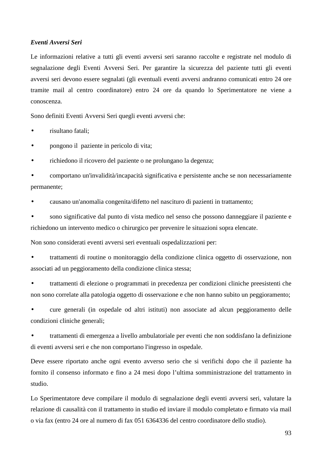#### *Eventi Avversi Seri*

Le informazioni relative a tutti gli eventi avversi seri saranno raccolte e registrate nel modulo di segnalazione degli Eventi Avversi Seri. Per garantire la sicurezza del paziente tutti gli eventi avversi seri devono essere segnalati (gli eventuali eventi avversi andranno comunicati entro 24 ore tramite mail al centro coordinatore) entro 24 ore da quando lo Sperimentatore ne viene a conoscenza.

Sono definiti Eventi Avversi Seri quegli eventi avversi che:

• risultano fatali;

• pongono il paziente in pericolo di vita;

• richiedono il ricovero del paziente o ne prolungano la degenza;

• comportano un'invalidità/incapacità significativa e persistente anche se non necessariamente permanente;

• causano un'anomalia congenita/difetto nel nascituro di pazienti in trattamento;

• sono significative dal punto di vista medico nel senso che possono danneggiare il paziente e richiedono un intervento medico o chirurgico per prevenire le situazioni sopra elencate.

Non sono considerati eventi avversi seri eventuali ospedalizzazioni per:

• trattamenti di routine o monitoraggio della condizione clinica oggetto di osservazione, non associati ad un peggioramento della condizione clinica stessa;

• trattamenti di elezione o programmati in precedenza per condizioni cliniche preesistenti che non sono correlate alla patologia oggetto di osservazione e che non hanno subito un peggioramento;

• cure generali (in ospedale od altri istituti) non associate ad alcun peggioramento delle condizioni cliniche generali;

• trattamenti di emergenza a livello ambulatoriale per eventi che non soddisfano la definizione di eventi avversi seri e che non comportano l'ingresso in ospedale.

Deve essere riportato anche ogni evento avverso serio che si verifichi dopo che il paziente ha fornito il consenso informato e fino a 24 mesi dopo l'ultima somministrazione del trattamento in studio.

Lo Sperimentatore deve compilare il modulo di segnalazione degli eventi avversi seri, valutare la relazione di causalità con il trattamento in studio ed inviare il modulo completato e firmato via mail o via fax (entro 24 ore al numero di fax 051 6364336 del centro coordinatore dello studio).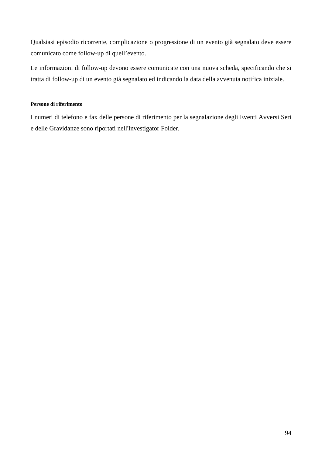Qualsiasi episodio ricorrente, complicazione o progressione di un evento già segnalato deve essere comunicato come follow-up di quell'evento.

Le informazioni di follow-up devono essere comunicate con una nuova scheda, specificando che si tratta di follow-up di un evento già segnalato ed indicando la data della avvenuta notifica iniziale.

## **Persone di riferimento**

I numeri di telefono e fax delle persone di riferimento per la segnalazione degli Eventi Avversi Seri e delle Gravidanze sono riportati nell'Investigator Folder.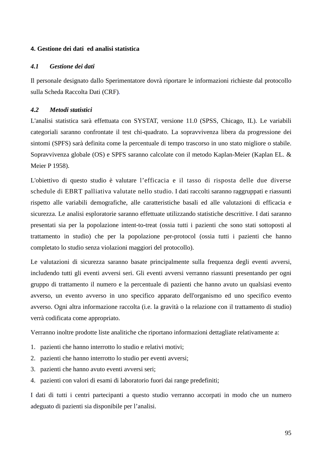## **4. Gestione dei dati ed analisi statistica**

## *4.1 Gestione dei dati*

Il personale designato dallo Sperimentatore dovrà riportare le informazioni richieste dal protocollo sulla Scheda Raccolta Dati (CRF)*.*

## *4.2 Metodi statistici*

L'analisi statistica sarà effettuata con SYSTAT, versione 11.0 (SPSS, Chicago, IL). Le variabili categoriali saranno confrontate il test chi-quadrato. La sopravvivenza libera da progressione dei sintomi (SPFS) sarà definita come la percentuale di tempo trascorso in uno stato migliore o stabile. Sopravvivenza globale (OS) e SPFS saranno calcolate con il metodo Kaplan-Meier (Kaplan EL. & Meier P 1958).

L'obiettivo di questo studio è valutare l'efficacia e il tasso di risposta delle due diverse schedule di EBRT palliativa valutate nello studio. I dati raccolti saranno raggruppati e riassunti rispetto alle variabili demografiche, alle caratteristiche basali ed alle valutazioni di efficacia e sicurezza. Le analisi esploratorie saranno effettuate utilizzando statistiche descrittive. I dati saranno presentati sia per la popolazione intent-to-treat (ossia tutti i pazienti che sono stati sottoposti al trattamento in studio) che per la popolazione per-protocol (ossia tutti i pazienti che hanno completato lo studio senza violazioni maggiori del protocollo).

Le valutazioni di sicurezza saranno basate principalmente sulla frequenza degli eventi avversi, includendo tutti gli eventi avversi seri. Gli eventi avversi verranno riassunti presentando per ogni gruppo di trattamento il numero e la percentuale di pazienti che hanno avuto un qualsiasi evento avverso, un evento avverso in uno specifico apparato dell'organismo ed uno specifico evento avverso. Ogni altra informazione raccolta (i.e. la gravità o la relazione con il trattamento di studio) verrà codificata come appropriato.

Verranno inoltre prodotte liste analitiche che riportano informazioni dettagliate relativamente a:

- 1. pazienti che hanno interrotto lo studio e relativi motivi;
- 2. pazienti che hanno interrotto lo studio per eventi avversi;
- 3. pazienti che hanno avuto eventi avversi seri;
- 4. pazienti con valori di esami di laboratorio fuori dai range predefiniti;

I dati di tutti i centri partecipanti a questo studio verranno accorpati in modo che un numero adeguato di pazienti sia disponibile per l'analisi.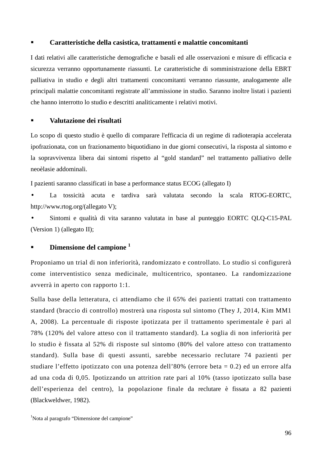## **Caratteristiche della casistica, trattamenti e malattie concomitanti**

I dati relativi alle caratteristiche demografiche e basali ed alle osservazioni e misure di efficacia e sicurezza verranno opportunamente riassunti. Le caratteristiche di somministrazione della EBRT palliativa in studio e degli altri trattamenti concomitanti verranno riassunte, analogamente alle principali malattie concomitanti registrate all'ammissione in studio. Saranno inoltre listati i pazienti che hanno interrotto lo studio e descritti analiticamente i relativi motivi.

## **Valutazione dei risultati**

Lo scopo di questo studio è quello di comparare l'efficacia di un regime di radioterapia accelerata ipofrazionata, con un frazionamento biquotidiano in due giorni consecutivi, la risposta al sintomo e la sopravvivenza libera dai sintomi rispetto al "gold standard" nel trattamento palliativo delle neoèlasie addominali.

I pazienti saranno classificati in base a performance status ECOG (allegato I)

• La tossicità acuta e tardiva sarà valutata secondo la scala RTOG-EORTC, http://www.rtog.org/(allegato V);

• Sintomi e qualità di vita saranno valutata in base al punteggio EORTC QLQ-C15-PAL (Version 1) (allegato II);

# **Dimensione del campione <sup>1</sup>**

Proponiamo un trial di non inferiorità, randomizzato e controllato. Lo studio si configurerà come interventistico senza medicinale, multicentrico, spontaneo. La randomizzazione avverrà in aperto con rapporto 1:1.

Sulla base della letteratura, ci attendiamo che il 65% dei pazienti trattati con trattamento standard (braccio di controllo) mostrerà una risposta sul sintomo (They J, 2014, Kim MM1 A, 2008). La percentuale di risposte ipotizzata per il trattamento sperimentale è pari al 78% (120% del valore atteso con il trattamento standard). La soglia di non inferiorità per lo studio è fissata al 52% di risposte sul sintomo (80% del valore atteso con trattamento standard). Sulla base di questi assunti, sarebbe necessario reclutare 74 pazienti per studiare l'effetto ipotizzato con una potenza dell'80% (errore beta = 0.2) ed un errore alfa ad una coda di 0,05. Ipotizzando un attrition rate pari al 10% (tasso ipotizzato sulla base dell'esperienza del centro), la popolazione finale da reclutare è fissata a 82 pazienti (Blackweldwer, 1982).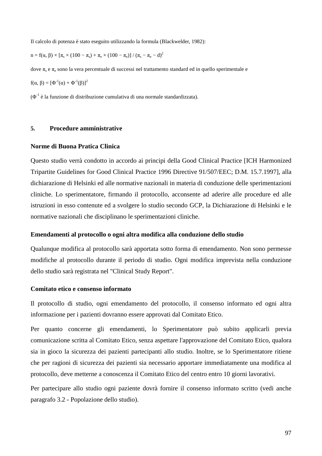Il calcolo di potenza è stato eseguito utilizzando la formula (Blackwelder, 1982):

 $n = f(\alpha, \beta) \times [\pi_s \times (100 - \pi_s) + \pi_e \times (100 - \pi_e)] / (\pi_s - \pi_e - d)^2$ 

dove  $\pi_\text{s}$  e  $\pi_\text{e}$  sono la vera percentuale di successi nel trattamento standard ed in quello sperimentale e  $f(α, β) = [Φ<sup>-1</sup>(α) + Φ<sup>-1</sup>(β)]<sup>2</sup>$ 

 $(\Phi^1)$  è la funzione di distribuzione cumulativa di una normale standardizzata).

### **5. Procedure amministrative**

#### **Norme di Buona Pratica Clinica**

Questo studio verrà condotto in accordo ai principi della Good Clinical Practice [ICH Harmonized Tripartite Guidelines for Good Clinical Practice 1996 Directive 91/507/EEC; D.M. 15.7.1997], alla dichiarazione di Helsinki ed alle normative nazionali in materia di conduzione delle sperimentazioni cliniche. Lo sperimentatore, firmando il protocollo, acconsente ad aderire alle procedure ed alle istruzioni in esso contenute ed a svolgere lo studio secondo GCP, la Dichiarazione di Helsinki e le normative nazionali che disciplinano le sperimentazioni cliniche.

#### **Emendamenti al protocollo o ogni altra modifica alla conduzione dello studio**

Qualunque modifica al protocollo sarà apportata sotto forma di emendamento. Non sono permesse modifiche al protocollo durante il periodo di studio. Ogni modifica imprevista nella conduzione dello studio sarà registrata nel "Clinical Study Report".

#### **Comitato etico e consenso informato**

Il protocollo di studio, ogni emendamento del protocollo, il consenso informato ed ogni altra informazione per i pazienti dovranno essere approvati dal Comitato Etico.

Per quanto concerne gli emendamenti, lo Sperimentatore può subito applicarli previa comunicazione scritta al Comitato Etico, senza aspettare l'approvazione del Comitato Etico, qualora sia in gioco la sicurezza dei pazienti partecipanti allo studio. Inoltre, se lo Sperimentatore ritiene che per ragioni di sicurezza dei pazienti sia necessario apportare immediatamente una modifica al protocollo, deve metterne a conoscenza il Comitato Etico del centro entro 10 giorni lavorativi.

Per partecipare allo studio ogni paziente dovrà fornire il consenso informato scritto (vedi anche paragrafo 3.2 - Popolazione dello studio).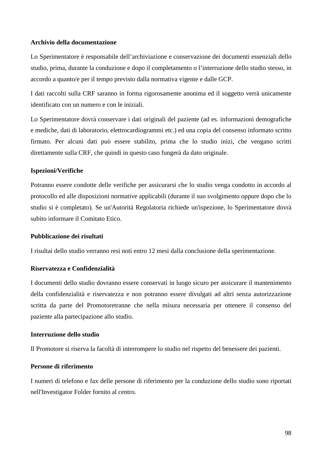### **Archivio della documentazione**

Lo Sperimentatore è responsabile dell'archiviazione e conservazione dei documenti essenziali dello studio, prima, durante la conduzione e dopo il completamento o l'interruzione dello studio stesso, in accordo a quanto/e per il tempo previsto dalla normativa vigente e dalle GCP.

I dati raccolti sulla CRF saranno in forma rigorosamente anonima ed il soggetto verrà unicamente identificato con un numero e con le iniziali.

Lo Sperimentatore dovrà conservare i dati originali del paziente (ad es. informazioni demografiche e mediche, dati di laboratorio, elettrocardiogrammi etc.) ed una copia del consenso informato scritto firmato. Per alcuni dati può essere stabilito, prima che lo studio inizi, che vengano scritti direttamente sulla CRF, che quindi in questo caso fungerà da dato originale.

#### **Ispezioni/Verifiche**

Potranno essere condotte delle verifiche per assicurarsi che lo studio venga condotto in accordo al protocollo ed alle disposizioni normative applicabili (durante il suo svolgimento oppure dopo che lo studio si è completato). Se un'Autorità Regolatoria richiede un'ispezione, lo Sperimentatore dovrà subito informare il Comitato Etico.

#### **Pubblicazione dei risultati**

I risultai dello studio verranno resi noti entro 12 mesi dalla conclusione della sperimentazione.

#### **Riservatezza e Confidenzialità**

I documenti dello studio dovranno essere conservati in luogo sicuro per assicurare il mantenimento della confidenzialità e riservatezza e non potranno essere divulgati ad altri senza autorizzazione scritta da parte del Promotoretranne che nella misura necessaria per ottenere il consenso del paziente alla partecipazione allo studio.

### **Interruzione dello studio**

Il Promotore si riserva la facoltà di interrompere lo studio nel rispetto del benessere dei pazienti.

#### **Persone di riferimento**

I numeri di telefono e fax delle persone di riferimento per la conduzione dello studio sono riportati nell'Investigator Folder fornito al centro.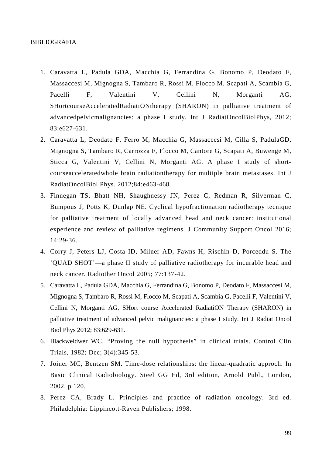#### BIBLIOGRAFIA

- 1. Caravatta L, Padula GDA, Macchia G, Ferrandina G, Bonomo P, Deodato F, Massaccesi M, Mignogna S, Tambaro R, Rossi M, Flocco M, Scapati A, Scambia G, Pacelli F, Valentini V, Cellini N, Morganti AG. SHortcourseAcceleratedRadiatiONtherapy (SHARON) in palliative treatment of advancedpelvicmalignancies: a phase I study. Int J RadiatOncolBiolPhys, 2012; 83:e627-631.
- 2. Caravatta L, Deodato F, Ferro M, Macchia G, Massaccesi M, Cilla S, PadulaGD, Mignogna S, Tambaro R, Carrozza F, Flocco M, Cantore G, Scapati A, Buwenge M, Sticca G, Valentini V, Cellini N, Morganti AG. A phase I study of shortcourseacceleratedwhole brain radiationtherapy for multiple brain metastases. Int J RadiatOncolBiol Phys. 2012;84:e463-468.
- 3. Finnegan TS, Bhatt NH, Shaughnessy JN, Perez C, Redman R, Silverman C, Bumpous J, Potts K, Dunlap NE. Cyclical hypofractionation radiotherapy tecnique for palliative treatment of locally advanced head and neck cancer: institutional experience and review of palliative regimens. J Community Support Oncol 2016; 14:29-36.
- 4. Corry J, Peters LJ, Costa ID, Milner AD, Fawns H, Rischin D, Porceddu S. The 'QUAD SHOT'—a phase II study of palliative radiotherapy for incurable head and neck cancer. Radiother Oncol 2005; 77:137-42.
- 5. Caravatta L, Padula GDA, Macchia G, Ferrandina G, Bonomo P, Deodato F, Massaccesi M, Mignogna S, Tambaro R, Rossi M, Flocco M, Scapati A, Scambia G, Pacelli F, Valentini V, Cellini N, Morganti AG. SHort course Accelerated RadiatiON Therapy (SHARON) in palliative treatment of advanced pelvic malignancies: a phase I study. Int J Radiat Oncol Biol Phys 2012; 83:629-631.
- 6. Blackweldwer WC, "Proving the null hypothesis" in clinical trials. Control Clin Trials, 1982; Dec; 3(4):345-53.
- 7. Joiner MC, Bentzen SM. Time-dose relationships: the linear-quadratic approch. In Basic Clinical Radiobiology. Steel GG Ed, 3rd edition, Arnold Publ., London, 2002, p 120.
- 8. Perez CA, Brady L. Principles and practice of radiation oncology. 3rd ed. Philadelphia: Lippincott-Raven Publishers; 1998.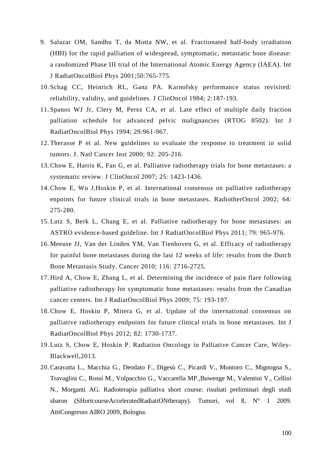- 9. Salazar OM, Sandhu T, da Motta NW, et al. Fractionated half-body irradiation (HBI) for the rapid palliation of widespread, symptomatic, metastatic bone disease: a randomized Phase III trial of the International Atomic Energy Agency (IAEA). Int J RadiatOncolBiol Phys 2001;50:765-775.
- 10. Schag CC, Heinrich RL, Ganz PA. Karnofsky performance status revisited: reliability, validity, and guidelines. J ClinOncol 1984; 2:187-193.
- 11. Spanos WJ Jr, Clery M, Perez CA, et al. Late effect of multiple daily fraction palliation schedule for advanced pelvic malignancies (RTOG 8502). Int J RadiatOncolBiol Phys 1994; 29:961-967.
- 12. Therasse P et al. New guidelines to evaluate the response to treatment in solid tumors. J. Natl Cancer Inst 2000; 92: 205-216.
- 13. Chow E, Harris K, Fan G, et al. Palliative radiotherapy trials for bone metastases: a systematic review. J ClinOncol 2007; 25: 1423-1436.
- 14. Chow E, Wu J,Hoskin P, et al. International consensus on palliative radiotherapy enpoints for future clinical trials in bone metastases. RadiotherOncol 2002; 64: 275-280.
- 15. Lutz S, Berk L, Chang E, et al. Palliative radiotherapy for bone metastases: an ASTRO evidence-based guideline. Int J RadiatOncolBiol Phys 2011; 79: 965-976.
- 16. Meeuse JJ, Van der Linden YM, Van Tienhoven G, et al. Efficacy of radiotherapy for painful bone metastases during the last 12 weeks of life: results from the Dutch Bone Metastasis Study. Cancer 2010; 116: 2716-2725.
- 17. Hird A, Chow E, Zhang L, et al. Determining the incidence of pain flare following palliative radiotherapy for symptomatic bone metastases: results from the Canadian cancer centers. Int J RadiatOncolBiol Phys 2009; 75: 193-197.
- 18. Chow E, Hoskin P, Mitera G, et al. Update of the international consensus on palliative radiotherapy endpoints for future clinical trials in bone metastases. Int J RadiatOncolBiol Phys 2012; 82: 1730-1737.
- 19. Lutz S, Chow E, Hoskin P. Radiation Oncology in Palliative Cancer Care, Wiley-Blackwell,2013.
- 20. Caravatta L., Macchia G., Deodato F., Digesù C., Picardi V., Montoro C., Mignogna S., Travaglini C., Rossi M., Volpacchio G., Vaccarella MP.,Buwenge M., Valentini V., Cellini N., Morganti AG. Radioterapia palliativa short course: risultati preliminari degli studi sharon (SHortcourseAcceleratedRadiatiONtherapy). Tumori, vol 8, N° 1 2009. AttiCongresso AIRO 2009, Bologna.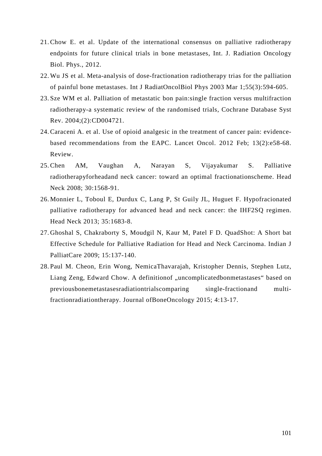- 21. Chow E. et al. Update of the international consensus on palliative radiotherapy endpoints for future clinical trials in bone metastases, Int. J. Radiation Oncology Biol. Phys., 2012.
- 22. Wu JS et al. Meta-analysis of dose-fractionation radiotherapy trias for the palliation of painful bone metastases. Int J RadiatOncolBiol Phys 2003 Mar 1;55(3):594-605.
- 23. Sze WM et al. Palliation of metastatic bon pain:single fraction versus multifraction radiotherapy-a systematic review of the randomised trials, Cochrane Database Syst Rev. 2004;(2):CD004721.
- 24. Caraceni A. et al. Use of opioid analgesic in the treatment of cancer pain: evidencebased recommendations from the EAPC. Lancet Oncol. 2012 Feb; 13(2):e58-68. Review.
- 25. Chen AM, Vaughan A, Narayan S, Vijayakumar S. Palliative radiotherapyforheadand neck cancer: toward an optimal fractionationscheme. Head Neck 2008; 30:1568-91.
- 26. Monnier L, Toboul E, Durdux C, Lang P, St Guily JL, Huguet F. Hypofracionated palliative radiotherapy for advanced head and neck cancer: the IHF2SQ regimen. Head Neck 2013; 35:1683-8.
- 27. Ghoshal S, Chakraborty S, Moudgil N, Kaur M, Patel F D. QuadShot: A Short bat Effective Schedule for Palliative Radiation for Head and Neck Carcinoma. Indian J PalliatCare 2009; 15:137-140.
- 28. Paul M. Cheon, Erin Wong, NemicaThavarajah, Kristopher Dennis, Stephen Lutz, Liang Zeng, Edward Chow. A definition of "uncomplicatedbonmetastases" based on previousbonemetastasesradiationtrialscomparing single-fractionand multifractionradiationtherapy. Journal ofBoneOncology 2015; 4:13-17.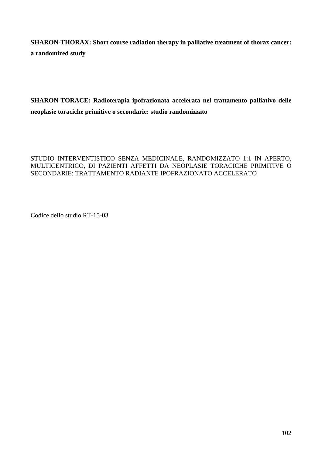**SHARON-THORAX: Short course radiation therapy in palliative treatment of thorax cancer: a randomized study** 

**SHARON-TORACE: Radioterapia ipofrazionata accelerata nel trattamento palliativo delle neoplasie toraciche primitive o secondarie: studio randomizzato** 

# STUDIO INTERVENTISTICO SENZA MEDICINALE, RANDOMIZZATO 1:1 IN APERTO, MULTICENTRICO, DI PAZIENTI AFFETTI DA NEOPLASIE TORACICHE PRIMITIVE O SECONDARIE: TRATTAMENTO RADIANTE IPOFRAZIONATO ACCELERATO

Codice dello studio RT-15-03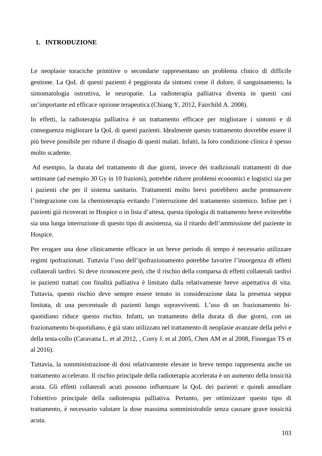#### **1. INTRODUZIONE**

Le neoplasie toraciche primitive o secondarie rappresentano un problema clinico di difficile gestione. La QoL di questi pazienti è peggiorata da sintomi come il dolore, il sanguinamento, la sintomatologia ostruttiva, le neuropatie. La radioterapia palliativa diventa in questi casi un'importante ed efficace opzione terapeutica (Chiang Y, 2012, Fairchild A. 2008).

In effetti, la radioterapia palliativa è un trattamento efficace per migliorare i sintomi e di conseguenza migliorare la QoL di questi pazienti. Idealmente questo trattamento dovrebbe essere il più breve possibile per ridurre il disagio di questi malati. Infatti, la loro condizione clinica è spesso molto scadente.

 Ad esempio, la durata del trattamento di due giorni, invece dei tradizionali trattamenti di due settimane (ad esempio 30 Gy in 10 frazioni), potrebbe ridurre problemi economici e logistici sia per i pazienti che per il sistema sanitario. Trattamenti molto brevi potrebbero anche promuovere l'integrazione con la chemioterapia evitando l'interruzione del trattamento sistemico. Infine per i pazienti già ricoverati in Hospice o in lista d'attesa, questa tipologia di trattamento breve eviterebbe sia una lunga interruzione di questo tipo di assistenza, sia il ritardo dell'ammissione del paziente in Hospice.

Per erogare una dose clinicamente efficace in un breve periodo di tempo è necessario utilizzare regimi ipofrazionati. Tuttavia l'uso dell'ipofrazionamento potrebbe favorire l'insorgenza di effetti collaterali tardivi. Si deve riconoscere però, che il rischio della comparsa di effetti collaterali tardivi in pazienti trattati con finalità palliativa è limitato dalla relativamente breve aspettativa di vita. Tuttavia, questo rischio deve sempre essere tenuto in considerazione data la presenza seppur limitata, di una percentuale di pazienti lungo sopravviventi. L'uso di un frazionamento biquotidiano riduce questo rischio. Infatti, un trattamento della durata di due giorni, con un frazionamento bi-quotidiano, è già stato utilizzato nel trattamento di neoplasie avanzate della pelvi e della testa-collo (Caravatta L. et al 2012, , Corry J. et al 2005, Chen AM et al 2008, Finnegan TS et al 2016).

Tuttavia, la somministrazione di dosi relativamente elevate in breve tempo rappresenta anche un trattamento accelerato. Il rischio principale della radioterapia accelerata è un aumento della tossicità acuta. Gli effetti collaterali acuti possono influenzare la QoL dei pazienti e quindi annullare l'obiettivo principale della radioterapia palliativa. Pertanto, per ottimizzare questo tipo di trattamento, è necessario valutare la dose massima somministrabile senza causare grave tossicità acuta.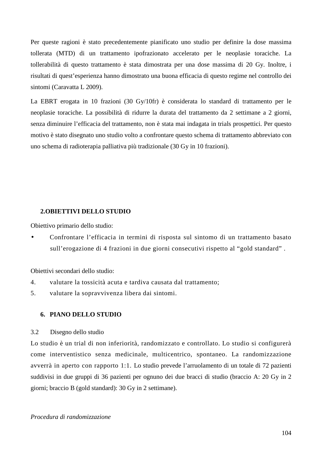Per queste ragioni è stato precedentemente pianificato uno studio per definire la dose massima tollerata (MTD) di un trattamento ipofrazionato accelerato per le neoplasie toraciche. La tollerabilità di questo trattamento è stata dimostrata per una dose massima di 20 Gy. Inoltre, i risultati di quest'esperienza hanno dimostrato una buona efficacia di questo regime nel controllo dei sintomi (Caravatta L 2009).

La EBRT erogata in 10 frazioni (30 Gy/10fr) è considerata lo standard di trattamento per le neoplasie toraciche. La possibilità di ridurre la durata del trattamento da 2 settimane a 2 giorni, senza diminuire l'efficacia del trattamento, non è stata mai indagata in trials prospettici. Per questo motivo è stato disegnato uno studio volto a confrontare questo schema di trattamento abbreviato con uno schema di radioterapia palliativa più tradizionale (30 Gy in 10 frazioni).

#### **2.OBIETTIVI DELLO STUDIO**

Obiettivo primario dello studio:

• Confrontare l'efficacia in termini di risposta sul sintomo di un trattamento basato sull'erogazione di 4 frazioni in due giorni consecutivi rispetto al "gold standard" .

Obiettivi secondari dello studio:

- 4. valutare la tossicità acuta e tardiva causata dal trattamento;
- 5. valutare la sopravvivenza libera dai sintomi.

#### **6. PIANO DELLO STUDIO**

3.2 Disegno dello studio

Lo studio è un trial di non inferiorità, randomizzato e controllato. Lo studio si configurerà come interventistico senza medicinale, multicentrico, spontaneo. La randomizzazione avverrà in aperto con rapporto 1:1. Lo studio prevede l'arruolamento di un totale di 72 pazienti suddivisi in due gruppi di 36 pazienti per ognuno dei due bracci di studio (braccio A: 20 Gy in 2 giorni; braccio B (gold standard): 30 Gy in 2 settimane).

#### *Procedura di randomizzazione*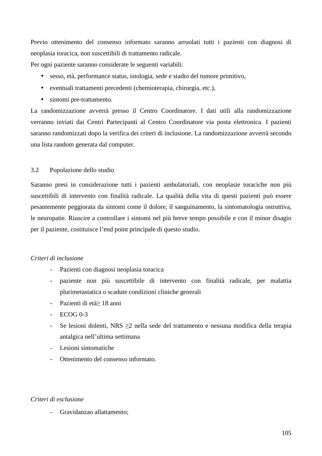Previo ottenimento del consenso informato saranno arruolati tutti i pazienti con diagnosi di neoplasia toracica, non suscettibili di trattamento radicale.

Per ogni paziente saranno considerate le seguenti variabili:

- sesso, età, performance status, istologia, sede e stadio del tumore primitivo,
- eventuali trattamenti precedenti (chemioterapia, chirurgia, etc.),
- sintomi pre-trattamento.

La randomizzazione avverrà presso il Centro Coordinatore. I dati utili alla randomizzazione verranno inviati dai Centri Partecipanti al Centro Coordinatore via posta elettronica. I pazienti saranno randomizzati dopo la verifica dei criteri di inclusione. La randomizzazione avverrà secondo una lista random generata dal computer.

## 3.2 Popolazione dello studio

Saranno presi in considerazione tutti i pazienti ambulatoriali, con neoplasie toraciche non più suscettibili di intervento con finalità radicale. La qualità della vita di questi pazienti può essere pesantemente peggiorata da sintomi come il dolore, il sanguinamento, la sintomatologia ostruttiva, le neuropatie. Riuscire a controllare i sintomi nel più breve tempo possibile e con il minor disagio per il paziente, costituisce l'end point principale di questo studio.

## *Criteri di inclusione*

- Pazienti con diagnosi neoplasia toracica
- paziente non più suscettibile di intervento con finalità radicale, per malattia plurimetastatica o scadute condizioni cliniche generali
- Pazienti di età> 18 anni
- ECOG 0-3
- Se lesioni dolenti, NRS ≥2 nella sede del trattamento e nessuna modifica della terapia antalgica nell'ultima settimana
- Lesioni sintomatiche
- Ottenimento del consenso informato.

## *Criteri di esclusione*

- Gravidanzao allattamento;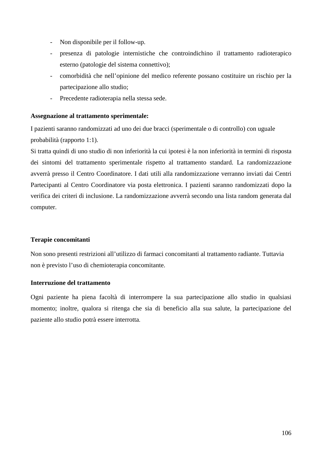- Non disponibile per il follow-up.
- presenza di patologie internistiche che controindichino il trattamento radioterapico esterno (patologie del sistema connettivo);
- comorbidità che nell'opinione del medico referente possano costituire un rischio per la partecipazione allo studio;
- Precedente radioterapia nella stessa sede.

# **Assegnazione al trattamento sperimentale:**

I pazienti saranno randomizzati ad uno dei due bracci (sperimentale o di controllo) con uguale probabilità (rapporto 1:1).

Si tratta quindi di uno studio di non inferiorità la cui ipotesi è la non inferiorità in termini di risposta dei sintomi del trattamento sperimentale rispetto al trattamento standard. La randomizzazione avverrà presso il Centro Coordinatore. I dati utili alla randomizzazione verranno inviati dai Centri Partecipanti al Centro Coordinatore via posta elettronica. I pazienti saranno randomizzati dopo la verifica dei criteri di inclusione. La randomizzazione avverrà secondo una lista random generata dal computer.

# **Terapie concomitanti**

 Non sono presenti restrizioni all'utilizzo di farmaci concomitanti al trattamento radiante. Tuttavia non è previsto l'uso di chemioterapia concomitante.

# **Interruzione del trattamento**

Ogni paziente ha piena facoltà di interrompere la sua partecipazione allo studio in qualsiasi momento; inoltre, qualora si ritenga che sia di beneficio alla sua salute, la partecipazione del paziente allo studio potrà essere interrotta.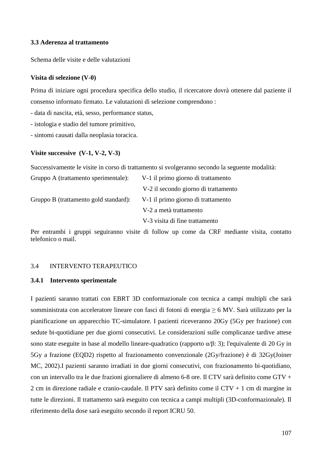### **3.3 Aderenza al trattamento**

Schema delle visite e delle valutazioni

#### **Visita di selezione (V-0)**

Prima di iniziare ogni procedura specifica dello studio, il ricercatore dovrà ottenere dal paziente il consenso informato firmato. Le valutazioni di selezione comprendono :

- data di nascita, età, sesso, performance status,

- istologia e stadio del tumore primitivo,

- sintomi causati dalla neoplasia toracica.

#### **Visite successive (V-1, V-2, V-3)**

Successivamente le visite in corso di trattamento si svolgeranno secondo la seguente modalità:

| Gruppo A (trattamento sperimentale):  | V-1 il primo giorno di trattamento   |
|---------------------------------------|--------------------------------------|
|                                       | V-2 il secondo giorno di trattamento |
| Gruppo B (trattamento gold standard): | V-1 il primo giorno di trattamento   |
|                                       | V-2 a metà trattamento               |
|                                       | V-3 visita di fine trattamento       |

Per entrambi i gruppi seguiranno visite di follow up come da CRF mediante visita, contatto telefonico o mail.

#### 3.4 INTERVENTO TERAPEUTICO

#### **3.4.1 Intervento sperimentale**

I pazienti saranno trattati con EBRT 3D conformazionale con tecnica a campi multipli che sarà somministrata con acceleratore lineare con fasci di fotoni di energia ≥ 6 MV. Sarà utilizzato per la pianificazione un apparecchio TC-simulatore. I pazienti riceveranno 20Gy (5Gy per frazione) con sedute bi-quotidiane per due giorni consecutivi. Le considerazioni sulle complicanze tardive attese sono state eseguite in base al modello lineare-quadratico (rapporto α/β: 3); l'equivalente di 20 Gy in 5Gy a frazione (EQD2) rispetto al frazionamento convenzionale (2Gy/frazione) è di 32Gy(Joiner MC, 2002).I pazienti saranno irradiati in due giorni consecutivi, con frazionamento bi-quotidiano, con un intervallo tra le due frazioni giornaliere di almeno 6-8 ore. Il CTV sarà definito come GTV + 2 cm in direzione radiale e cranio-caudale. Il PTV sarà definito come il CTV + 1 cm di margine in tutte le direzioni. Il trattamento sarà eseguito con tecnica a campi multipli (3D-conformazionale). Il riferimento della dose sarà eseguito secondo il report ICRU 50.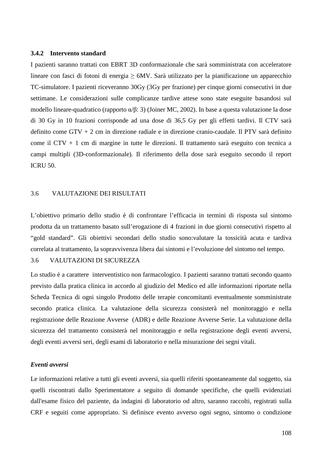#### **3.4.2 Intervento standard**

I pazienti saranno trattati con EBRT 3D conformazionale che sarà somministrata con acceleratore lineare con fasci di fotoni di energia  $\geq 6MV$ . Sarà utilizzato per la pianificazione un apparecchio TC-simulatore. I pazienti riceveranno 30Gy (3Gy per frazione) per cinque giorni consecutivi in due settimane. Le considerazioni sulle complicanze tardive attese sono state eseguite basandosi sul modello lineare-quadratico (rapporto α/β: 3) (Joiner MC, 2002). In base a questa valutazione la dose di 30 Gy in 10 frazioni corrisponde ad una dose di 36,5 Gy per gli effetti tardivi. Il CTV sarà definito come GTV + 2 cm in direzione radiale e in direzione cranio-caudale. Il PTV sarà definito come il CTV + 1 cm di margine in tutte le direzioni. Il trattamento sarà eseguito con tecnica a campi multipli (3D-conformazionale). Il riferimento della dose sarà eseguito secondo il report ICRU 50.

## 3.6 VALUTAZIONE DEI RISULTATI

L'obiettivo primario dello studio è di confrontare l'efficacia in termini di risposta sul sintomo prodotta da un trattamento basato sull'erogazione di 4 frazioni in due giorni consecutivi rispetto al "gold standard". Gli obiettivi secondari dello studio sono:valutare la tossicità acuta e tardiva correlata al trattamento, la sopravvivenza libera dai sintomi e l'evoluzione del sintomo nel tempo.

## 3.6 VALUTAZIONI DI SICUREZZA

Lo studio è a carattere interventistico non farmacologico. I pazienti saranno trattati secondo quanto previsto dalla pratica clinica in accordo al giudizio del Medico ed alle informazioni riportate nella Scheda Tecnica di ogni singolo Prodotto delle terapie concomitanti eventualmente somministrate secondo pratica clinica. La valutazione della sicurezza consisterà nel monitoraggio e nella registrazione delle Reazione Avverse (ADR) e delle Reazione Avverse Serie. La valutazione della sicurezza del trattamento consisterà nel monitoraggio e nella registrazione degli eventi avversi, degli eventi avversi seri, degli esami di laboratorio e nella misurazione dei segni vitali.

### *Eventi avversi*

Le informazioni relative a tutti gli eventi avversi, sia quelli riferiti spontaneamente dal soggetto, sia quelli riscontrati dallo Sperimentatore a seguito di domande specifiche, che quelli evidenziati dall'esame fisico del paziente, da indagini di laboratorio od altro, saranno raccolti, registrati sulla CRF e seguiti come appropriato. Si definisce evento avverso ogni segno, sintomo o condizione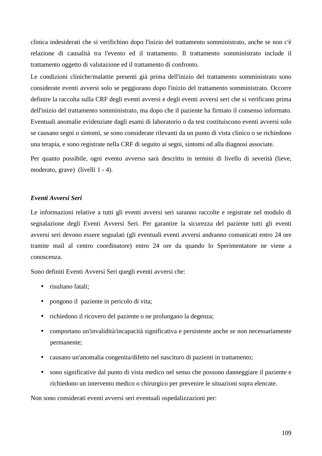clinica indesiderati che si verifichino dopo l'inizio del trattamento somministrato, anche se non c'è relazione di causalità tra l'evento ed il trattamento. Il trattamento somministrato include il trattamento oggetto di valutazione ed il trattamento di confronto.

Le condizioni cliniche/malattie presenti già prima dell'inizio del trattamento somministrato sono considerate eventi avversi solo se peggiorano dopo l'inizio del trattamento somministrato. Occorre definire la raccolta sulla CRF degli eventi avversi e degli eventi avversi seri che si verificano prima dell'inizio del trattamento somministrato, ma dopo che il paziente ha firmato il consenso informato. Eventuali anomalie evidenziate dagli esami di laboratorio o da test costituiscono eventi avversi solo se causano segni o sintomi, se sono considerate rilevanti da un punto di vista clinico o se richiedono una terapia, e sono registrate nella CRF di seguito ai segni, sintomi od alla diagnosi associate.

Per quanto possibile, ogni evento avverso sarà descritto in termini di livello di severità (lieve, moderato, grave) (livelli 1 - 4).

#### *Eventi Avversi Seri*

Le informazioni relative a tutti gli eventi avversi seri saranno raccolte e registrate nel modulo di segnalazione degli Eventi Avversi Seri. Per garantire la sicurezza del paziente tutti gli eventi avversi seri devono essere segnalati (gli eventuali eventi avversi andranno comunicati entro 24 ore tramite mail al centro coordinatore) entro 24 ore da quando lo Sperimentatore ne viene a conoscenza.

Sono definiti Eventi Avversi Seri quegli eventi avversi che:

- risultano fatali;
- pongono il paziente in pericolo di vita;
- richiedono il ricovero del paziente o ne prolungano la degenza;
- comportano un'invalidità/incapacità significativa e persistente anche se non necessariamente permanente;
- causano un'anomalia congenita/difetto nel nascituro di pazienti in trattamento;
- sono significative dal punto di vista medico nel senso che possono danneggiare il paziente e richiedono un intervento medico o chirurgico per prevenire le situazioni sopra elencate.

Non sono considerati eventi avversi seri eventuali ospedalizzazioni per: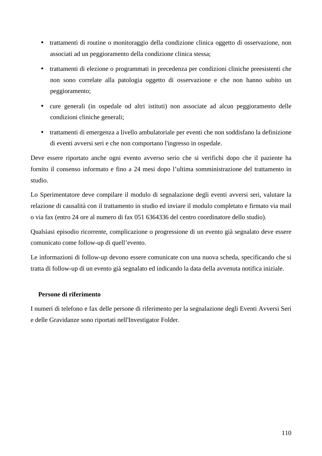- trattamenti di routine o monitoraggio della condizione clinica oggetto di osservazione, non associati ad un peggioramento della condizione clinica stessa;
- trattamenti di elezione o programmati in precedenza per condizioni cliniche preesistenti che non sono correlate alla patologia oggetto di osservazione e che non hanno subito un peggioramento;
- cure generali (in ospedale od altri istituti) non associate ad alcun peggioramento delle condizioni cliniche generali;
- trattamenti di emergenza a livello ambulatoriale per eventi che non soddisfano la definizione di eventi avversi seri e che non comportano l'ingresso in ospedale.

Deve essere riportato anche ogni evento avverso serio che si verifichi dopo che il paziente ha fornito il consenso informato e fino a 24 mesi dopo l'ultima somministrazione del trattamento in studio.

Lo Sperimentatore deve compilare il modulo di segnalazione degli eventi avversi seri, valutare la relazione di causalità con il trattamento in studio ed inviare il modulo completato e firmato via mail o via fax (entro 24 ore al numero di fax 051 6364336 del centro coordinatore dello studio).

Qualsiasi episodio ricorrente, complicazione o progressione di un evento già segnalato deve essere comunicato come follow-up di quell'evento.

Le informazioni di follow-up devono essere comunicate con una nuova scheda, specificando che si tratta di follow-up di un evento già segnalato ed indicando la data della avvenuta notifica iniziale.

# **Persone di riferimento**

I numeri di telefono e fax delle persone di riferimento per la segnalazione degli Eventi Avversi Seri e delle Gravidanze sono riportati nell'Investigator Folder.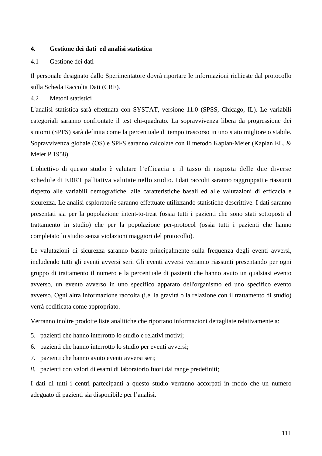## **4. Gestione dei dati ed analisi statistica**

#### 4.1 Gestione dei dati

Il personale designato dallo Sperimentatore dovrà riportare le informazioni richieste dal protocollo sulla Scheda Raccolta Dati (CRF)*.* 

4.2 Metodi statistici

L'analisi statistica sarà effettuata con SYSTAT, versione 11.0 (SPSS, Chicago, IL). Le variabili categoriali saranno confrontate il test chi-quadrato. La sopravvivenza libera da progressione dei sintomi (SPFS) sarà definita come la percentuale di tempo trascorso in uno stato migliore o stabile. Sopravvivenza globale (OS) e SPFS saranno calcolate con il metodo Kaplan-Meier (Kaplan EL. & Meier P 1958).

L'obiettivo di questo studio è valutare l'efficacia e il tasso di risposta delle due diverse schedule di EBRT palliativa valutate nello studio. I dati raccolti saranno raggruppati e riassunti rispetto alle variabili demografiche, alle caratteristiche basali ed alle valutazioni di efficacia e sicurezza. Le analisi esploratorie saranno effettuate utilizzando statistiche descrittive. I dati saranno presentati sia per la popolazione intent-to-treat (ossia tutti i pazienti che sono stati sottoposti al trattamento in studio) che per la popolazione per-protocol (ossia tutti i pazienti che hanno completato lo studio senza violazioni maggiori del protocollo).

Le valutazioni di sicurezza saranno basate principalmente sulla frequenza degli eventi avversi, includendo tutti gli eventi avversi seri. Gli eventi avversi verranno riassunti presentando per ogni gruppo di trattamento il numero e la percentuale di pazienti che hanno avuto un qualsiasi evento avverso, un evento avverso in uno specifico apparato dell'organismo ed uno specifico evento avverso. Ogni altra informazione raccolta (i.e. la gravità o la relazione con il trattamento di studio) verrà codificata come appropriato.

Verranno inoltre prodotte liste analitiche che riportano informazioni dettagliate relativamente a:

- 5. pazienti che hanno interrotto lo studio e relativi motivi;
- 6. pazienti che hanno interrotto lo studio per eventi avversi;
- 7. pazienti che hanno avuto eventi avversi seri;
- *8.* pazienti con valori di esami di laboratorio fuori dai range predefiniti;

I dati di tutti i centri partecipanti a questo studio verranno accorpati in modo che un numero adeguato di pazienti sia disponibile per l'analisi.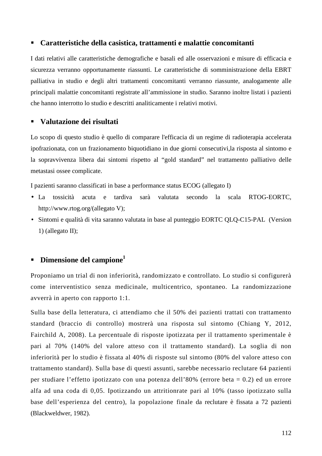# **Caratteristiche della casistica, trattamenti e malattie concomitanti**

I dati relativi alle caratteristiche demografiche e basali ed alle osservazioni e misure di efficacia e sicurezza verranno opportunamente riassunti. Le caratteristiche di somministrazione della EBRT palliativa in studio e degli altri trattamenti concomitanti verranno riassunte, analogamente alle principali malattie concomitanti registrate all'ammissione in studio. Saranno inoltre listati i pazienti che hanno interrotto lo studio e descritti analiticamente i relativi motivi.

# **Valutazione dei risultati**

Lo scopo di questo studio è quello di comparare l'efficacia di un regime di radioterapia accelerata ipofrazionata, con un frazionamento biquotidiano in due giorni consecutivi,la risposta al sintomo e la sopravvivenza libera dai sintomi rispetto al "gold standard" nel trattamento palliativo delle metastasi ossee complicate.

I pazienti saranno classificati in base a performance status ECOG (allegato I)

- La tossicità acuta e tardiva sarà valutata secondo la scala RTOG-EORTC, http://www.rtog.org/(allegato V);
- Sintomi e qualità di vita saranno valutata in base al punteggio EORTC QLQ-C15-PAL (Version 1) (allegato II);

# **Dimensione del campione<sup>1</sup>**

Proponiamo un trial di non inferiorità, randomizzato e controllato. Lo studio si configurerà come interventistico senza medicinale, multicentrico, spontaneo. La randomizzazione avverrà in aperto con rapporto 1:1.

Sulla base della letteratura, ci attendiamo che il 50% dei pazienti trattati con trattamento standard (braccio di controllo) mostrerà una risposta sul sintomo (Chiang Y, 2012, Fairchild A, 2008). La percentuale di risposte ipotizzata per il trattamento sperimentale è pari al 70% (140% del valore atteso con il trattamento standard). La soglia di non inferiorità per lo studio è fissata al 40% di risposte sul sintomo (80% del valore atteso con trattamento standard). Sulla base di questi assunti, sarebbe necessario reclutare 64 pazienti per studiare l'effetto ipotizzato con una potenza dell'80% (errore beta = 0.2) ed un errore alfa ad una coda di 0,05. Ipotizzando un attritionrate pari al 10% (tasso ipotizzato sulla base dell'esperienza del centro), la popolazione finale da reclutare è fissata a 72 pazienti (Blackweldwer, 1982).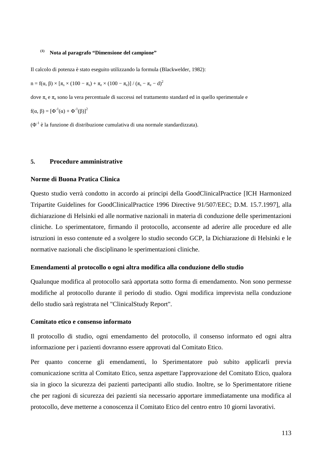#### **(1) Nota al paragrafo "Dimensione del campione"**

Il calcolo di potenza è stato eseguito utilizzando la formula (Blackwelder, 1982):

 $n = f(α, β) \times [\pi_s \times (100 - \pi_s) + \pi_e \times (100 - \pi_e)] / (\pi_s - \pi_e - d)^2$ 

dove  $\pi_s$  e  $\pi_e$  sono la vera percentuale di successi nel trattamento standard ed in quello sperimentale e

 $f(α, β) = [Φ<sup>-1</sup>(α) + Φ<sup>-1</sup>(β)]<sup>2</sup>$ 

 $(\Phi^1)$  è la funzione di distribuzione cumulativa di una normale standardizzata).

#### **5. Procedure amministrative**

#### **Norme di Buona Pratica Clinica**

Questo studio verrà condotto in accordo ai principi della GoodClinicalPractice [ICH Harmonized Tripartite Guidelines for GoodClinicalPractice 1996 Directive 91/507/EEC; D.M. 15.7.1997], alla dichiarazione di Helsinki ed alle normative nazionali in materia di conduzione delle sperimentazioni cliniche. Lo sperimentatore, firmando il protocollo, acconsente ad aderire alle procedure ed alle istruzioni in esso contenute ed a svolgere lo studio secondo GCP, la Dichiarazione di Helsinki e le normative nazionali che disciplinano le sperimentazioni cliniche.

#### **Emendamenti al protocollo o ogni altra modifica alla conduzione dello studio**

Qualunque modifica al protocollo sarà apportata sotto forma di emendamento. Non sono permesse modifiche al protocollo durante il periodo di studio. Ogni modifica imprevista nella conduzione dello studio sarà registrata nel "ClinicalStudy Report".

#### **Comitato etico e consenso informato**

Il protocollo di studio, ogni emendamento del protocollo, il consenso informato ed ogni altra informazione per i pazienti dovranno essere approvati dal Comitato Etico.

Per quanto concerne gli emendamenti, lo Sperimentatore può subito applicarli previa comunicazione scritta al Comitato Etico, senza aspettare l'approvazione del Comitato Etico, qualora sia in gioco la sicurezza dei pazienti partecipanti allo studio. Inoltre, se lo Sperimentatore ritiene che per ragioni di sicurezza dei pazienti sia necessario apportare immediatamente una modifica al protocollo, deve metterne a conoscenza il Comitato Etico del centro entro 10 giorni lavorativi.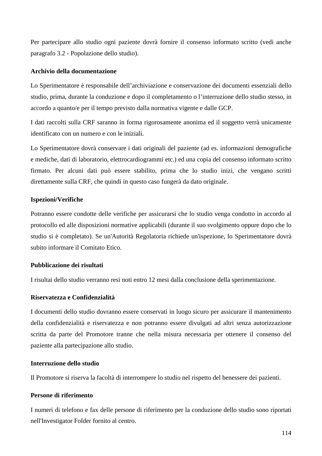Per partecipare allo studio ogni paziente dovrà fornire il consenso informato scritto (vedi anche paragrafo 3.2 - Popolazione dello studio).

# **Archivio della documentazione**

Lo Sperimentatore è responsabile dell'archiviazione e conservazione dei documenti essenziali dello studio, prima, durante la conduzione e dopo il completamento o l'interruzione dello studio stesso, in accordo a quanto/e per il tempo previsto dalla normativa vigente e dalle GCP.

I dati raccolti sulla CRF saranno in forma rigorosamente anonima ed il soggetto verrà unicamente identificato con un numero e con le iniziali.

Lo Sperimentatore dovrà conservare i dati originali del paziente (ad es. informazioni demografiche e mediche, dati di laboratorio, elettrocardiogrammi etc.) ed una copia del consenso informato scritto firmato. Per alcuni dati può essere stabilito, prima che lo studio inizi, che vengano scritti direttamente sulla CRF, che quindi in questo caso fungerà da dato originale.

# **Ispezioni/Verifiche**

Potranno essere condotte delle verifiche per assicurarsi che lo studio venga condotto in accordo al protocollo ed alle disposizioni normative applicabili (durante il suo svolgimento oppure dopo che lo studio si è completato). Se un'Autorità Regolatoria richiede un'ispezione, lo Sperimentatore dovrà subito informare il Comitato Etico.

# **Pubblicazione dei risultati**

I risultai dello studio verranno resi noti entro 12 mesi dalla conclusione della sperimentazione.

# **Riservatezza e Confidenzialità**

I documenti dello studio dovranno essere conservati in luogo sicuro per assicurare il mantenimento della confidenzialità e riservatezza e non potranno essere divulgati ad altri senza autorizzazione scritta da parte del Promotore tranne che nella misura necessaria per ottenere il consenso del paziente alla partecipazione allo studio.

## **Interruzione dello studio**

Il Promotore si riserva la facoltà di interrompere lo studio nel rispetto del benessere dei pazienti.

# **Persone di riferimento**

I numeri di telefono e fax delle persone di riferimento per la conduzione dello studio sono riportati nell'Investigator Folder fornito al centro.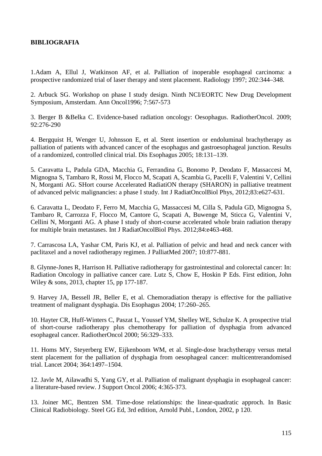# **BIBLIOGRAFIA**

1.Adam A, Ellul J, Watkinson AF, et al. Palliation of inoperable esophageal carcinoma: a prospective randomized trial of laser therapy and stent placement. Radiology 1997; 202:344–348.

2. Arbuck SG. Workshop on phase I study design. Ninth NCI/EORTC New Drug Development Symposium, Amsterdam. Ann Oncol1996; 7:567-573

3. Berger B &Belka C. Evidence-based radiation oncology: Oesophagus. RadiotherOncol. 2009; 92:276-290

4. Bergquist H, Wenger U, Johnsson E, et al. Stent insertion or endoluminal brachytherapy as palliation of patients with advanced cancer of the esophagus and gastroesophageal junction. Results of a randomized, controlled clinical trial. Dis Esophagus 2005; 18:131–139.

5. Caravatta L, Padula GDA, Macchia G, Ferrandina G, Bonomo P, Deodato F, Massaccesi M, Mignogna S, Tambaro R, Rossi M, Flocco M, Scapati A, Scambia G, Pacelli F, Valentini V, Cellini N, Morganti AG. SHort course Accelerated RadiatiON therapy (SHARON) in palliative treatment of advanced pelvic malignancies: a phase I study. Int J RadiatOncolBiol Phys, 2012;83:e627-631.

6. Caravatta L, Deodato F, Ferro M, Macchia G, Massaccesi M, Cilla S, Padula GD, Mignogna S, Tambaro R, Carrozza F, Flocco M, Cantore G, Scapati A, Buwenge M, Sticca G, Valentini V, Cellini N, Morganti AG. A phase I study of short-course accelerated whole brain radiation therapy for multiple brain metastases. Int J RadiatOncolBiol Phys. 2012;84:e463-468.

7. Carrascosa LA, Yashar CM, Paris KJ, et al. Palliation of pelvic and head and neck cancer with paclitaxel and a novel radiotherapy regimen. J PalliatMed 2007; 10:877-881.

8. Glynne-Jones R, Harrison H. Palliative radiotherapy for gastrointestinal and colorectal cancer: In: Radiation Oncology in palliative cancer care. Lutz S, Chow E, Hoskin P Eds. First edition, John Wiley & sons, 2013, chapter 15, pp 177-187.

9. Harvey JA, Bessell JR, Beller E, et al. Chemoradiation therapy is effective for the palliative treatment of malignant dysphagia. Dis Esophagus 2004; 17:260–265.

10. Hayter CR, Huff-Winters C, Paszat L, Youssef YM, Shelley WE, Schulze K. A prospective trial of short-course radiotherapy plus chemotherapy for palliation of dysphagia from advanced esophageal cancer. RadiotherOncol 2000; 56:329–333.

11. Homs MY, Steyerberg EW, Eijkenboom WM, et al. Single-dose brachytherapy versus metal stent placement for the palliation of dysphagia from oesophageal cancer: multicentrerandomised trial. Lancet 2004; 364:1497–1504.

12. Javle M, Ailawadhi S, Yang GY, et al. Palliation of malignant dysphagia in esophageal cancer: a literature-based review. J Support Oncol 2006; 4:365-373.

13. Joiner MC, Bentzen SM. Time-dose relationships: the linear-quadratic approch. In Basic Clinical Radiobiology. Steel GG Ed, 3rd edition, Arnold Publ., London, 2002, p 120.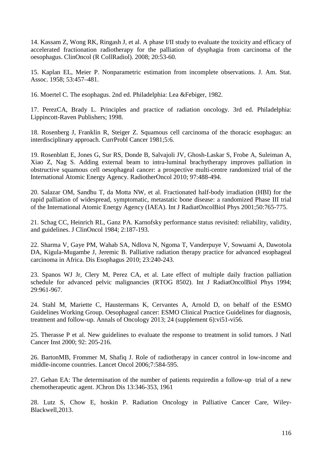14. Kassam Z, Wong RK, Ringash J, et al. A phase I/II study to evaluate the toxicity and efficacy of accelerated fractionation radiotherapy for the palliation of dysphagia from carcinoma of the oesophagus. ClinOncol (R CollRadiol). 2008; 20:53-60.

15. Kaplan EL, Meier P. Nonparametric estimation from incomplete observations. J. Am. Stat. Assoc. 1958; 53:457–481.

16. Moertel C. The esophagus. 2nd ed. Philadelphia: Lea &Febiger, 1982.

17. PerezCA, Brady L. Principles and practice of radiation oncology. 3rd ed. Philadelphia: Lippincott-Raven Publishers; 1998.

18. Rosenberg J, Franklin R, Steiger Z. Squamous cell carcinoma of the thoracic esophagus: an interdisciplinary approach. CurrProbl Cancer 1981;5:6.

19. Rosenblatt E, Jones G, Sur RS, Donde B, Salvajoli JV, Ghosh-Laskar S, Frobe A, Suleiman A, Xiao Z, Nag S. Adding external beam to intra-luminal brachytherapy improves palliation in obstructive squamous cell oesophageal cancer: a prospective multi-centre randomized trial of the International Atomic Energy Agency. RadiotherOncol 2010; 97:488-494.

20. Salazar OM, Sandhu T, da Motta NW, et al. Fractionated half-body irradiation (HBI) for the rapid palliation of widespread, symptomatic, metastatic bone disease: a randomized Phase III trial of the International Atomic Energy Agency (IAEA). Int J RadiatOncolBiol Phys 2001;50:765-775.

21. Schag CC, Heinrich RL, Ganz PA. Karnofsky performance status revisited: reliability, validity, and guidelines. J ClinOncol 1984; 2:187-193.

22. Sharma V, Gaye PM, Wahab SA, Ndlova N, Ngoma T, Vanderpuye V, Sowuami A, Dawotola DA, Kigula-Mugambe J, Jeremic B. Palliative radiation therapy practice for advanced esophageal carcinoma in Africa. Dis Esophagus 2010; 23:240-243.

23. Spanos WJ Jr, Clery M, Perez CA, et al. Late effect of multiple daily fraction palliation schedule for advanced pelvic malignancies (RTOG 8502). Int J RadiatOncolBiol Phys 1994; 29:961-967.

24. Stahl M, Mariette C, Haustermans K, Cervantes A, Arnold D, on behalf of the ESMO Guidelines Working Group. Oesophageal cancer: ESMO Clinical Practice Guidelines for diagnosis, treatment and follow-up. Annals of Oncology 2013; 24 (supplement 6):vi51-vi56.

25. Therasse P et al. New guidelines to evaluate the response to treatment in solid tumors. J Natl Cancer Inst 2000; 92: 205-216.

26. BartonMB, Frommer M, Shafiq J. Role of radiotherapy in cancer control in low-income and middle-income countries. Lancet Oncol 2006;7:584-595.

27. Gehan EA: The determination of the number of patients requiredin a follow-up trial of a new chemotherapeutic agent. JChron Dis 13:346-353, 1961

28. Lutz S, Chow E, hoskin P. Radiation Oncology in Palliative Cancer Care, Wiley-Blackwell,2013.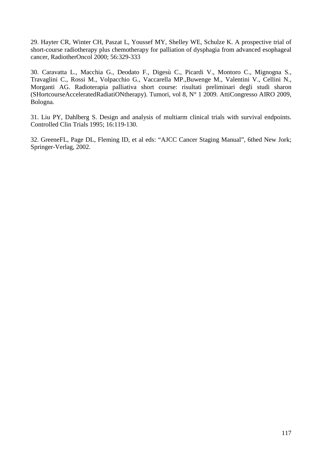29. Hayter CR, Winter CH, Paszat L, Youssef MY, Shelley WE, Schulze K. A prospective trial of short-course radiotherapy plus chemotherapy for palliation of dysphagia from advanced esophageal cancer, RadiotherOncol 2000; 56:329-333

30. Caravatta L., Macchia G., Deodato F., Digesù C., Picardi V., Montoro C., Mignogna S., Travaglini C., Rossi M., Volpacchio G., Vaccarella MP.,Buwenge M., Valentini V., Cellini N., Morganti AG. Radioterapia palliativa short course: risultati preliminari degli studi sharon (SHortcourseAcceleratedRadiatiONtherapy). Tumori, vol 8, N° 1 2009. AttiCongresso AIRO 2009, Bologna.

31. Liu PY, Dahlberg S. Design and analysis of multiarm clinical trials with survival endpoints. Controlled Clin Trials 1995; 16:119-130.

32. GreeneFL, Page DL, Fleming ID, et al eds: "AJCC Cancer Staging Manual", 6thed New Jork; Springer-Verlag, 2002.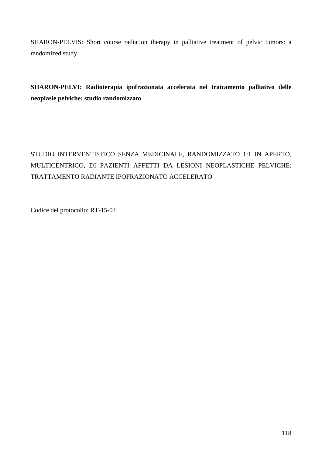SHARON-PELVIS: Short course radiation therapy in palliative treatment of pelvic tumors: a randomized study

**SHARON-PELVI: Radioterapia ipofrazionata accelerata nel trattamento palliativo delle neoplasie pelviche: studio randomizzato** 

# STUDIO INTERVENTISTICO SENZA MEDICINALE, RANDOMIZZATO 1:1 IN APERTO, MULTICENTRICO, DI PAZIENTI AFFETTI DA LESIONI NEOPLASTICHE PELVICHE: TRATTAMENTO RADIANTE IPOFRAZIONATO ACCELERATO

Codice del protocollo: RT-15-04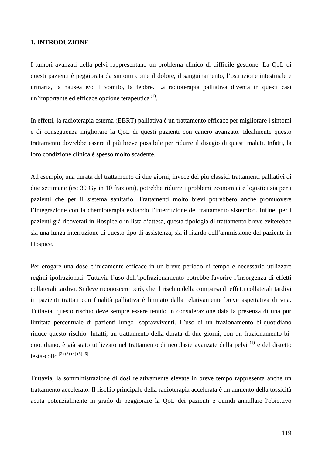# **1. INTRODUZIONE**

I tumori avanzati della pelvi rappresentano un problema clinico di difficile gestione. La QoL di questi pazienti è peggiorata da sintomi come il dolore, il sanguinamento, l'ostruzione intestinale e urinaria, la nausea e/o il vomito, la febbre. La radioterapia palliativa diventa in questi casi un'importante ed efficace opzione terapeutica $<sup>(1)</sup>$ .</sup>

In effetti, la radioterapia esterna (EBRT) palliativa è un trattamento efficace per migliorare i sintomi e di conseguenza migliorare la QoL di questi pazienti con cancro avanzato. Idealmente questo trattamento dovrebbe essere il più breve possibile per ridurre il disagio di questi malati. Infatti, la loro condizione clinica è spesso molto scadente.

Ad esempio, una durata del trattamento di due giorni, invece dei più classici trattamenti palliativi di due settimane (es: 30 Gy in 10 frazioni), potrebbe ridurre i problemi economici e logistici sia per i pazienti che per il sistema sanitario. Trattamenti molto brevi potrebbero anche promuovere l'integrazione con la chemioterapia evitando l'interruzione del trattamento sistemico. Infine, per i pazienti già ricoverati in Hospice o in lista d'attesa, questa tipologia di trattamento breve eviterebbe sia una lunga interruzione di questo tipo di assistenza, sia il ritardo dell'ammissione del paziente in Hospice.

Per erogare una dose clinicamente efficace in un breve periodo di tempo è necessario utilizzare regimi ipofrazionati. Tuttavia l'uso dell'ipofrazionamento potrebbe favorire l'insorgenza di effetti collaterali tardivi. Si deve riconoscere però, che il rischio della comparsa di effetti collaterali tardivi in pazienti trattati con finalità palliativa è limitato dalla relativamente breve aspettativa di vita. Tuttavia, questo rischio deve sempre essere tenuto in considerazione data la presenza di una pur limitata percentuale di pazienti lungo- sopravviventi. L'uso di un frazionamento bi-quotidiano riduce questo rischio. Infatti, un trattamento della durata di due giorni, con un frazionamento biquotidiano, è già stato utilizzato nel trattamento di neoplasie avanzate della pelvi (1) e del distetto testa-collo  $^{(2) (3) (4) (5) (6)}$ .

Tuttavia, la somministrazione di dosi relativamente elevate in breve tempo rappresenta anche un trattamento accelerato. Il rischio principale della radioterapia accelerata è un aumento della tossicità acuta potenzialmente in grado di peggiorare la QoL dei pazienti e quindi annullare l'obiettivo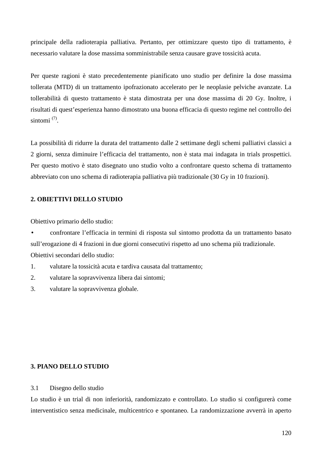principale della radioterapia palliativa. Pertanto, per ottimizzare questo tipo di trattamento, è necessario valutare la dose massima somministrabile senza causare grave tossicità acuta.

Per queste ragioni è stato precedentemente pianificato uno studio per definire la dose massima tollerata (MTD) di un trattamento ipofrazionato accelerato per le neoplasie pelviche avanzate. La tollerabilità di questo trattamento è stata dimostrata per una dose massima di 20 Gy. Inoltre, i risultati di quest'esperienza hanno dimostrato una buona efficacia di questo regime nel controllo dei sintomi $^{(7)}$ .

La possibilità di ridurre la durata del trattamento dalle 2 settimane degli schemi palliativi classici a 2 giorni, senza diminuire l'efficacia del trattamento, non è stata mai indagata in trials prospettici. Per questo motivo è stato disegnato uno studio volto a confrontare questo schema di trattamento abbreviato con uno schema di radioterapia palliativa più tradizionale (30 Gy in 10 frazioni).

# **2. OBIETTIVI DELLO STUDIO**

Obiettivo primario dello studio:

• confrontare l'efficacia in termini di risposta sul sintomo prodotta da un trattamento basato sull'erogazione di 4 frazioni in due giorni consecutivi rispetto ad uno schema più tradizionale. Obiettivi secondari dello studio:

1. valutare la tossicità acuta e tardiva causata dal trattamento;

2. valutare la sopravvivenza libera dai sintomi;

3. valutare la sopravvivenza globale.

# **3. PIANO DELLO STUDIO**

# 3.1 Disegno dello studio

Lo studio è un trial di non inferiorità, randomizzato e controllato. Lo studio si configurerà come interventistico senza medicinale, multicentrico e spontaneo. La randomizzazione avverrà in aperto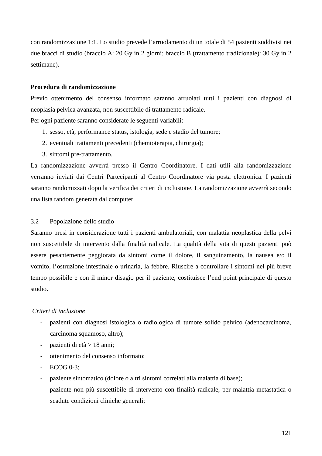con randomizzazione 1:1. Lo studio prevede l'arruolamento di un totale di 54 pazienti suddivisi nei due bracci di studio (braccio A: 20 Gy in 2 giorni; braccio B (trattamento tradizionale): 30 Gy in 2 settimane).

#### **Procedura di randomizzazione**

Previo ottenimento del consenso informato saranno arruolati tutti i pazienti con diagnosi di neoplasia pelvica avanzata, non suscettibile di trattamento radicale.

Per ogni paziente saranno considerate le seguenti variabili:

- 1. sesso, età, performance status, istologia, sede e stadio del tumore;
- 2. eventuali trattamenti precedenti (chemioterapia, chirurgia);
- 3. sintomi pre-trattamento.

La randomizzazione avverrà presso il Centro Coordinatore. I dati utili alla randomizzazione verranno inviati dai Centri Partecipanti al Centro Coordinatore via posta elettronica. I pazienti saranno randomizzati dopo la verifica dei criteri di inclusione. La randomizzazione avverrà secondo una lista random generata dal computer.

#### 3.2 Popolazione dello studio

Saranno presi in considerazione tutti i pazienti ambulatoriali, con malattia neoplastica della pelvi non suscettibile di intervento dalla finalità radicale. La qualità della vita di questi pazienti può essere pesantemente peggiorata da sintomi come il dolore, il sanguinamento, la nausea e/o il vomito, l'ostruzione intestinale o urinaria, la febbre. Riuscire a controllare i sintomi nel più breve tempo possibile e con il minor disagio per il paziente, costituisce l'end point principale di questo studio.

#### *Criteri di inclusione*

- pazienti con diagnosi istologica o radiologica di tumore solido pelvico (adenocarcinoma, carcinoma squamoso, altro);
- pazienti di età > 18 anni;
- ottenimento del consenso informato;
- ECOG 0-3;
- paziente sintomatico (dolore o altri sintomi correlati alla malattia di base);
- paziente non più suscettibile di intervento con finalità radicale, per malattia metastatica o scadute condizioni cliniche generali;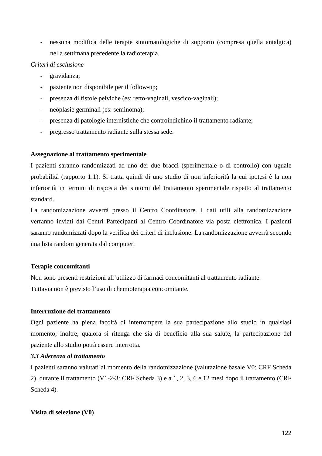- nessuna modifica delle terapie sintomatologiche di supporto (compresa quella antalgica) nella settimana precedente la radioterapia.

# *Criteri di esclusione*

- gravidanza;
- paziente non disponibile per il follow-up;
- presenza di fistole pelviche (es: retto-vaginali, vescico-vaginali);
- neoplasie germinali (es: seminoma);
- presenza di patologie internistiche che controindichino il trattamento radiante;
- pregresso trattamento radiante sulla stessa sede.

## **Assegnazione al trattamento sperimentale**

I pazienti saranno randomizzati ad uno dei due bracci (sperimentale o di controllo) con uguale probabilità (rapporto 1:1). Si tratta quindi di uno studio di non inferiorità la cui ipotesi è la non inferiorità in termini di risposta dei sintomi del trattamento sperimentale rispetto al trattamento standard.

La randomizzazione avverrà presso il Centro Coordinatore. I dati utili alla randomizzazione verranno inviati dai Centri Partecipanti al Centro Coordinatore via posta elettronica. I pazienti saranno randomizzati dopo la verifica dei criteri di inclusione. La randomizzazione avverrà secondo una lista random generata dal computer.

## **Terapie concomitanti**

Non sono presenti restrizioni all'utilizzo di farmaci concomitanti al trattamento radiante. Tuttavia non è previsto l'uso di chemioterapia concomitante.

## **Interruzione del trattamento**

Ogni paziente ha piena facoltà di interrompere la sua partecipazione allo studio in qualsiasi momento; inoltre, qualora si ritenga che sia di beneficio alla sua salute, la partecipazione del paziente allo studio potrà essere interrotta.

# *3.3 Aderenza al trattamento*

I pazienti saranno valutati al momento della randomizzazione (valutazione basale V0: CRF Scheda 2), durante il trattamento (V1-2-3: CRF Scheda 3) e a 1, 2, 3, 6 e 12 mesi dopo il trattamento (CRF Scheda 4).

# **Visita di selezione (V0)**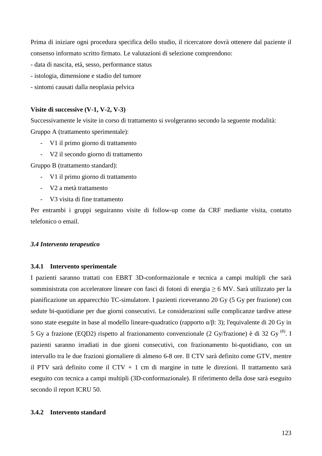Prima di iniziare ogni procedura specifica dello studio, il ricercatore dovrà ottenere dal paziente il consenso informato scritto firmato. Le valutazioni di selezione comprendono:

- data di nascita, età, sesso, performance status
- istologia, dimensione e stadio del tumore
- sintomi causati dalla neoplasia pelvica

#### **Visite di successive (V-1, V-2, V-3)**

Successivamente le visite in corso di trattamento si svolgeranno secondo la seguente modalità: Gruppo A (trattamento sperimentale):

- V1 il primo giorno di trattamento
- V2 il secondo giorno di trattamento

Gruppo B (trattamento standard):

- V1 il primo giorno di trattamento
- V2 a metà trattamento
- V3 visita di fine trattamento

Per entrambi i gruppi seguiranno visite di follow-up come da CRF mediante visita, contatto telefonico o email.

#### *3.4 Intervento terapeutico*

#### **3.4.1 Intervento sperimentale**

I pazienti saranno trattati con EBRT 3D-conformazionale e tecnica a campi multipli che sarà somministrata con acceleratore lineare con fasci di fotoni di energia ≥ 6 MV. Sarà utilizzato per la pianificazione un apparecchio TC-simulatore. I pazienti riceveranno 20 Gy (5 Gy per frazione) con sedute bi-quotidiane per due giorni consecutivi. Le considerazioni sulle complicanze tardive attese sono state eseguite in base al modello lineare-quadratico (rapporto α/β: 3); l'equivalente di 20 Gy in 5 Gy a frazione (EQD2) rispetto al frazionamento convenzionale (2 Gy/frazione) è di 32 Gy  $^{(8)}$ . I pazienti saranno irradiati in due giorni consecutivi, con frazionamento bi-quotidiano, con un intervallo tra le due frazioni giornaliere di almeno 6-8 ore. Il CTV sarà definito come GTV, mentre il PTV sarà definito come il CTV + 1 cm di margine in tutte le direzioni. Il trattamento sarà eseguito con tecnica a campi multipli (3D-conformazionale). Il riferimento della dose sarà eseguito secondo il report ICRU 50.

#### **3.4.2 Intervento standard**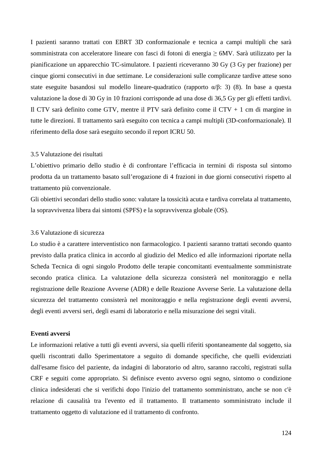I pazienti saranno trattati con EBRT 3D conformazionale e tecnica a campi multipli che sarà somministrata con acceleratore lineare con fasci di fotoni di energia ≥ 6MV. Sarà utilizzato per la pianificazione un apparecchio TC-simulatore. I pazienti riceveranno 30 Gy (3 Gy per frazione) per cinque giorni consecutivi in due settimane. Le considerazioni sulle complicanze tardive attese sono state eseguite basandosi sul modello lineare-quadratico (rapporto  $\alpha/\beta$ : 3) (8). In base a questa valutazione la dose di 30 Gy in 10 frazioni corrisponde ad una dose di 36,5 Gy per gli effetti tardivi. Il CTV sarà definito come GTV, mentre il PTV sarà definito come il CTV + 1 cm di margine in tutte le direzioni. Il trattamento sarà eseguito con tecnica a campi multipli (3D-conformazionale). Il riferimento della dose sarà eseguito secondo il report ICRU 50.

#### 3.5 Valutazione dei risultati

L'obiettivo primario dello studio è di confrontare l'efficacia in termini di risposta sul sintomo prodotta da un trattamento basato sull'erogazione di 4 frazioni in due giorni consecutivi rispetto al trattamento più convenzionale.

Gli obiettivi secondari dello studio sono: valutare la tossicità acuta e tardiva correlata al trattamento, la sopravvivenza libera dai sintomi (SPFS) e la sopravvivenza globale (OS).

#### 3.6 Valutazione di sicurezza

Lo studio è a carattere interventistico non farmacologico. I pazienti saranno trattati secondo quanto previsto dalla pratica clinica in accordo al giudizio del Medico ed alle informazioni riportate nella Scheda Tecnica di ogni singolo Prodotto delle terapie concomitanti eventualmente somministrate secondo pratica clinica. La valutazione della sicurezza consisterà nel monitoraggio e nella registrazione delle Reazione Avverse (ADR) e delle Reazione Avverse Serie. La valutazione della sicurezza del trattamento consisterà nel monitoraggio e nella registrazione degli eventi avversi, degli eventi avversi seri, degli esami di laboratorio e nella misurazione dei segni vitali.

#### **Eventi avversi**

Le informazioni relative a tutti gli eventi avversi, sia quelli riferiti spontaneamente dal soggetto, sia quelli riscontrati dallo Sperimentatore a seguito di domande specifiche, che quelli evidenziati dall'esame fisico del paziente, da indagini di laboratorio od altro, saranno raccolti, registrati sulla CRF e seguiti come appropriato. Si definisce evento avverso ogni segno, sintomo o condizione clinica indesiderati che si verifichi dopo l'inizio del trattamento somministrato, anche se non c'è relazione di causalità tra l'evento ed il trattamento. Il trattamento somministrato include il trattamento oggetto di valutazione ed il trattamento di confronto.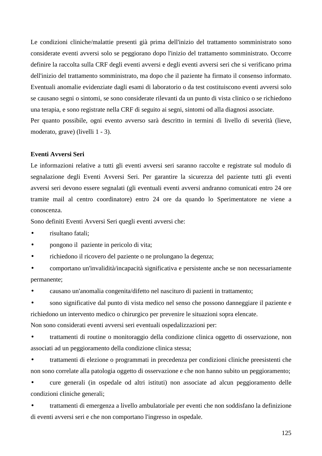Le condizioni cliniche/malattie presenti già prima dell'inizio del trattamento somministrato sono considerate eventi avversi solo se peggiorano dopo l'inizio del trattamento somministrato. Occorre definire la raccolta sulla CRF degli eventi avversi e degli eventi avversi seri che si verificano prima dell'inizio del trattamento somministrato, ma dopo che il paziente ha firmato il consenso informato. Eventuali anomalie evidenziate dagli esami di laboratorio o da test costituiscono eventi avversi solo se causano segni o sintomi, se sono considerate rilevanti da un punto di vista clinico o se richiedono una terapia, e sono registrate nella CRF di seguito ai segni, sintomi od alla diagnosi associate. Per quanto possibile, ogni evento avverso sarà descritto in termini di livello di severità (lieve, moderato, grave) (livelli 1 - 3).

#### **Eventi Avversi Seri**

Le informazioni relative a tutti gli eventi avversi seri saranno raccolte e registrate sul modulo di segnalazione degli Eventi Avversi Seri. Per garantire la sicurezza del paziente tutti gli eventi avversi seri devono essere segnalati (gli eventuali eventi avversi andranno comunicati entro 24 ore tramite mail al centro coordinatore) entro 24 ore da quando lo Sperimentatore ne viene a conoscenza.

Sono definiti Eventi Avversi Seri quegli eventi avversi che:

- risultano fatali;
- pongono il paziente in pericolo di vita;
- richiedono il ricovero del paziente o ne prolungano la degenza;
- comportano un'invalidità/incapacità significativa e persistente anche se non necessariamente permanente;

• causano un'anomalia congenita/difetto nel nascituro di pazienti in trattamento;

• sono significative dal punto di vista medico nel senso che possono danneggiare il paziente e richiedono un intervento medico o chirurgico per prevenire le situazioni sopra elencate. Non sono considerati eventi avversi seri eventuali ospedalizzazioni per:

• trattamenti di routine o monitoraggio della condizione clinica oggetto di osservazione, non associati ad un peggioramento della condizione clinica stessa;

• trattamenti di elezione o programmati in precedenza per condizioni cliniche preesistenti che non sono correlate alla patologia oggetto di osservazione e che non hanno subito un peggioramento;

• cure generali (in ospedale od altri istituti) non associate ad alcun peggioramento delle condizioni cliniche generali;

• trattamenti di emergenza a livello ambulatoriale per eventi che non soddisfano la definizione di eventi avversi seri e che non comportano l'ingresso in ospedale.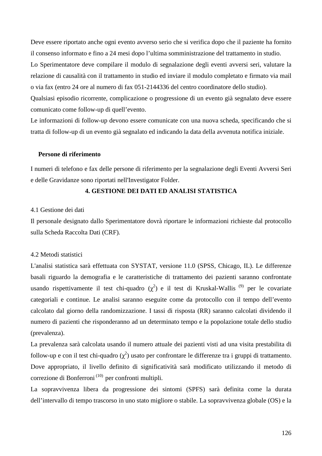Deve essere riportato anche ogni evento avverso serio che si verifica dopo che il paziente ha fornito il consenso informato e fino a 24 mesi dopo l'ultima somministrazione del trattamento in studio. Lo Sperimentatore deve compilare il modulo di segnalazione degli eventi avversi seri, valutare la relazione di causalità con il trattamento in studio ed inviare il modulo completato e firmato via mail o via fax (entro 24 ore al numero di fax 051-2144336 del centro coordinatore dello studio).

Qualsiasi episodio ricorrente, complicazione o progressione di un evento già segnalato deve essere comunicato come follow-up di quell'evento.

Le informazioni di follow-up devono essere comunicate con una nuova scheda, specificando che si tratta di follow-up di un evento già segnalato ed indicando la data della avvenuta notifica iniziale.

#### **Persone di riferimento**

I numeri di telefono e fax delle persone di riferimento per la segnalazione degli Eventi Avversi Seri e delle Gravidanze sono riportati nell'Investigator Folder.

#### **4. GESTIONE DEI DATI ED ANALISI STATISTICA**

#### 4.1 Gestione dei dati

Il personale designato dallo Sperimentatore dovrà riportare le informazioni richieste dal protocollo sulla Scheda Raccolta Dati (CRF)*.* 

#### 4.2 Metodi statistici

L'analisi statistica sarà effettuata con SYSTAT, versione 11.0 (SPSS, Chicago, IL). Le differenze basali riguardo la demografia e le caratteristiche di trattamento dei pazienti saranno confrontate usando rispettivamente il test chi-quadro  $(\chi^2)$  e il test di Kruskal-Wallis<sup>(9)</sup> per le covariate categoriali e continue. Le analisi saranno eseguite come da protocollo con il tempo dell'evento calcolato dal giorno della randomizzazione. I tassi di risposta (RR) saranno calcolati dividendo il numero di pazienti che risponderanno ad un determinato tempo e la popolazione totale dello studio (prevalenza).

La prevalenza sarà calcolata usando il numero attuale dei pazienti visti ad una visita prestabilita di follow-up e con il test chi-quadro  $(\chi^2)$  usato per confrontare le differenze tra i gruppi di trattamento. Dove appropriato, il livello definito di significatività sarà modificato utilizzando il metodo di correzione di Bonferroni<sup>(10)</sup> per confronti multipli.

La sopravvivenza libera da progressione dei sintomi (SPFS) sarà definita come la durata dell'intervallo di tempo trascorso in uno stato migliore o stabile. La sopravvivenza globale (OS) e la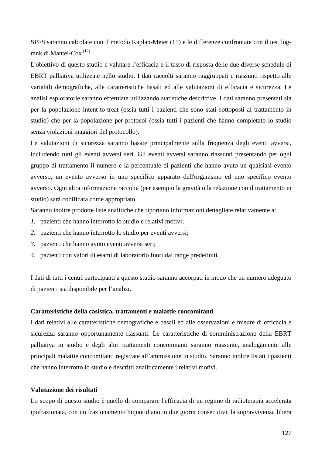SPFS saranno calcolate con il metodo Kaplan-Meier (11) e le differenze confrontate con il test logrank di Mantel-Cox (12)

L'obiettivo di questo studio è valutare l'efficacia e il tasso di risposta delle due diverse schedule di EBRT palliativa utilizzate nello studio. I dati raccolti saranno raggruppati e riassunti rispetto alle variabili demografiche, alle caratteristiche basali ed alle valutazioni di efficacia e sicurezza. Le analisi esploratorie saranno effettuate utilizzando statistiche descrittive. I dati saranno presentati sia per la popolazione intent-to-treat (ossia tutti i pazienti che sono stati sottoposti al trattamento in studio) che per la popolazione per-protocol (ossia tutti i pazienti che hanno completato lo studio senza violazioni maggiori del protocollo).

Le valutazioni di sicurezza saranno basate principalmente sulla frequenza degli eventi avversi, includendo tutti gli eventi avversi seri. Gli eventi avversi saranno riassunti presentando per ogni gruppo di trattamento il numero e la percentuale di pazienti che hanno avuto un qualsiasi evento avverso, un evento avverso in uno specifico apparato dell'organismo ed uno specifico evento avverso. Ogni altra informazione raccolta (per esempio la gravità o la relazione con il trattamento in studio) sarà codificata come appropriato.

Saranno inoltre prodotte liste analitiche che riportano informazioni dettagliate relativamente a:

- *1.* pazienti che hanno interrotto lo studio e relativi motivi;
- *2.* pazienti che hanno interrotto lo studio per eventi avversi;
- *3.* pazienti che hanno avuto eventi avversi seri;
- *4.* pazienti con valori di esami di laboratorio fuori dai range predefiniti.

I dati di tutti i centri partecipanti a questo studio saranno accorpati in modo che un numero adeguato di pazienti sia disponibile per l'analisi.

#### **Caratteristiche della casistica, trattamenti e malattie concomitanti**

I dati relativi alle caratteristiche demografiche e basali ed alle osservazioni e misure di efficacia e sicurezza saranno opportunamente riassunti. Le caratteristiche di somministrazione della EBRT palliativa in studio e degli altri trattamenti concomitanti saranno riassunte, analogamente alle principali malattie concomitanti registrate all'ammissione in studio. Saranno inoltre listati i pazienti che hanno interrotto lo studio e descritti analiticamente i relativi motivi.

#### **Valutazione dei risultati**

Lo scopo di questo studio è quello di comparare l'efficacia di un regime di radioterapia accelerata ipofrazionata, con un frazionamento biquotidiano in due giorni consecutivi, la sopravvivenza libera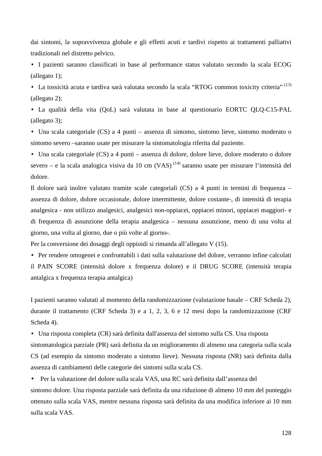dai sintomi, la sopravvivenza globale e gli effetti acuti e tardivi rispetto ai trattamenti palliativi tradizionali nel distretto pelvico.

• I pazienti saranno classificati in base al performance status valutato secondo la scala ECOG (allegato 1);

• La tossicità acuta e tardiva sarà valutata secondo la scala "RTOG common toxicity criteria" (13) (allegato 2);

• La qualità della vita (QoL) sarà valutata in base al questionario EORTC QLQ-C15-PAL (allegato 3);

• Una scala categoriale (CS) a 4 punti – assenza di sintomo, sintomo lieve, sintomo moderato o sintomo severo –saranno usate per misurare la sintomatologia riferita dal paziente.

• Una scala categoriale (CS) a 4 punti – assenza di dolore, dolore lieve, dolore moderato o dolore severo – e la scala analogica visiva da 10 cm (VAS)<sup> $(14)$ </sup> saranno usate per misurare l'intensità del dolore.

Il dolore sarà inoltre valutato tramite scale categoriali (CS) a 4 punti in termini di frequenza – assenza di dolore, dolore occasionale, dolore intermittente, dolore costante-, di intensità di terapia analgesica - non utilizzo analgesici, analgesici non-oppiacei, oppiacei minori, oppiacei maggiori- e di frequenza di assunzione della terapia analgesica – nessuna assunzione, meno di una volta al giorno, una volta al giorno, due o più volte al giorno-.

Per la conversione dei dosaggi degli oppioidi si rimanda all'allegato V (15).

• Per rendere omogenei e confrontabili i dati sulla valutazione del dolore, verranno infine calcolati il PAIN SCORE (intensità dolore x frequenza dolore) e il DRUG SCORE (intensità terapia antalgica x frequenza terapia antalgica)

I pazienti saranno valutati al momento della randomizzazione (valutazione basale – CRF Scheda 2), durante il trattamento (CRF Scheda 3) e a 1, 2, 3, 6 e 12 mesi dopo la randomizzazione (CRF Scheda 4).

• Una risposta completa (CR) sarà definita dall'assenza del sintomo sulla CS. Una risposta sintomatologica parziale (PR) sarà definita da un miglioramento di almeno una categoria sulla scala CS (ad esempio da sintomo moderato a sintomo lieve). Nessuna risposta (NR) sarà definita dalla assenza di cambiamenti delle categorie dei sintomi sulla scala CS.

• Per la valutazione del dolore sulla scala VAS, una RC sarà definita dall'assenza del sintomo dolore. Una risposta parziale sarà definita da una riduzione di almeno 10 mm del punteggio ottenuto sulla scala VAS, mentre nessuna risposta sarà definita da una modifica inferiore ai 10 mm sulla scala VAS.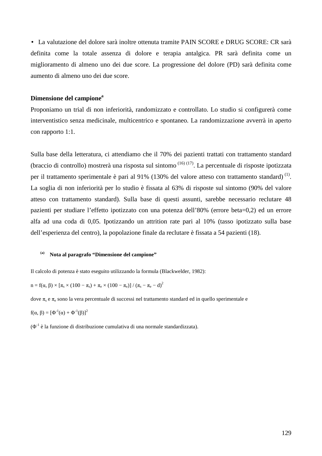• La valutazione del dolore sarà inoltre ottenuta tramite PAIN SCORE e DRUG SCORE: CR sarà definita come la totale assenza di dolore e terapia antalgica. PR sarà definita come un miglioramento di almeno uno dei due score. La progressione del dolore (PD) sarà definita come aumento di almeno uno dei due score.

#### **Dimensione del campione<sup>a</sup>**

Proponiamo un trial di non inferiorità, randomizzato e controllato. Lo studio si configurerà come interventistico senza medicinale, multicentrico e spontaneo. La randomizzazione avverrà in aperto con rapporto 1:1.

Sulla base della letteratura, ci attendiamo che il 70% dei pazienti trattati con trattamento standard (braccio di controllo) mostrerà una risposta sul sintomo  $(16)(17)$ . La percentuale di risposte ipotizzata per il trattamento sperimentale è pari al 91% (130% del valore atteso con trattamento standard)<sup>(1)</sup>. La soglia di non inferiorità per lo studio è fissata al 63% di risposte sul sintomo (90% del valore atteso con trattamento standard). Sulla base di questi assunti, sarebbe necessario reclutare 48 pazienti per studiare l'effetto ipotizzato con una potenza dell'80% (errore beta=0,2) ed un errore alfa ad una coda di 0,05. Ipotizzando un attrition rate pari al 10% (tasso ipotizzato sulla base dell'esperienza del centro), la popolazione finale da reclutare è fissata a 54 pazienti (18).

## **(a) Nota al paragrafo "Dimensione del campione"**

Il calcolo di potenza è stato eseguito utilizzando la formula (Blackwelder, 1982):

 $n = f(α, β) × [π<sub>s</sub> × (100 – π<sub>s</sub>) + π<sub>e</sub> × (100 – π<sub>e</sub>)] / (π<sub>s</sub> – π<sub>e</sub> – d)<sup>2</sup>$ 

dove  $\pi_s$  e  $\pi_e$  sono la vera percentuale di successi nel trattamento standard ed in quello sperimentale e

 $f(α, β) = [Φ<sup>-1</sup>(α) + Φ<sup>-1</sup>(β)]<sup>2</sup>$ 

 $(\Phi^1)$  è la funzione di distribuzione cumulativa di una normale standardizzata).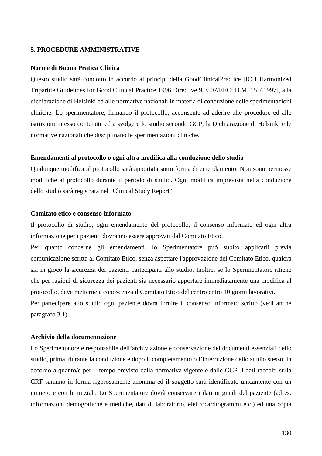#### **5. PROCEDURE AMMINISTRATIVE**

#### **Norme di Buona Pratica Clinica**

Questo studio sarà condotto in accordo ai principi della GoodClinicalPractice [ICH Harmonized Tripartite Guidelines for Good Clinical Practice 1996 Directive 91/507/EEC; D.M. 15.7.1997], alla dichiarazione di Helsinki ed alle normative nazionali in materia di conduzione delle sperimentazioni cliniche. Lo sperimentatore, firmando il protocollo, acconsente ad aderire alle procedure ed alle istruzioni in esso contenute ed a svolgere lo studio secondo GCP, la Dichiarazione di Helsinki e le normative nazionali che disciplinano le sperimentazioni cliniche.

#### **Emendamenti al protocollo o ogni altra modifica alla conduzione dello studio**

Qualunque modifica al protocollo sarà apportata sotto forma di emendamento. Non sono permesse modifiche al protocollo durante il periodo di studio. Ogni modifica imprevista nella conduzione dello studio sarà registrata nel "Clinical Study Report".

#### **Comitato etico e consenso informato**

Il protocollo di studio, ogni emendamento del protocollo, il consenso informato ed ogni altra informazione per i pazienti dovranno essere approvati dal Comitato Etico.

Per quanto concerne gli emendamenti, lo Sperimentatore può subito applicarli previa comunicazione scritta al Comitato Etico, senza aspettare l'approvazione del Comitato Etico, qualora sia in gioco la sicurezza dei pazienti partecipanti allo studio. Inoltre, se lo Sperimentatore ritiene che per ragioni di sicurezza dei pazienti sia necessario apportare immediatamente una modifica al protocollo, deve metterne a conoscenza il Comitato Etico del centro entro 10 giorni lavorativi.

Per partecipare allo studio ogni paziente dovrà fornire il consenso informato scritto (vedi anche paragrafo 3.1).

#### **Archivio della documentazione**

Lo Sperimentatore è responsabile dell'archiviazione e conservazione dei documenti essenziali dello studio, prima, durante la conduzione e dopo il completamento o l'interruzione dello studio stesso, in accordo a quanto/e per il tempo previsto dalla normativa vigente e dalle GCP. I dati raccolti sulla CRF saranno in forma rigorosamente anonima ed il soggetto sarà identificato unicamente con un numero e con le iniziali. Lo Sperimentatore dovrà conservare i dati originali del paziente (ad es. informazioni demografiche e mediche, dati di laboratorio, elettrocardiogrammi etc.) ed una copia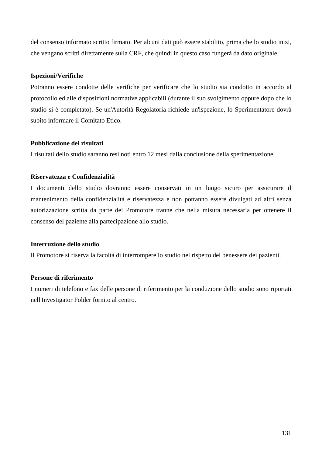del consenso informato scritto firmato. Per alcuni dati può essere stabilito, prima che lo studio inizi, che vengano scritti direttamente sulla CRF, che quindi in questo caso fungerà da dato originale.

# **Ispezioni/Verifiche**

Potranno essere condotte delle verifiche per verificare che lo studio sia condotto in accordo al protocollo ed alle disposizioni normative applicabili (durante il suo svolgimento oppure dopo che lo studio si è completato). Se un'Autorità Regolatoria richiede un'ispezione, lo Sperimentatore dovrà subito informare il Comitato Etico.

# **Pubblicazione dei risultati**

I risultati dello studio saranno resi noti entro 12 mesi dalla conclusione della sperimentazione.

# **Riservatezza e Confidenzialità**

I documenti dello studio dovranno essere conservati in un luogo sicuro per assicurare il mantenimento della confidenzialità e riservatezza e non potranno essere divulgati ad altri senza autorizzazione scritta da parte del Promotore tranne che nella misura necessaria per ottenere il consenso del paziente alla partecipazione allo studio.

# **Interruzione dello studio**

Il Promotore si riserva la facoltà di interrompere lo studio nel rispetto del benessere dei pazienti.

## **Persone di riferimento**

I numeri di telefono e fax delle persone di riferimento per la conduzione dello studio sono riportati nell'Investigator Folder fornito al centro.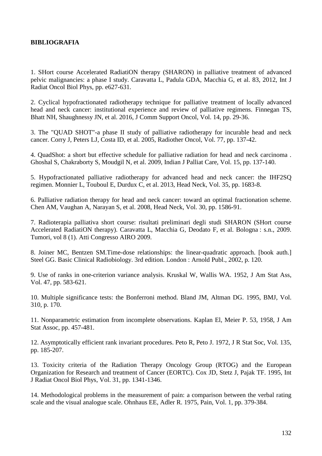# **BIBLIOGRAFIA**

1. SHort course Accelerated RadiatiON therapy (SHARON) in palliative treatment of advanced pelvic malignancies: a phase I study. Caravatta L, Padula GDA, Macchia G, et al. 83, 2012, Int J Radiat Oncol Biol Phys, pp. e627-631.

2. Cyclical hypofractionated radiotherapy technique for palliative treatment of locally advanced head and neck cancer: institutional experience and review of palliative regimens. Finnegan TS, Bhatt NH, Shaughnessy JN, et al. 2016, J Comm Support Oncol, Vol. 14, pp. 29-36.

3. The "QUAD SHOT"-a phase II study of palliative radiotherapy for incurable head and neck cancer. Corry J, Peters LJ, Costa ID, et al. 2005, Radiother Oncol, Vol. 77, pp. 137-42.

4. QuadShot: a short but effective schedule for palliative radiation for head and neck carcinoma . Ghoshal S, Chakraborty S, Moudgil N, et al. 2009, Indian J Palliat Care, Vol. 15, pp. 137-140.

5. Hypofractionated palliative radiotherapy for advanced head and neck cancer: the IHF2SQ regimen. Monnier L, Touboul E, Durdux C, et al. 2013, Head Neck, Vol. 35, pp. 1683-8.

6. Palliative radiation therapy for head and neck cancer: toward an optimal fractionation scheme. Chen AM, Vaughan A, Narayan S, et al. 2008, Head Neck, Vol. 30, pp. 1586-91.

7. Radioterapia palliativa short course: risultati preliminari degli studi SHARON (SHort course Accelerated RadiatiON therapy). Caravatta L, Macchia G, Deodato F, et al. Bologna : s.n., 2009. Tumori, vol 8 (1). Atti Congresso AIRO 2009.

8. Joiner MC, Bentzen SM.Time-dose relationships: the linear-quadratic approach. [book auth.] Steel GG. Basic Clinical Radiobiology. 3rd edition. London : Arnold Publ., 2002, p. 120.

9. Use of ranks in one-criterion variance analysis. Kruskal W, Wallis WA. 1952, J Am Stat Ass, Vol. 47, pp. 583-621.

10. Multiple significance tests: the Bonferroni method. Bland JM, Altman DG. 1995, BMJ, Vol. 310, p. 170.

11. Nonparametric estimation from incomplete observations. Kaplan El, Meier P. 53, 1958, J Am Stat Assoc, pp. 457-481.

12. Asymptotically efficient rank invariant procedures. Peto R, Peto J. 1972, J R Stat Soc, Vol. 135, pp. 185-207.

13. Toxicity criteria of the Radiation Therapy Oncology Group (RTOG) and the European Organization for Research and treatment of Cancer (EORTC). Cox JD, Stetz J, Pajak TF. 1995, Int J Radiat Oncol Biol Phys, Vol. 31, pp. 1341-1346.

14. Methodological problems in the measurement of pain: a comparison between the verbal rating scale and the visual analogue scale. Ohnhaus EE, Adler R. 1975, Pain, Vol. 1, pp. 379-384.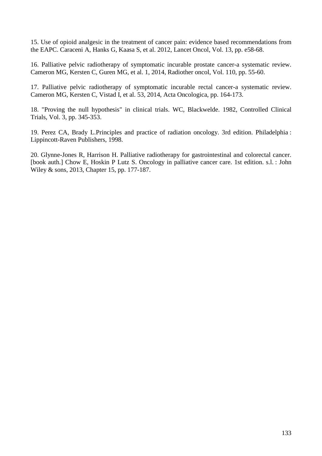15. Use of opioid analgesic in the treatment of cancer pain: evidence based recommendations from the EAPC. Caraceni A, Hanks G, Kaasa S, et al. 2012, Lancet Oncol, Vol. 13, pp. e58-68.

16. Palliative pelvic radiotherapy of symptomatic incurable prostate cancer-a systematic review. Cameron MG, Kersten C, Guren MG, et al. 1, 2014, Radiother oncol, Vol. 110, pp. 55-60.

17. Palliative pelvic radiotherapy of symptomatic incurable rectal cancer-a systematic review. Cameron MG, Kersten C, Vistad I, et al. 53, 2014, Acta Oncologica, pp. 164-173.

18. "Proving the null hypothesis" in clinical trials. WC, Blackwelde. 1982, Controlled Clinical Trials, Vol. 3, pp. 345-353.

19. Perez CA, Brady L.Principles and practice of radiation oncology. 3rd edition. Philadelphia : Lippincott-Raven Publishers, 1998.

20. Glynne-Jones R, Harrison H. Palliative radiotherapy for gastrointestinal and colorectal cancer. [book auth.] Chow E, Hoskin P Lutz S. Oncology in palliative cancer care. 1st edition. s.l. : John Wiley & sons, 2013, Chapter 15, pp. 177-187.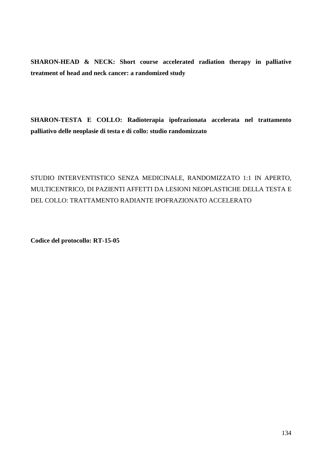**SHARON-HEAD & NECK: Short course accelerated radiation therapy in palliative treatment of head and neck cancer: a randomized study** 

**SHARON-TESTA E COLLO: Radioterapia ipofrazionata accelerata nel trattamento palliativo delle neoplasie di testa e di collo: studio randomizzato** 

STUDIO INTERVENTISTICO SENZA MEDICINALE, RANDOMIZZATO 1:1 IN APERTO, MULTICENTRICO, DI PAZIENTI AFFETTI DA LESIONI NEOPLASTICHE DELLA TESTA E DEL COLLO: TRATTAMENTO RADIANTE IPOFRAZIONATO ACCELERATO

**Codice del protocollo: RT-15-05**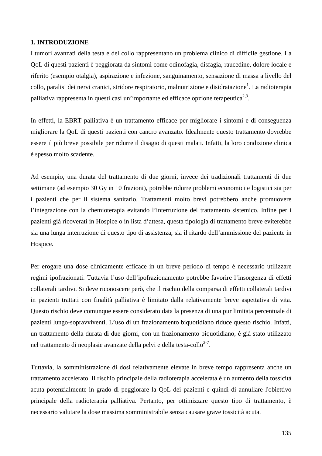# **1. INTRODUZIONE**

I tumori avanzati della testa e del collo rappresentano un problema clinico di difficile gestione. La QoL di questi pazienti è peggiorata da sintomi come odinofagia, disfagia, raucedine, dolore locale e riferito (esempio otalgia), aspirazione e infezione, sanguinamento, sensazione di massa a livello del collo, paralisi dei nervi cranici, stridore respiratorio, malnutrizione e disidratazione<sup>1</sup>. La radioterapia palliativa rappresenta in questi casi un'importante ed efficace opzione terapeutica<sup>2,3</sup>.

In effetti, la EBRT palliativa è un trattamento efficace per migliorare i sintomi e di conseguenza migliorare la QoL di questi pazienti con cancro avanzato. Idealmente questo trattamento dovrebbe essere il più breve possibile per ridurre il disagio di questi malati. Infatti, la loro condizione clinica è spesso molto scadente.

Ad esempio, una durata del trattamento di due giorni, invece dei tradizionali trattamenti di due settimane (ad esempio 30 Gy in 10 frazioni), potrebbe ridurre problemi economici e logistici sia per i pazienti che per il sistema sanitario. Trattamenti molto brevi potrebbero anche promuovere l'integrazione con la chemioterapia evitando l'interruzione del trattamento sistemico. Infine per i pazienti già ricoverati in Hospice o in lista d'attesa, questa tipologia di trattamento breve eviterebbe sia una lunga interruzione di questo tipo di assistenza, sia il ritardo dell'ammissione del paziente in Hospice.

Per erogare una dose clinicamente efficace in un breve periodo di tempo è necessario utilizzare regimi ipofrazionati. Tuttavia l'uso dell'ipofrazionamento potrebbe favorire l'insorgenza di effetti collaterali tardivi. Si deve riconoscere però, che il rischio della comparsa di effetti collaterali tardivi in pazienti trattati con finalità palliativa è limitato dalla relativamente breve aspettativa di vita. Questo rischio deve comunque essere considerato data la presenza di una pur limitata percentuale di pazienti lungo-sopravviventi. L'uso di un frazionamento biquotidiano riduce questo rischio. Infatti, un trattamento della durata di due giorni, con un frazionamento biquotidiano, è già stato utilizzato nel trattamento di neoplasie avanzate della pelvi e della testa-collo<sup>2-7</sup>.

Tuttavia, la somministrazione di dosi relativamente elevate in breve tempo rappresenta anche un trattamento accelerato. Il rischio principale della radioterapia accelerata è un aumento della tossicità acuta potenzialmente in grado di peggiorare la QoL dei pazienti e quindi di annullare l'obiettivo principale della radioterapia palliativa. Pertanto, per ottimizzare questo tipo di trattamento, è necessario valutare la dose massima somministrabile senza causare grave tossicità acuta.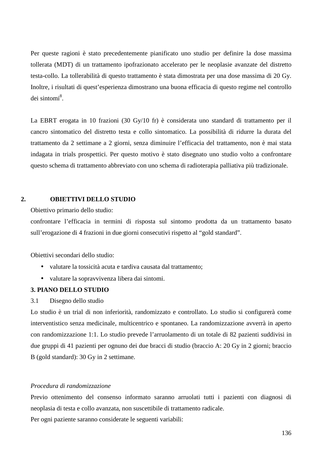Per queste ragioni è stato precedentemente pianificato uno studio per definire la dose massima tollerata (MDT) di un trattamento ipofrazionato accelerato per le neoplasie avanzate del distretto testa-collo. La tollerabilità di questo trattamento è stata dimostrata per una dose massima di 20 Gy. Inoltre, i risultati di quest'esperienza dimostrano una buona efficacia di questo regime nel controllo dei sintomi<sup>8</sup>.

La EBRT erogata in 10 frazioni (30 Gy/10 fr) è considerata uno standard di trattamento per il cancro sintomatico del distretto testa e collo sintomatico. La possibilità di ridurre la durata del trattamento da 2 settimane a 2 giorni, senza diminuire l'efficacia del trattamento, non è mai stata indagata in trials prospettici. Per questo motivo è stato disegnato uno studio volto a confrontare questo schema di trattamento abbreviato con uno schema di radioterapia palliativa più tradizionale.

# **2. OBIETTIVI DELLO STUDIO**

Obiettivo primario dello studio:

confrontare l'efficacia in termini di risposta sul sintomo prodotta da un trattamento basato sull'erogazione di 4 frazioni in due giorni consecutivi rispetto al "gold standard".

Obiettivi secondari dello studio:

- valutare la tossicità acuta e tardiva causata dal trattamento;
- valutare la sopravvivenza libera dai sintomi.

# **3. PIANO DELLO STUDIO**

3.1 Disegno dello studio

Lo studio è un trial di non inferiorità, randomizzato e controllato. Lo studio si configurerà come interventistico senza medicinale, multicentrico e spontaneo. La randomizzazione avverrà in aperto con randomizzazione 1:1. Lo studio prevede l'arruolamento di un totale di 82 pazienti suddivisi in due gruppi di 41 pazienti per ognuno dei due bracci di studio (braccio A: 20 Gy in 2 giorni; braccio B (gold standard): 30 Gy in 2 settimane.

#### *Procedura di randomizzazione*

Previo ottenimento del consenso informato saranno arruolati tutti i pazienti con diagnosi di neoplasia di testa e collo avanzata, non suscettibile di trattamento radicale.

Per ogni paziente saranno considerate le seguenti variabili: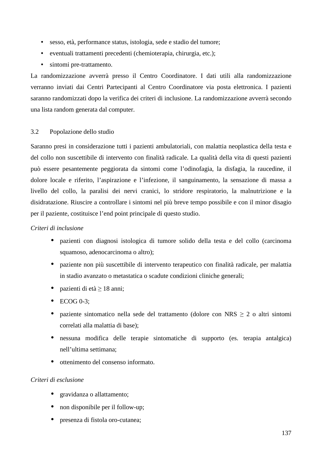- sesso, età, performance status, istologia, sede e stadio del tumore;
- eventuali trattamenti precedenti (chemioterapia, chirurgia, etc.);
- sintomi pre-trattamento.

La randomizzazione avverrà presso il Centro Coordinatore. I dati utili alla randomizzazione verranno inviati dai Centri Partecipanti al Centro Coordinatore via posta elettronica. I pazienti saranno randomizzati dopo la verifica dei criteri di inclusione. La randomizzazione avverrà secondo una lista random generata dal computer.

# 3.2 Popolazione dello studio

Saranno presi in considerazione tutti i pazienti ambulatoriali, con malattia neoplastica della testa e del collo non suscettibile di intervento con finalità radicale. La qualità della vita di questi pazienti può essere pesantemente peggiorata da sintomi come l'odinofagia, la disfagia, la raucedine, il dolore locale e riferito, l'aspirazione e l'infezione, il sanguinamento, la sensazione di massa a livello del collo, la paralisi dei nervi cranici, lo stridore respiratorio, la malnutrizione e la disidratazione. Riuscire a controllare i sintomi nel più breve tempo possibile e con il minor disagio per il paziente, costituisce l'end point principale di questo studio.

## *Criteri di inclusione*

- pazienti con diagnosi istologica di tumore solido della testa e del collo (carcinoma squamoso, adenocarcinoma o altro);
- paziente non più suscettibile di intervento terapeutico con finalità radicale, per malattia in stadio avanzato o metastatica o scadute condizioni cliniche generali;
- pazienti di età  $> 18$  anni;
- ECOG 0-3;
- paziente sintomatico nella sede del trattamento (dolore con NRS  $\geq 2$  o altri sintomi correlati alla malattia di base);
- nessuna modifica delle terapie sintomatiche di supporto (es. terapia antalgica) nell'ultima settimana;
- ottenimento del consenso informato.

## *Criteri di esclusione*

- gravidanza o allattamento:
- non disponibile per il follow-up;
- presenza di fistola oro-cutanea;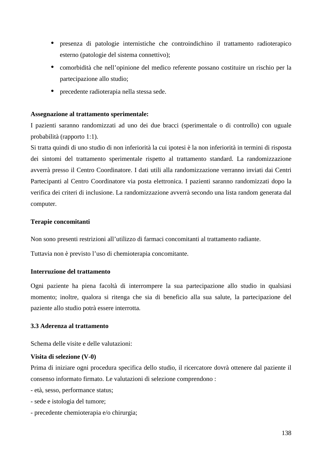- presenza di patologie internistiche che controindichino il trattamento radioterapico esterno (patologie del sistema connettivo);
- comorbidità che nell'opinione del medico referente possano costituire un rischio per la partecipazione allo studio;
- precedente radioterapia nella stessa sede.

# **Assegnazione al trattamento sperimentale:**

I pazienti saranno randomizzati ad uno dei due bracci (sperimentale o di controllo) con uguale probabilità (rapporto 1:1).

Si tratta quindi di uno studio di non inferiorità la cui ipotesi è la non inferiorità in termini di risposta dei sintomi del trattamento sperimentale rispetto al trattamento standard. La randomizzazione avverrà presso il Centro Coordinatore. I dati utili alla randomizzazione verranno inviati dai Centri Partecipanti al Centro Coordinatore via posta elettronica. I pazienti saranno randomizzati dopo la verifica dei criteri di inclusione. La randomizzazione avverrà secondo una lista random generata dal computer.

# **Terapie concomitanti**

Non sono presenti restrizioni all'utilizzo di farmaci concomitanti al trattamento radiante.

Tuttavia non è previsto l'uso di chemioterapia concomitante.

# **Interruzione del trattamento**

Ogni paziente ha piena facoltà di interrompere la sua partecipazione allo studio in qualsiasi momento; inoltre, qualora si ritenga che sia di beneficio alla sua salute, la partecipazione del paziente allo studio potrà essere interrotta.

# **3.3 Aderenza al trattamento**

Schema delle visite e delle valutazioni:

## **Visita di selezione (V-0)**

Prima di iniziare ogni procedura specifica dello studio, il ricercatore dovrà ottenere dal paziente il consenso informato firmato. Le valutazioni di selezione comprendono :

- età, sesso, performance status;
- sede e istologia del tumore;
- precedente chemioterapia e/o chirurgia;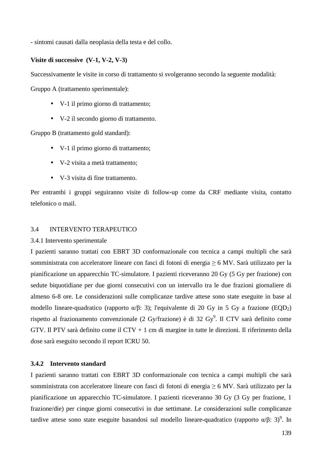- sintomi causati dalla neoplasia della testa e del collo.

#### **Visite di successive (V-1, V-2, V-3)**

Successivamente le visite in corso di trattamento si svolgeranno secondo la seguente modalità:

Gruppo A (trattamento sperimentale):

- V-1 il primo giorno di trattamento;
- V-2 il secondo giorno di trattamento.

Gruppo B (trattamento gold standard):

- V-1 il primo giorno di trattamento;
- V-2 visita a metà trattamento;
- V-3 visita di fine trattamento.

Per entrambi i gruppi seguiranno visite di follow-up come da CRF mediante visita, contatto telefonico o mail.

## 3.4 INTERVENTO TERAPEUTICO

#### 3.4.1 Intervento sperimentale

I pazienti saranno trattati con EBRT 3D conformazionale con tecnica a campi multipli che sarà somministrata con acceleratore lineare con fasci di fotoni di energia ≥ 6 MV. Sarà utilizzato per la pianificazione un apparecchio TC-simulatore. I pazienti riceveranno 20 Gy (5 Gy per frazione) con sedute biquotidiane per due giorni consecutivi con un intervallo tra le due frazioni giornaliere di almeno 6-8 ore. Le considerazioni sulle complicanze tardive attese sono state eseguite in base al modello lineare-quadratico (rapporto  $\alpha/\beta$ : 3); l'equivalente di 20 Gy in 5 Gy a frazione (EQD<sub>2</sub>) rispetto al frazionamento convenzionale (2 Gy/frazione) è di 32 Gy<sup>9</sup>. Il CTV sarà definito come GTV. Il PTV sarà definito come il CTV + 1 cm di margine in tutte le direzioni. Il riferimento della dose sarà eseguito secondo il report ICRU 50.

#### **3.4.2 Intervento standard**

I pazienti saranno trattati con EBRT 3D conformazionale con tecnica a campi multipli che sarà somministrata con acceleratore lineare con fasci di fotoni di energia ≥ 6 MV. Sarà utilizzato per la pianificazione un apparecchio TC-simulatore. I pazienti riceveranno 30 Gy (3 Gy per frazione, 1 frazione/die) per cinque giorni consecutivi in due settimane. Le considerazioni sulle complicanze tardive attese sono state eseguite basandosi sul modello lineare-quadratico (rapporto α/β: 3)<sup>9</sup>. In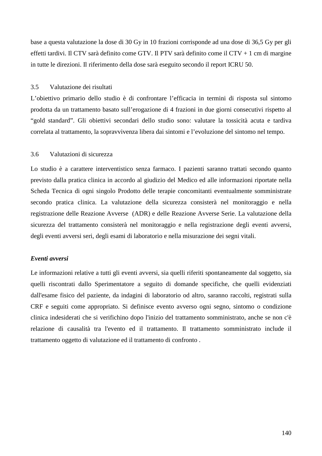base a questa valutazione la dose di 30 Gy in 10 frazioni corrisponde ad una dose di 36,5 Gy per gli effetti tardivi. Il CTV sarà definito come GTV. Il PTV sarà definito come il CTV + 1 cm di margine in tutte le direzioni. Il riferimento della dose sarà eseguito secondo il report ICRU 50.

# 3.5 Valutazione dei risultati

L'obiettivo primario dello studio è di confrontare l'efficacia in termini di risposta sul sintomo prodotta da un trattamento basato sull'erogazione di 4 frazioni in due giorni consecutivi rispetto al "gold standard". Gli obiettivi secondari dello studio sono: valutare la tossicità acuta e tardiva correlata al trattamento, la sopravvivenza libera dai sintomi e l'evoluzione del sintomo nel tempo.

# 3.6 Valutazioni di sicurezza

Lo studio è a carattere interventistico senza farmaco. I pazienti saranno trattati secondo quanto previsto dalla pratica clinica in accordo al giudizio del Medico ed alle informazioni riportate nella Scheda Tecnica di ogni singolo Prodotto delle terapie concomitanti eventualmente somministrate secondo pratica clinica. La valutazione della sicurezza consisterà nel monitoraggio e nella registrazione delle Reazione Avverse (ADR) e delle Reazione Avverse Serie. La valutazione della sicurezza del trattamento consisterà nel monitoraggio e nella registrazione degli eventi avversi, degli eventi avversi seri, degli esami di laboratorio e nella misurazione dei segni vitali.

## *Eventi avversi*

Le informazioni relative a tutti gli eventi avversi, sia quelli riferiti spontaneamente dal soggetto, sia quelli riscontrati dallo Sperimentatore a seguito di domande specifiche, che quelli evidenziati dall'esame fisico del paziente, da indagini di laboratorio od altro, saranno raccolti, registrati sulla CRF e seguiti come appropriato. Si definisce evento avverso ogni segno, sintomo o condizione clinica indesiderati che si verifichino dopo l'inizio del trattamento somministrato, anche se non c'è relazione di causalità tra l'evento ed il trattamento. Il trattamento somministrato include il trattamento oggetto di valutazione ed il trattamento di confronto .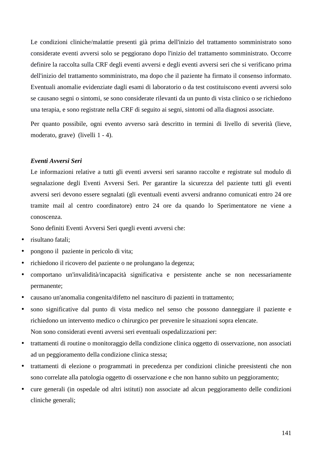Le condizioni cliniche/malattie presenti già prima dell'inizio del trattamento somministrato sono considerate eventi avversi solo se peggiorano dopo l'inizio del trattamento somministrato. Occorre definire la raccolta sulla CRF degli eventi avversi e degli eventi avversi seri che si verificano prima dell'inizio del trattamento somministrato, ma dopo che il paziente ha firmato il consenso informato. Eventuali anomalie evidenziate dagli esami di laboratorio o da test costituiscono eventi avversi solo se causano segni o sintomi, se sono considerate rilevanti da un punto di vista clinico o se richiedono una terapia, e sono registrate nella CRF di seguito ai segni, sintomi od alla diagnosi associate.

Per quanto possibile, ogni evento avverso sarà descritto in termini di livello di severità (lieve, moderato, grave) (livelli 1 - 4).

# *Eventi Avversi Seri*

Le informazioni relative a tutti gli eventi avversi seri saranno raccolte e registrate sul modulo di segnalazione degli Eventi Avversi Seri. Per garantire la sicurezza del paziente tutti gli eventi avversi seri devono essere segnalati (gli eventuali eventi avversi andranno comunicati entro 24 ore tramite mail al centro coordinatore) entro 24 ore da quando lo Sperimentatore ne viene a conoscenza.

Sono definiti Eventi Avversi Seri quegli eventi avversi che:

- risultano fatali;
- pongono il paziente in pericolo di vita;
- richiedono il ricovero del paziente o ne prolungano la degenza;
- comportano un'invalidità/incapacità significativa e persistente anche se non necessariamente permanente;
- causano un'anomalia congenita/difetto nel nascituro di pazienti in trattamento;
- sono significative dal punto di vista medico nel senso che possono danneggiare il paziente e richiedono un intervento medico o chirurgico per prevenire le situazioni sopra elencate. Non sono considerati eventi avversi seri eventuali ospedalizzazioni per:
- trattamenti di routine o monitoraggio della condizione clinica oggetto di osservazione, non associati ad un peggioramento della condizione clinica stessa;
- trattamenti di elezione o programmati in precedenza per condizioni cliniche preesistenti che non sono correlate alla patologia oggetto di osservazione e che non hanno subito un peggioramento;
- cure generali (in ospedale od altri istituti) non associate ad alcun peggioramento delle condizioni cliniche generali;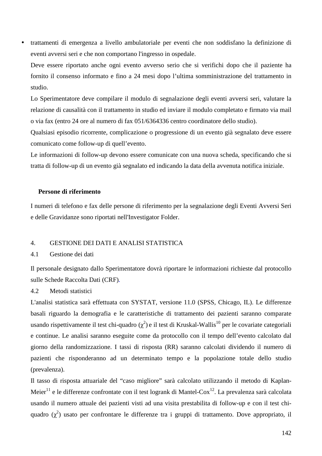• trattamenti di emergenza a livello ambulatoriale per eventi che non soddisfano la definizione di eventi avversi seri e che non comportano l'ingresso in ospedale.

Deve essere riportato anche ogni evento avverso serio che si verifichi dopo che il paziente ha fornito il consenso informato e fino a 24 mesi dopo l'ultima somministrazione del trattamento in studio.

Lo Sperimentatore deve compilare il modulo di segnalazione degli eventi avversi seri, valutare la relazione di causalità con il trattamento in studio ed inviare il modulo completato e firmato via mail o via fax (entro 24 ore al numero di fax 051/6364336 centro coordinatore dello studio).

Qualsiasi episodio ricorrente, complicazione o progressione di un evento già segnalato deve essere comunicato come follow-up di quell'evento.

Le informazioni di follow-up devono essere comunicate con una nuova scheda, specificando che si tratta di follow-up di un evento già segnalato ed indicando la data della avvenuta notifica iniziale.

#### **Persone di riferimento**

I numeri di telefono e fax delle persone di riferimento per la segnalazione degli Eventi Avversi Seri e delle Gravidanze sono riportati nell'Investigator Folder.

## 4. GESTIONE DEI DATI E ANALISI STATISTICA

#### 4.1 Gestione dei dati

Il personale designato dallo Sperimentatore dovrà riportare le informazioni richieste dal protocollo sulle Schede Raccolta Dati (CRF)*.* 

#### 4.2 Metodi statistici

L'analisi statistica sarà effettuata con SYSTAT, versione 11.0 (SPSS, Chicago, IL). Le differenze basali riguardo la demografia e le caratteristiche di trattamento dei pazienti saranno comparate usando rispettivamente il test chi-quadro ( $\chi^2$ ) e il test di Kruskal-Wallis<sup>10</sup> per le covariate categoriali e continue. Le analisi saranno eseguite come da protocollo con il tempo dell'evento calcolato dal giorno della randomizzazione. I tassi di risposta (RR) saranno calcolati dividendo il numero di pazienti che risponderanno ad un determinato tempo e la popolazione totale dello studio (prevalenza).

Il tasso di risposta attuariale del "caso migliore" sarà calcolato utilizzando il metodo di Kaplan-Meier<sup>11</sup> e le differenze confrontate con il test logrank di Mantel-Cox<sup>12</sup>. La prevalenza sarà calcolata usando il numero attuale dei pazienti visti ad una visita prestabilita di follow-up e con il test chiquadro  $(\chi^2)$  usato per confrontare le differenze tra i gruppi di trattamento. Dove appropriato, il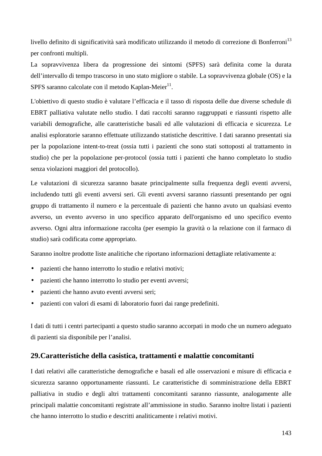livello definito di significatività sarà modificato utilizzando il metodo di correzione di Bonferroni<sup>13</sup> per confronti multipli.

La sopravvivenza libera da progressione dei sintomi (SPFS) sarà definita come la durata dell'intervallo di tempo trascorso in uno stato migliore o stabile. La sopravvivenza globale (OS) e la SPFS saranno calcolate con il metodo Kaplan-Meier $^{11}$ .

L'obiettivo di questo studio è valutare l'efficacia e il tasso di risposta delle due diverse schedule di EBRT palliativa valutate nello studio. I dati raccolti saranno raggruppati e riassunti rispetto alle variabili demografiche, alle caratteristiche basali ed alle valutazioni di efficacia e sicurezza. Le analisi esploratorie saranno effettuate utilizzando statistiche descrittive. I dati saranno presentati sia per la popolazione intent-to-treat (ossia tutti i pazienti che sono stati sottoposti al trattamento in studio) che per la popolazione per-protocol (ossia tutti i pazienti che hanno completato lo studio senza violazioni maggiori del protocollo).

Le valutazioni di sicurezza saranno basate principalmente sulla frequenza degli eventi avversi, includendo tutti gli eventi avversi seri. Gli eventi avversi saranno riassunti presentando per ogni gruppo di trattamento il numero e la percentuale di pazienti che hanno avuto un qualsiasi evento avverso, un evento avverso in uno specifico apparato dell'organismo ed uno specifico evento avverso. Ogni altra informazione raccolta (per esempio la gravità o la relazione con il farmaco di studio) sarà codificata come appropriato.

Saranno inoltre prodotte liste analitiche che riportano informazioni dettagliate relativamente a:

- pazienti che hanno interrotto lo studio e relativi motivi;
- pazienti che hanno interrotto lo studio per eventi avversi;
- pazienti che hanno avuto eventi avversi seri;
- pazienti con valori di esami di laboratorio fuori dai range predefiniti.

I dati di tutti i centri partecipanti a questo studio saranno accorpati in modo che un numero adeguato di pazienti sia disponibile per l'analisi.

## **29.Caratteristiche della casistica, trattamenti e malattie concomitanti**

I dati relativi alle caratteristiche demografiche e basali ed alle osservazioni e misure di efficacia e sicurezza saranno opportunamente riassunti. Le caratteristiche di somministrazione della EBRT palliativa in studio e degli altri trattamenti concomitanti saranno riassunte, analogamente alle principali malattie concomitanti registrate all'ammissione in studio. Saranno inoltre listati i pazienti che hanno interrotto lo studio e descritti analiticamente i relativi motivi.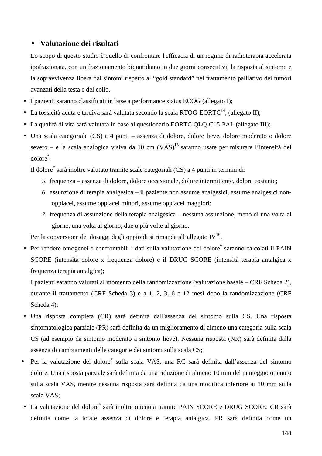# • **Valutazione dei risultati**

Lo scopo di questo studio è quello di confrontare l'efficacia di un regime di radioterapia accelerata ipofrazionata, con un frazionamento biquotidiano in due giorni consecutivi, la risposta al sintomo e la sopravvivenza libera dai sintomi rispetto al "gold standard" nel trattamento palliativo dei tumori avanzati della testa e del collo.

- I pazienti saranno classificati in base a performance status ECOG (allegato I);
- La tossicità acuta e tardiva sarà valutata secondo la scala RTOG-EORTC<sup>14</sup>, (allegato II);
- La qualità di vita sarà valutata in base al questionario EORTC QLQ-C15-PAL (allegato III);
- Una scala categoriale (CS) a 4 punti assenza di dolore, dolore lieve, dolore moderato o dolore severo – e la scala analogica visiva da 10 cm  $(VAS)^{15}$  saranno usate per misurare l'intensità del dolore\* .

Il dolore\* sarà inoltre valutato tramite scale categoriali (CS) a 4 punti in termini di:

- *5.* frequenza assenza di dolore, dolore occasionale, dolore intermittente, dolore costante;
- *6.* assunzione di terapia analgesica il paziente non assume analgesici, assume analgesici nonoppiacei, assume oppiacei minori, assume oppiacei maggiori;
- *7.* frequenza di assunzione della terapia analgesica nessuna assunzione, meno di una volta al giorno, una volta al giorno, due o più volte al giorno.

Per la conversione dei dosaggi degli oppioidi si rimanda all'allegato IV $^{16}$ .

· Per rendere omogenei e confrontabili i dati sulla valutazione del dolore\* saranno calcolati il PAIN SCORE (intensità dolore x frequenza dolore) e il DRUG SCORE (intensità terapia antalgica x frequenza terapia antalgica);

I pazienti saranno valutati al momento della randomizzazione (valutazione basale – CRF Scheda 2), durante il trattamento (CRF Scheda 3) e a 1, 2, 3, 6 e 12 mesi dopo la randomizzazione (CRF Scheda 4);

- Una risposta completa (CR) sarà definita dall'assenza del sintomo sulla CS. Una risposta sintomatologica parziale (PR) sarà definita da un miglioramento di almeno una categoria sulla scala CS (ad esempio da sintomo moderato a sintomo lieve). Nessuna risposta (NR) sarà definita dalla assenza di cambiamenti delle categorie dei sintomi sulla scala CS;
- Per la valutazione del dolore<sup>\*</sup> sulla scala VAS, una RC sarà definita dall'assenza del sintomo dolore. Una risposta parziale sarà definita da una riduzione di almeno 10 mm del punteggio ottenuto sulla scala VAS, mentre nessuna risposta sarà definita da una modifica inferiore ai 10 mm sulla scala VAS;
- · La valutazione del dolore<sup>\*</sup> sarà inoltre ottenuta tramite PAIN SCORE e DRUG SCORE: CR sarà definita come la totale assenza di dolore e terapia antalgica. PR sarà definita come un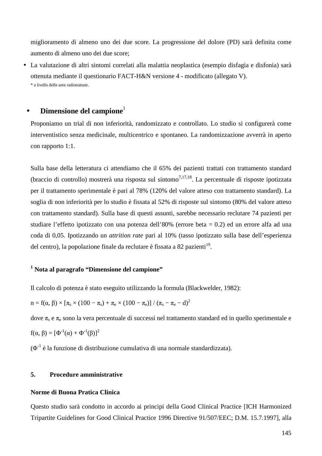miglioramento di almeno uno dei due score. La progressione del dolore (PD) sarà definita come aumento di almeno uno dei due score;

• La valutazione di altri sintomi correlati alla malattia neoplastica (esempio disfagia e disfonia) sarà ottenuta mediante il questionario FACT-H&N versione 4 - modificato (allegato V). \* a livello delle aree radiotrattate.

## **Dimensione del campione**

Proponiamo un trial di non inferiorità, randomizzato e controllato. Lo studio si configurerà come interventistico senza medicinale, multicentrico e spontaneo. La randomizzazione avverrà in aperto con rapporto 1:1.

Sulla base della letteratura ci attendiamo che il 65% dei pazienti trattati con trattamento standard (braccio di controllo) mostrerà una risposta sul sintomo<sup>7,17,18</sup>. La percentuale di risposte ipotizzata per il trattamento sperimentale è pari al 78% (120% del valore atteso con trattamento standard). La soglia di non inferiorità per lo studio è fissata al 52% di risposte sul sintomo (80% del valore atteso con trattamento standard). Sulla base di questi assunti, sarebbe necessario reclutare 74 pazienti per studiare l'effetto ipotizzato con una potenza dell'80% (errore beta = 0.2) ed un errore alfa ad una coda di 0,05. Ipotizzando un *attrition rate* pari al 10% (tasso ipotizzato sulla base dell'esperienza del centro), la popolazione finale da reclutare è fissata a 82 pazienti<sup>19</sup>.

## **1 Nota al paragrafo "Dimensione del campione"**

Il calcolo di potenza è stato eseguito utilizzando la formula (Blackwelder, 1982):

$$
n = f(\alpha, \beta) \times \left[\pi_s \times (100 - \pi_s) + \pi_e \times (100 - \pi_e)\right] / \left(\pi_s - \pi_e - d\right)^2
$$

dove π<sub>s</sub> e π<sub>e</sub> sono la vera percentuale di successi nel trattamento standard ed in quello sperimentale e  $f(α, β) = [Φ<sup>-1</sup>(α) + Φ<sup>-1</sup>(β)]<sup>2</sup>$ 

 $(\Phi^1)$  è la funzione di distribuzione cumulativa di una normale standardizzata).

#### **5. Procedure amministrative**

#### **Norme di Buona Pratica Clinica**

Questo studio sarà condotto in accordo ai principi della Good Clinical Practice [ICH Harmonized Tripartite Guidelines for Good Clinical Practice 1996 Directive 91/507/EEC; D.M. 15.7.1997], alla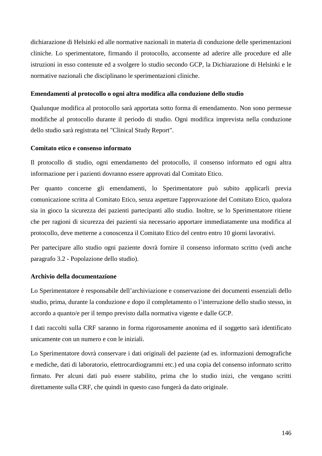dichiarazione di Helsinki ed alle normative nazionali in materia di conduzione delle sperimentazioni cliniche. Lo sperimentatore, firmando il protocollo, acconsente ad aderire alle procedure ed alle istruzioni in esso contenute ed a svolgere lo studio secondo GCP, la Dichiarazione di Helsinki e le normative nazionali che disciplinano le sperimentazioni cliniche.

### **Emendamenti al protocollo o ogni altra modifica alla conduzione dello studio**

Qualunque modifica al protocollo sarà apportata sotto forma di emendamento. Non sono permesse modifiche al protocollo durante il periodo di studio. Ogni modifica imprevista nella conduzione dello studio sarà registrata nel "Clinical Study Report".

#### **Comitato etico e consenso informato**

Il protocollo di studio, ogni emendamento del protocollo, il consenso informato ed ogni altra informazione per i pazienti dovranno essere approvati dal Comitato Etico.

Per quanto concerne gli emendamenti, lo Sperimentatore può subito applicarli previa comunicazione scritta al Comitato Etico, senza aspettare l'approvazione del Comitato Etico, qualora sia in gioco la sicurezza dei pazienti partecipanti allo studio. Inoltre, se lo Sperimentatore ritiene che per ragioni di sicurezza dei pazienti sia necessario apportare immediatamente una modifica al protocollo, deve metterne a conoscenza il Comitato Etico del centro entro 10 giorni lavorativi.

Per partecipare allo studio ogni paziente dovrà fornire il consenso informato scritto (vedi anche paragrafo 3.2 - Popolazione dello studio).

### **Archivio della documentazione**

Lo Sperimentatore è responsabile dell'archiviazione e conservazione dei documenti essenziali dello studio, prima, durante la conduzione e dopo il completamento o l'interruzione dello studio stesso, in accordo a quanto/e per il tempo previsto dalla normativa vigente e dalle GCP.

I dati raccolti sulla CRF saranno in forma rigorosamente anonima ed il soggetto sarà identificato unicamente con un numero e con le iniziali.

Lo Sperimentatore dovrà conservare i dati originali del paziente (ad es. informazioni demografiche e mediche, dati di laboratorio, elettrocardiogrammi etc.) ed una copia del consenso informato scritto firmato. Per alcuni dati può essere stabilito, prima che lo studio inizi, che vengano scritti direttamente sulla CRF, che quindi in questo caso fungerà da dato originale.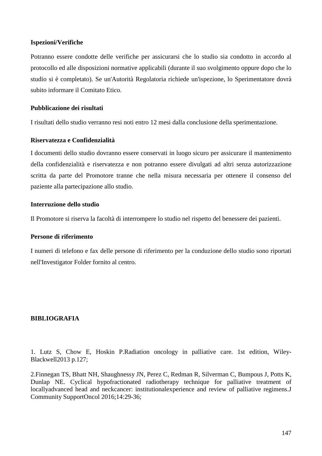### **Ispezioni/Verifiche**

Potranno essere condotte delle verifiche per assicurarsi che lo studio sia condotto in accordo al protocollo ed alle disposizioni normative applicabili (durante il suo svolgimento oppure dopo che lo studio si è completato). Se un'Autorità Regolatoria richiede un'ispezione, lo Sperimentatore dovrà subito informare il Comitato Etico.

### **Pubblicazione dei risultati**

I risultati dello studio verranno resi noti entro 12 mesi dalla conclusione della sperimentazione.

#### **Riservatezza e Confidenzialità**

I documenti dello studio dovranno essere conservati in luogo sicuro per assicurare il mantenimento della confidenzialità e riservatezza e non potranno essere divulgati ad altri senza autorizzazione scritta da parte del Promotore tranne che nella misura necessaria per ottenere il consenso del paziente alla partecipazione allo studio.

#### **Interruzione dello studio**

Il Promotore si riserva la facoltà di interrompere lo studio nel rispetto del benessere dei pazienti.

### **Persone di riferimento**

I numeri di telefono e fax delle persone di riferimento per la conduzione dello studio sono riportati nell'Investigator Folder fornito al centro.

### **BIBLIOGRAFIA**

1. Lutz S, Chow E, Hoskin P.Radiation oncology in palliative care. 1st edition, Wiley-Blackwell2013 p.127;

2.Finnegan TS, Bhatt NH, Shaughnessy JN, Perez C, Redman R, Silverman C, Bumpous J, Potts K, Dunlap NE. Cyclical hypofractionated radiotherapy technique for palliative treatment of locallyadvanced head and neckcancer: institutionalexperience and review of palliative regimens.J Community SupportOncol 2016;14:29-36;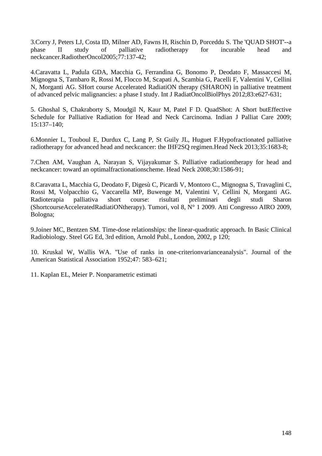3.Corry J, Peters LJ, Costa ID, Milner AD, Fawns H, Rischin D, Porceddu S. The 'QUAD SHOT'--a phase II study of palliative radiotherapy for incurable head and neckcancer.RadiotherOncol2005;77:137-42;

4.Caravatta L, Padula GDA, Macchia G, Ferrandina G, Bonomo P, Deodato F, Massaccesi M, Mignogna S, Tambaro R, Rossi M, Flocco M, Scapati A, Scambia G, Pacelli F, Valentini V, Cellini N, Morganti AG. SHort course Accelerated RadiatiON therapy (SHARON) in palliative treatment of advanced pelvic malignancies: a phase I study. Int J RadiatOncolBiolPhys 2012;83:e627-631;

5. Ghoshal S, Chakraborty S, Moudgil N, Kaur M, Patel F D. QuadShot: A Short butEffective Schedule for Palliative Radiation for Head and Neck Carcinoma. Indian J Palliat Care 2009; 15:137–140;

6.Monnier L, Touboul E, Durdux C, Lang P, St Guily JL, Huguet F.Hypofractionated palliative radiotherapy for advanced head and neckcancer: the IHF2SO regimen. Head Neck 2013:35:1683-8:

7.Chen AM, Vaughan A, Narayan S, Vijayakumar S. Palliative radiationtherapy for head and neckcancer: toward an optimalfractionationscheme. Head Neck 2008;30:1586-91;

8.Caravatta L, Macchia G, Deodato F, Digesù C, Picardi V, Montoro C., Mignogna S, Travaglini C, Rossi M, Volpacchio G, Vaccarella MP, Buwenge M, Valentini V, Cellini N, Morganti AG. Radioterapia palliativa short course: risultati preliminari degli studi Sharon (ShortcourseAcceleratedRadiatiONtherapy). Tumori, vol 8, N° 1 2009. Atti Congresso AIRO 2009, Bologna;

9.Joiner MC, Bentzen SM. Time-dose relationships: the linear-quadratic approach. In Basic Clinical Radiobiology. Steel GG Ed, 3rd edition, Arnold Publ., London, 2002, p 120;

10. Kruskal W, Wallis WA. "Use of ranks in one-criterionvarianceanalysis". Journal of the American Statistical Association 1952;47: 583–621;

11. Kaplan EL, Meier P. Nonparametric estimati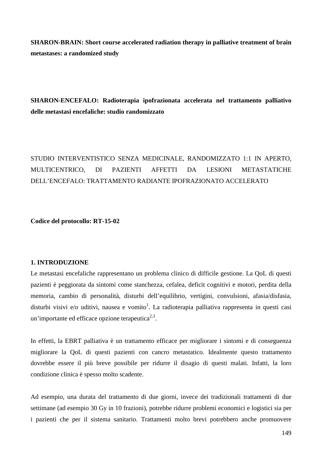**SHARON-BRAIN: Short course accelerated radiation therapy in palliative treatment of brain metastases: a randomized study** 

**SHARON-ENCEFALO: Radioterapia ipofrazionata accelerata nel trattamento palliativo delle metastasi encefaliche: studio randomizzato**

# STUDIO INTERVENTISTICO SENZA MEDICINALE, RANDOMIZZATO 1:1 IN APERTO, MULTICENTRICO, DI PAZIENTI AFFETTI DA LESIONI METASTATICHE DELL'ENCEFALO: TRATTAMENTO RADIANTE IPOFRAZIONATO ACCELERATO

**Codice del protocollo: RT-15-02**

### **1. INTRODUZIONE**

Le metastasi encefaliche rappresentano un problema clinico di difficile gestione. La QoL di questi pazienti è peggiorata da sintomi come stanchezza, cefalea, deficit cognitivi e motori, perdita della memoria, cambio di personalità, disturbi dell'equilibrio, vertigini, convulsioni, afasia/disfasia, disturbi visivi e/o uditivi, nausea e vomito<sup>1</sup>. La radioterapia palliativa rappresenta in questi casi un'importante ed efficace opzione terapeutica $2,3$ .

In effetti, la EBRT palliativa è un trattamento efficace per migliorare i sintomi e di conseguenza migliorare la QoL di questi pazienti con cancro metastatico. Idealmente questo trattamento dovrebbe essere il più breve possibile per ridurre il disagio di questi malati. Infatti, la loro condizione clinica è spesso molto scadente.

Ad esempio, una durata del trattamento di due giorni, invece dei tradizionali trattamenti di due settimane (ad esempio 30 Gy in 10 frazioni), potrebbe ridurre problemi economici e logistici sia per i pazienti che per il sistema sanitario. Trattamenti molto brevi potrebbero anche promuovere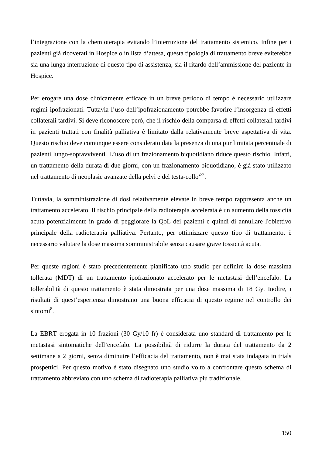l'integrazione con la chemioterapia evitando l'interruzione del trattamento sistemico. Infine per i pazienti già ricoverati in Hospice o in lista d'attesa, questa tipologia di trattamento breve eviterebbe sia una lunga interruzione di questo tipo di assistenza, sia il ritardo dell'ammissione del paziente in Hospice.

Per erogare una dose clinicamente efficace in un breve periodo di tempo è necessario utilizzare regimi ipofrazionati. Tuttavia l'uso dell'ipofrazionamento potrebbe favorire l'insorgenza di effetti collaterali tardivi. Si deve riconoscere però, che il rischio della comparsa di effetti collaterali tardivi in pazienti trattati con finalità palliativa è limitato dalla relativamente breve aspettativa di vita. Questo rischio deve comunque essere considerato data la presenza di una pur limitata percentuale di pazienti lungo-sopravviventi. L'uso di un frazionamento biquotidiano riduce questo rischio. Infatti, un trattamento della durata di due giorni, con un frazionamento biquotidiano, è già stato utilizzato nel trattamento di neoplasie avanzate della pelvi e del testa-collo<sup>2-7</sup>.

Tuttavia, la somministrazione di dosi relativamente elevate in breve tempo rappresenta anche un trattamento accelerato. Il rischio principale della radioterapia accelerata è un aumento della tossicità acuta potenzialmente in grado di peggiorare la QoL dei pazienti e quindi di annullare l'obiettivo principale della radioterapia palliativa. Pertanto, per ottimizzare questo tipo di trattamento, è necessario valutare la dose massima somministrabile senza causare grave tossicità acuta.

Per queste ragioni è stato precedentemente pianificato uno studio per definire la dose massima tollerata (MDT) di un trattamento ipofrazionato accelerato per le metastasi dell'encefalo. La tollerabilità di questo trattamento è stata dimostrata per una dose massima di 18 Gy. Inoltre, i risultati di quest'esperienza dimostrano una buona efficacia di questo regime nel controllo dei sintomi<sup>8</sup>.

La EBRT erogata in 10 frazioni (30 Gy/10 fr) è considerata uno standard di trattamento per le metastasi sintomatiche dell'encefalo. La possibilità di ridurre la durata del trattamento da 2 settimane a 2 giorni, senza diminuire l'efficacia del trattamento, non è mai stata indagata in trials prospettici. Per questo motivo è stato disegnato uno studio volto a confrontare questo schema di trattamento abbreviato con uno schema di radioterapia palliativa più tradizionale.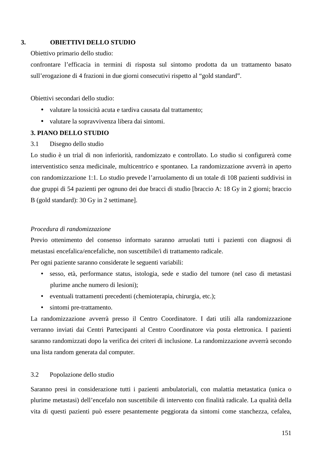## **3. OBIETTIVI DELLO STUDIO**

Obiettivo primario dello studio:

confrontare l'efficacia in termini di risposta sul sintomo prodotta da un trattamento basato sull'erogazione di 4 frazioni in due giorni consecutivi rispetto al "gold standard".

Obiettivi secondari dello studio:

- valutare la tossicità acuta e tardiva causata dal trattamento;
- valutare la sopravvivenza libera dai sintomi.

## **3. PIANO DELLO STUDIO**

3.1 Disegno dello studio

Lo studio è un trial di non inferiorità, randomizzato e controllato. Lo studio si configurerà come interventistico senza medicinale, multicentrico e spontaneo. La randomizzazione avverrà in aperto con randomizzazione 1:1. Lo studio prevede l'arruolamento di un totale di 108 pazienti suddivisi in due gruppi di 54 pazienti per ognuno dei due bracci di studio [braccio A: 18 Gy in 2 giorni; braccio B (gold standard): 30 Gy in 2 settimane].

### *Procedura di randomizzazione*

Previo ottenimento del consenso informato saranno arruolati tutti i pazienti con diagnosi di metastasi encefalica/encefaliche, non suscettibile/i di trattamento radicale.

Per ogni paziente saranno considerate le seguenti variabili:

- sesso, età, performance status, istologia, sede e stadio del tumore (nel caso di metastasi plurime anche numero di lesioni);
- eventuali trattamenti precedenti (chemioterapia, chirurgia, etc.);
- sintomi pre-trattamento.

La randomizzazione avverrà presso il Centro Coordinatore. I dati utili alla randomizzazione verranno inviati dai Centri Partecipanti al Centro Coordinatore via posta elettronica. I pazienti saranno randomizzati dopo la verifica dei criteri di inclusione. La randomizzazione avverrà secondo una lista random generata dal computer.

### 3.2 Popolazione dello studio

Saranno presi in considerazione tutti i pazienti ambulatoriali, con malattia metastatica (unica o plurime metastasi) dell'encefalo non suscettibile di intervento con finalità radicale. La qualità della vita di questi pazienti può essere pesantemente peggiorata da sintomi come stanchezza, cefalea,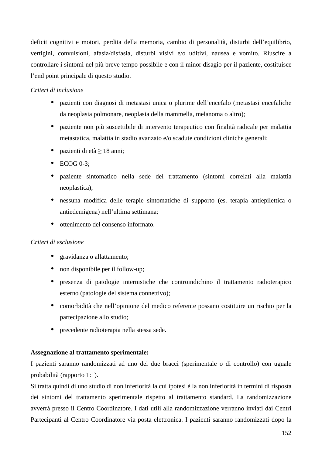deficit cognitivi e motori, perdita della memoria, cambio di personalità, disturbi dell'equilibrio, vertigini, convulsioni, afasia/disfasia, disturbi visivi e/o uditivi, nausea e vomito. Riuscire a controllare i sintomi nel più breve tempo possibile e con il minor disagio per il paziente, costituisce l'end point principale di questo studio.

## *Criteri di inclusione*

- pazienti con diagnosi di metastasi unica o plurime dell'encefalo (metastasi encefaliche da neoplasia polmonare, neoplasia della mammella, melanoma o altro);
- paziente non più suscettibile di intervento terapeutico con finalità radicale per malattia metastatica, malattia in stadio avanzato e/o scadute condizioni cliniche generali;
- pazienti di età  $\geq 18$  anni;
- $\bullet$  ECOG 0-3:
- paziente sintomatico nella sede del trattamento (sintomi correlati alla malattia neoplastica);
- nessuna modifica delle terapie sintomatiche di supporto (es. terapia antiepilettica o antiedemigena) nell'ultima settimana;
- ottenimento del consenso informato.

## *Criteri di esclusione*

- gravidanza o allattamento;
- non disponibile per il follow-up;
- presenza di patologie internistiche che controindichino il trattamento radioterapico esterno (patologie del sistema connettivo);
- comorbidità che nell'opinione del medico referente possano costituire un rischio per la partecipazione allo studio;
- precedente radioterapia nella stessa sede.

## **Assegnazione al trattamento sperimentale:**

I pazienti saranno randomizzati ad uno dei due bracci (sperimentale o di controllo) con uguale probabilità (rapporto 1:1).

Si tratta quindi di uno studio di non inferiorità la cui ipotesi è la non inferiorità in termini di risposta dei sintomi del trattamento sperimentale rispetto al trattamento standard. La randomizzazione avverrà presso il Centro Coordinatore. I dati utili alla randomizzazione verranno inviati dai Centri Partecipanti al Centro Coordinatore via posta elettronica. I pazienti saranno randomizzati dopo la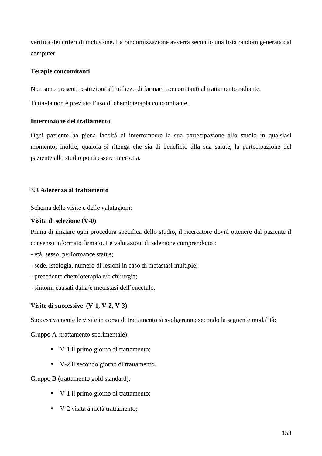verifica dei criteri di inclusione. La randomizzazione avverrà secondo una lista random generata dal computer.

## **Terapie concomitanti**

Non sono presenti restrizioni all'utilizzo di farmaci concomitanti al trattamento radiante.

Tuttavia non è previsto l'uso di chemioterapia concomitante.

## **Interruzione del trattamento**

Ogni paziente ha piena facoltà di interrompere la sua partecipazione allo studio in qualsiasi momento; inoltre, qualora si ritenga che sia di beneficio alla sua salute, la partecipazione del paziente allo studio potrà essere interrotta.

## **3.3 Aderenza al trattamento**

Schema delle visite e delle valutazioni:

## **Visita di selezione (V-0)**

Prima di iniziare ogni procedura specifica dello studio, il ricercatore dovrà ottenere dal paziente il consenso informato firmato. Le valutazioni di selezione comprendono :

- età, sesso, performance status;

- sede, istologia, numero di lesioni in caso di metastasi multiple;
- precedente chemioterapia e/o chirurgia;
- sintomi causati dalla/e metastasi dell'encefalo.

## **Visite di successive (V-1, V-2, V-3)**

Successivamente le visite in corso di trattamento si svolgeranno secondo la seguente modalità:

Gruppo A (trattamento sperimentale):

- V-1 il primo giorno di trattamento;
- V-2 il secondo giorno di trattamento.

Gruppo B (trattamento gold standard):

- V-1 il primo giorno di trattamento;
- V-2 visita a metà trattamento;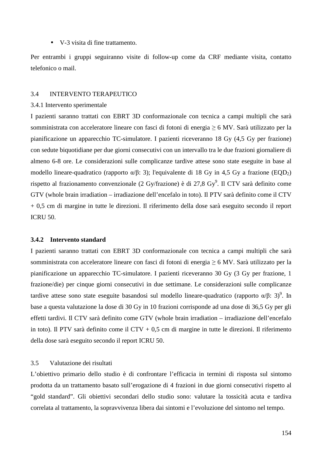• V-3 visita di fine trattamento.

Per entrambi i gruppi seguiranno visite di follow-up come da CRF mediante visita, contatto telefonico o mail.

#### 3.4 INTERVENTO TERAPEUTICO

#### 3.4.1 Intervento sperimentale

I pazienti saranno trattati con EBRT 3D conformazionale con tecnica a campi multipli che sarà somministrata con acceleratore lineare con fasci di fotoni di energia ≥ 6 MV. Sarà utilizzato per la pianificazione un apparecchio TC-simulatore. I pazienti riceveranno 18 Gy (4,5 Gy per frazione) con sedute biquotidiane per due giorni consecutivi con un intervallo tra le due frazioni giornaliere di almeno 6-8 ore. Le considerazioni sulle complicanze tardive attese sono state eseguite in base al modello lineare-quadratico (rapporto α/β: 3); l'equivalente di 18 Gy in 4,5 Gy a frazione (EQD<sub>2</sub>) rispetto al frazionamento convenzionale (2 Gy/frazione) è di 27,8 Gy<sup>9</sup>. Il CTV sarà definito come GTV (whole brain irradiation – irradiazione dell'encefalo in toto). Il PTV sarà definito come il CTV + 0,5 cm di margine in tutte le direzioni. Il riferimento della dose sarà eseguito secondo il report ICRU 50.

#### **3.4.2 Intervento standard**

I pazienti saranno trattati con EBRT 3D conformazionale con tecnica a campi multipli che sarà somministrata con acceleratore lineare con fasci di fotoni di energia ≥ 6 MV. Sarà utilizzato per la pianificazione un apparecchio TC-simulatore. I pazienti riceveranno 30 Gy (3 Gy per frazione, 1 frazione/die) per cinque giorni consecutivi in due settimane. Le considerazioni sulle complicanze tardive attese sono state eseguite basandosi sul modello lineare-quadratico (rapporto α/β: 3)<sup>9</sup>. In base a questa valutazione la dose di 30 Gy in 10 frazioni corrisponde ad una dose di 36,5 Gy per gli effetti tardivi. Il CTV sarà definito come GTV (whole brain irradiation – irradiazione dell'encefalo in toto). Il PTV sarà definito come il CTV + 0,5 cm di margine in tutte le direzioni. Il riferimento della dose sarà eseguito secondo il report ICRU 50.

### 3.5 Valutazione dei risultati

L'obiettivo primario dello studio è di confrontare l'efficacia in termini di risposta sul sintomo prodotta da un trattamento basato sull'erogazione di 4 frazioni in due giorni consecutivi rispetto al "gold standard". Gli obiettivi secondari dello studio sono: valutare la tossicità acuta e tardiva correlata al trattamento, la sopravvivenza libera dai sintomi e l'evoluzione del sintomo nel tempo.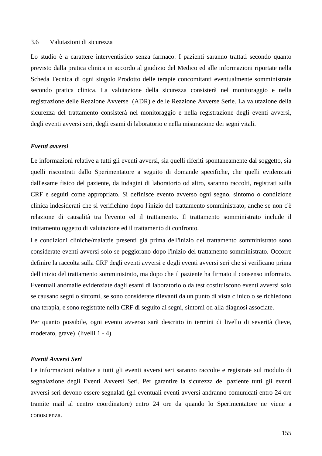### 3.6 Valutazioni di sicurezza

Lo studio è a carattere interventistico senza farmaco. I pazienti saranno trattati secondo quanto previsto dalla pratica clinica in accordo al giudizio del Medico ed alle informazioni riportate nella Scheda Tecnica di ogni singolo Prodotto delle terapie concomitanti eventualmente somministrate secondo pratica clinica. La valutazione della sicurezza consisterà nel monitoraggio e nella registrazione delle Reazione Avverse (ADR) e delle Reazione Avverse Serie. La valutazione della sicurezza del trattamento consisterà nel monitoraggio e nella registrazione degli eventi avversi, degli eventi avversi seri, degli esami di laboratorio e nella misurazione dei segni vitali.

#### *Eventi avversi*

Le informazioni relative a tutti gli eventi avversi, sia quelli riferiti spontaneamente dal soggetto, sia quelli riscontrati dallo Sperimentatore a seguito di domande specifiche, che quelli evidenziati dall'esame fisico del paziente, da indagini di laboratorio od altro, saranno raccolti, registrati sulla CRF e seguiti come appropriato. Si definisce evento avverso ogni segno, sintomo o condizione clinica indesiderati che si verifichino dopo l'inizio del trattamento somministrato, anche se non c'è relazione di causalità tra l'evento ed il trattamento. Il trattamento somministrato include il trattamento oggetto di valutazione ed il trattamento di confronto.

Le condizioni cliniche/malattie presenti già prima dell'inizio del trattamento somministrato sono considerate eventi avversi solo se peggiorano dopo l'inizio del trattamento somministrato. Occorre definire la raccolta sulla CRF degli eventi avversi e degli eventi avversi seri che si verificano prima dell'inizio del trattamento somministrato, ma dopo che il paziente ha firmato il consenso informato. Eventuali anomalie evidenziate dagli esami di laboratorio o da test costituiscono eventi avversi solo se causano segni o sintomi, se sono considerate rilevanti da un punto di vista clinico o se richiedono una terapia, e sono registrate nella CRF di seguito ai segni, sintomi od alla diagnosi associate.

Per quanto possibile, ogni evento avverso sarà descritto in termini di livello di severità (lieve, moderato, grave) (livelli 1 - 4).

### *Eventi Avversi Seri*

Le informazioni relative a tutti gli eventi avversi seri saranno raccolte e registrate sul modulo di segnalazione degli Eventi Avversi Seri. Per garantire la sicurezza del paziente tutti gli eventi avversi seri devono essere segnalati (gli eventuali eventi avversi andranno comunicati entro 24 ore tramite mail al centro coordinatore) entro 24 ore da quando lo Sperimentatore ne viene a conoscenza.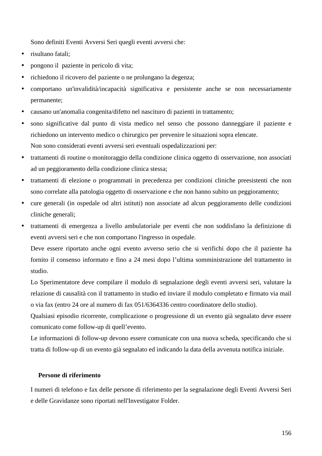Sono definiti Eventi Avversi Seri quegli eventi avversi che:

- risultano fatali:
- pongono il paziente in pericolo di vita;
- richiedono il ricovero del paziente o ne prolungano la degenza;
- comportano un'invalidità/incapacità significativa e persistente anche se non necessariamente permanente;
- causano un'anomalia congenita/difetto nel nascituro di pazienti in trattamento;
- sono significative dal punto di vista medico nel senso che possono danneggiare il paziente e richiedono un intervento medico o chirurgico per prevenire le situazioni sopra elencate. Non sono considerati eventi avversi seri eventuali ospedalizzazioni per:
- trattamenti di routine o monitoraggio della condizione clinica oggetto di osservazione, non associati ad un peggioramento della condizione clinica stessa;
- trattamenti di elezione o programmati in precedenza per condizioni cliniche preesistenti che non sono correlate alla patologia oggetto di osservazione e che non hanno subito un peggioramento;
- cure generali (in ospedale od altri istituti) non associate ad alcun peggioramento delle condizioni cliniche generali;
- trattamenti di emergenza a livello ambulatoriale per eventi che non soddisfano la definizione di eventi avversi seri e che non comportano l'ingresso in ospedale.

Deve essere riportato anche ogni evento avverso serio che si verifichi dopo che il paziente ha fornito il consenso informato e fino a 24 mesi dopo l'ultima somministrazione del trattamento in studio.

Lo Sperimentatore deve compilare il modulo di segnalazione degli eventi avversi seri, valutare la relazione di causalità con il trattamento in studio ed inviare il modulo completato e firmato via mail o via fax (entro 24 ore al numero di fax 051/6364336 centro coordinatore dello studio).

Qualsiasi episodio ricorrente, complicazione o progressione di un evento già segnalato deve essere comunicato come follow-up di quell'evento.

Le informazioni di follow-up devono essere comunicate con una nuova scheda, specificando che si tratta di follow-up di un evento già segnalato ed indicando la data della avvenuta notifica iniziale.

### **Persone di riferimento**

I numeri di telefono e fax delle persone di riferimento per la segnalazione degli Eventi Avversi Seri e delle Gravidanze sono riportati nell'Investigator Folder.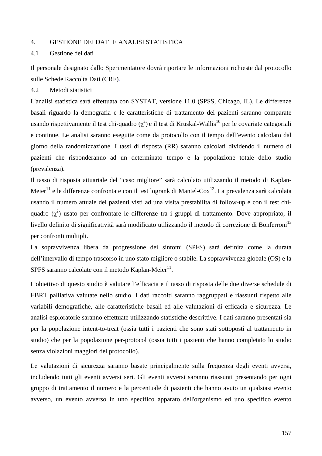## 4. GESTIONE DEI DATI E ANALISI STATISTICA

#### 4.1 Gestione dei dati

Il personale designato dallo Sperimentatore dovrà riportare le informazioni richieste dal protocollo sulle Schede Raccolta Dati (CRF)*.* 

#### 4.2 Metodi statistici

L'analisi statistica sarà effettuata con SYSTAT, versione 11.0 (SPSS, Chicago, IL). Le differenze basali riguardo la demografia e le caratteristiche di trattamento dei pazienti saranno comparate usando rispettivamente il test chi-quadro ( $\chi^2$ ) e il test di Kruskal-Wallis<sup>10</sup> per le covariate categoriali e continue. Le analisi saranno eseguite come da protocollo con il tempo dell'evento calcolato dal giorno della randomizzazione. I tassi di risposta (RR) saranno calcolati dividendo il numero di pazienti che risponderanno ad un determinato tempo e la popolazione totale dello studio (prevalenza).

Il tasso di risposta attuariale del "caso migliore" sarà calcolato utilizzando il metodo di Kaplan-Meier<sup>11</sup> e le differenze confrontate con il test logrank di Mantel-Cox<sup>12</sup>. La prevalenza sarà calcolata usando il numero attuale dei pazienti visti ad una visita prestabilita di follow-up e con il test chiquadro  $(\chi^2)$  usato per confrontare le differenze tra i gruppi di trattamento. Dove appropriato, il livello definito di significatività sarà modificato utilizzando il metodo di correzione di Bonferroni<sup>13</sup> per confronti multipli.

La sopravvivenza libera da progressione dei sintomi (SPFS) sarà definita come la durata dell'intervallo di tempo trascorso in uno stato migliore o stabile. La sopravvivenza globale (OS) e la SPFS saranno calcolate con il metodo Kaplan-Meier $^{11}$ .

L'obiettivo di questo studio è valutare l'efficacia e il tasso di risposta delle due diverse schedule di EBRT palliativa valutate nello studio. I dati raccolti saranno raggruppati e riassunti rispetto alle variabili demografiche, alle caratteristiche basali ed alle valutazioni di efficacia e sicurezza. Le analisi esploratorie saranno effettuate utilizzando statistiche descrittive. I dati saranno presentati sia per la popolazione intent-to-treat (ossia tutti i pazienti che sono stati sottoposti al trattamento in studio) che per la popolazione per-protocol (ossia tutti i pazienti che hanno completato lo studio senza violazioni maggiori del protocollo).

Le valutazioni di sicurezza saranno basate principalmente sulla frequenza degli eventi avversi, includendo tutti gli eventi avversi seri. Gli eventi avversi saranno riassunti presentando per ogni gruppo di trattamento il numero e la percentuale di pazienti che hanno avuto un qualsiasi evento avverso, un evento avverso in uno specifico apparato dell'organismo ed uno specifico evento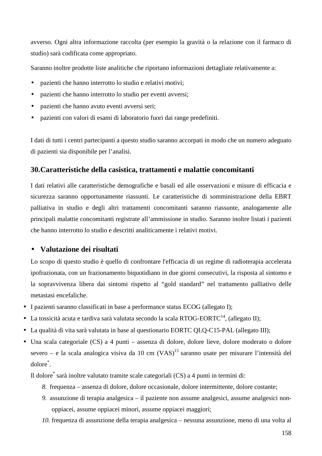avverso. Ogni altra informazione raccolta (per esempio la gravità o la relazione con il farmaco di studio) sarà codificata come appropriato.

Saranno inoltre prodotte liste analitiche che riportano informazioni dettagliate relativamente a:

- pazienti che hanno interrotto lo studio e relativi motivi;
- pazienti che hanno interrotto lo studio per eventi avversi;
- pazienti che hanno avuto eventi avversi seri;
- pazienti con valori di esami di laboratorio fuori dai range predefiniti.

I dati di tutti i centri partecipanti a questo studio saranno accorpati in modo che un numero adeguato di pazienti sia disponibile per l'analisi.

## **30.Caratteristiche della casistica, trattamenti e malattie concomitanti**

I dati relativi alle caratteristiche demografiche e basali ed alle osservazioni e misure di efficacia e sicurezza saranno opportunamente riassunti. Le caratteristiche di somministrazione della EBRT palliativa in studio e degli altri trattamenti concomitanti saranno riassunte, analogamente alle principali malattie concomitanti registrate all'ammissione in studio. Saranno inoltre listati i pazienti che hanno interrotto lo studio e descritti analiticamente i relativi motivi.

## • **Valutazione dei risultati**

Lo scopo di questo studio è quello di confrontare l'efficacia di un regime di radioterapia accelerata ipofrazionata, con un frazionamento biquotidiano in due giorni consecutivi, la risposta al sintomo e la sopravvivenza libera dai sintomi rispetto al "gold standard" nel trattamento palliativo delle metastasi encefaliche.

- I pazienti saranno classificati in base a performance status ECOG (allegato I);
- La tossicità acuta e tardiva sarà valutata secondo la scala RTOG-EORTC<sup>14</sup>, (allegato II);
- La qualità di vita sarà valutata in base al questionario EORTC QLQ-C15-PAL (allegato III);
- Una scala categoriale (CS) a 4 punti assenza di dolore, dolore lieve, dolore moderato o dolore severo – e la scala analogica visiva da 10 cm  $(VAS)^{15}$  saranno usate per misurare l'intensità del dolore\* .

Il dolore\* sarà inoltre valutato tramite scale categoriali (CS) a 4 punti in termini di:

- *8.* frequenza assenza di dolore, dolore occasionale, dolore intermittente, dolore costante;
- *9.* assunzione di terapia analgesica il paziente non assume analgesici, assume analgesici nonoppiacei, assume oppiacei minori, assume oppiacei maggiori;
- *10.* frequenza di assunzione della terapia analgesica nessuna assunzione, meno di una volta al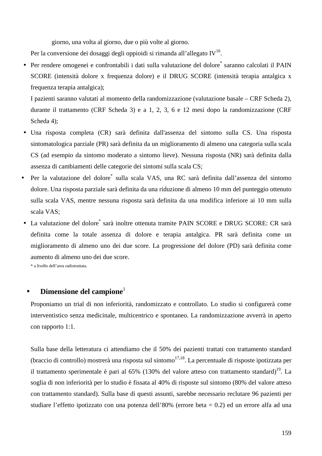giorno, una volta al giorno, due o più volte al giorno.

Per la conversione dei dosaggi degli oppioidi si rimanda all'allegato IV<sup>16</sup>.

· Per rendere omogenei e confrontabili i dati sulla valutazione del dolore saranno calcolati il PAIN SCORE (intensità dolore x frequenza dolore) e il DRUG SCORE (intensità terapia antalgica x frequenza terapia antalgica);

I pazienti saranno valutati al momento della randomizzazione (valutazione basale – CRF Scheda 2), durante il trattamento (CRF Scheda 3) e a 1, 2, 3, 6 e 12 mesi dopo la randomizzazione (CRF Scheda 4):

- Una risposta completa (CR) sarà definita dall'assenza del sintomo sulla CS. Una risposta sintomatologica parziale (PR) sarà definita da un miglioramento di almeno una categoria sulla scala CS (ad esempio da sintomo moderato a sintomo lieve). Nessuna risposta (NR) sarà definita dalla assenza di cambiamenti delle categorie dei sintomi sulla scala CS;
- Per la valutazione del dolore\* sulla scala VAS, una RC sarà definita dall'assenza del sintomo dolore. Una risposta parziale sarà definita da una riduzione di almeno 10 mm del punteggio ottenuto sulla scala VAS, mentre nessuna risposta sarà definita da una modifica inferiore ai 10 mm sulla scala VAS;
- · La valutazione del dolore sarà inoltre ottenuta tramite PAIN SCORE e DRUG SCORE: CR sarà definita come la totale assenza di dolore e terapia antalgica. PR sarà definita come un miglioramento di almeno uno dei due score. La progressione del dolore (PD) sarà definita come aumento di almeno uno dei due score.

\* a livello dell'area radiotrattata.

## **Dimensione del campione**<sup>1</sup>

Proponiamo un trial di non inferiorità, randomizzato e controllato. Lo studio si configurerà come interventistico senza medicinale, multicentrico e spontaneo. La randomizzazione avverrà in aperto con rapporto 1:1.

Sulla base della letteratura ci attendiamo che il 50% dei pazienti trattati con trattamento standard (braccio di controllo) mostrerà una risposta sul sintomo<sup>17,18</sup>. La percentuale di risposte ipotizzata per il trattamento sperimentale è pari al  $65\%$  (130% del valore atteso con trattamento standard)<sup>19</sup>. La soglia di non inferiorità per lo studio è fissata al 40% di risposte sul sintomo (80% del valore atteso con trattamento standard). Sulla base di questi assunti, sarebbe necessario reclutare 96 pazienti per studiare l'effetto ipotizzato con una potenza dell'80% (errore beta = 0.2) ed un errore alfa ad una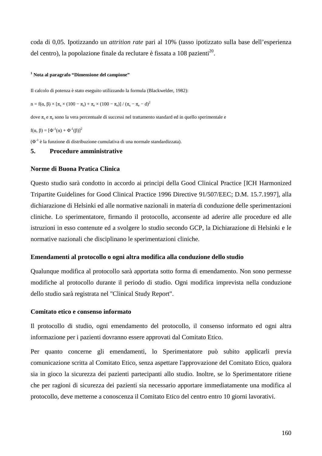coda di 0,05. Ipotizzando un *attrition rate* pari al 10% (tasso ipotizzato sulla base dell'esperienza del centro), la popolazione finale da reclutare è fissata a 108 pazienti<sup>20</sup>.

#### **1 Nota al paragrafo "Dimensione del campione"**

Il calcolo di potenza è stato eseguito utilizzando la formula (Blackwelder, 1982):

$$
n = f(\alpha, \, \beta) \times \left[\pi_{s} \times (100-\pi_{s}) + \pi_{e} \times (100-\pi_{e})\right] / \left(\pi_{s} - \pi_{e} - d\right)^{2}
$$

dove  $\pi_s$  e  $\pi_e$  sono la vera percentuale di successi nel trattamento standard ed in quello sperimentale e

$$
f(\alpha, \beta) = [\Phi^{-1}(\alpha) + \Phi^{-1}(\beta)]^2
$$

 $(\Phi^{-1}$  è la funzione di distribuzione cumulativa di una normale standardizzata).

## **5. Procedure amministrative**

#### **Norme di Buona Pratica Clinica**

Questo studio sarà condotto in accordo ai principi della Good Clinical Practice [ICH Harmonized Tripartite Guidelines for Good Clinical Practice 1996 Directive 91/507/EEC; D.M. 15.7.1997], alla dichiarazione di Helsinki ed alle normative nazionali in materia di conduzione delle sperimentazioni cliniche. Lo sperimentatore, firmando il protocollo, acconsente ad aderire alle procedure ed alle istruzioni in esso contenute ed a svolgere lo studio secondo GCP, la Dichiarazione di Helsinki e le normative nazionali che disciplinano le sperimentazioni cliniche.

### **Emendamenti al protocollo o ogni altra modifica alla conduzione dello studio**

Qualunque modifica al protocollo sarà apportata sotto forma di emendamento. Non sono permesse modifiche al protocollo durante il periodo di studio. Ogni modifica imprevista nella conduzione dello studio sarà registrata nel "Clinical Study Report".

### **Comitato etico e consenso informato**

Il protocollo di studio, ogni emendamento del protocollo, il consenso informato ed ogni altra informazione per i pazienti dovranno essere approvati dal Comitato Etico.

Per quanto concerne gli emendamenti, lo Sperimentatore può subito applicarli previa comunicazione scritta al Comitato Etico, senza aspettare l'approvazione del Comitato Etico, qualora sia in gioco la sicurezza dei pazienti partecipanti allo studio. Inoltre, se lo Sperimentatore ritiene che per ragioni di sicurezza dei pazienti sia necessario apportare immediatamente una modifica al protocollo, deve metterne a conoscenza il Comitato Etico del centro entro 10 giorni lavorativi.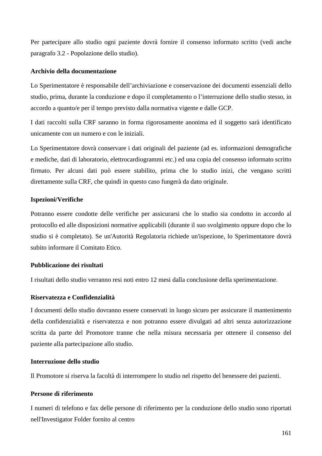Per partecipare allo studio ogni paziente dovrà fornire il consenso informato scritto (vedi anche paragrafo 3.2 - Popolazione dello studio).

### **Archivio della documentazione**

Lo Sperimentatore è responsabile dell'archiviazione e conservazione dei documenti essenziali dello studio, prima, durante la conduzione e dopo il completamento o l'interruzione dello studio stesso, in accordo a quanto/e per il tempo previsto dalla normativa vigente e dalle GCP.

I dati raccolti sulla CRF saranno in forma rigorosamente anonima ed il soggetto sarà identificato unicamente con un numero e con le iniziali.

Lo Sperimentatore dovrà conservare i dati originali del paziente (ad es. informazioni demografiche e mediche, dati di laboratorio, elettrocardiogrammi etc.) ed una copia del consenso informato scritto firmato. Per alcuni dati può essere stabilito, prima che lo studio inizi, che vengano scritti direttamente sulla CRF, che quindi in questo caso fungerà da dato originale.

## **Ispezioni/Verifiche**

Potranno essere condotte delle verifiche per assicurarsi che lo studio sia condotto in accordo al protocollo ed alle disposizioni normative applicabili (durante il suo svolgimento oppure dopo che lo studio si è completato). Se un'Autorità Regolatoria richiede un'ispezione, lo Sperimentatore dovrà subito informare il Comitato Etico.

## **Pubblicazione dei risultati**

I risultati dello studio verranno resi noti entro 12 mesi dalla conclusione della sperimentazione.

## **Riservatezza e Confidenzialità**

I documenti dello studio dovranno essere conservati in luogo sicuro per assicurare il mantenimento della confidenzialità e riservatezza e non potranno essere divulgati ad altri senza autorizzazione scritta da parte del Promotore tranne che nella misura necessaria per ottenere il consenso del paziente alla partecipazione allo studio.

### **Interruzione dello studio**

Il Promotore si riserva la facoltà di interrompere lo studio nel rispetto del benessere dei pazienti.

### **Persone di riferimento**

I numeri di telefono e fax delle persone di riferimento per la conduzione dello studio sono riportati nell'Investigator Folder fornito al centro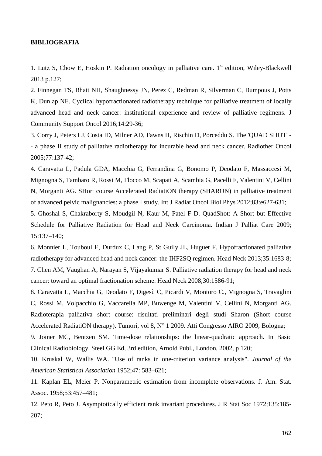#### **BIBLIOGRAFIA**

1. Lutz S, Chow E, Hoskin P. Radiation oncology in palliative care.  $1<sup>st</sup>$  edition, Wiley-Blackwell 2013 p.127;

2. Finnegan TS, Bhatt NH, Shaughnessy JN, Perez C, Redman R, Silverman C, Bumpous J, Potts K, Dunlap NE. Cyclical hypofractionated radiotherapy technique for palliative treatment of locally advanced head and neck cancer: institutional experience and review of palliative regimens. J Community Support Oncol 2016;14:29-36;

3. Corry J, Peters LJ, Costa ID, Milner AD, Fawns H, Rischin D, Porceddu S. The 'QUAD SHOT' - - a phase II study of palliative radiotherapy for incurable head and neck cancer. Radiother Oncol 2005;77:137-42;

4. Caravatta L, Padula GDA, Macchia G, Ferrandina G, Bonomo P, Deodato F, Massaccesi M, Mignogna S, Tambaro R, Rossi M, Flocco M, Scapati A, Scambia G, Pacelli F, Valentini V, Cellini N, Morganti AG. SHort course Accelerated RadiatiON therapy (SHARON) in palliative treatment of advanced pelvic malignancies: a phase I study. Int J Radiat Oncol Biol Phys 2012;83:e627-631;

5. Ghoshal S, Chakraborty S, Moudgil N, Kaur M, Patel F D. QuadShot: A Short but Effective Schedule for Palliative Radiation for Head and Neck Carcinoma. Indian J Palliat Care 2009; 15:137–140;

6. Monnier L, Touboul E, Durdux C, Lang P, St Guily JL, Huguet F. Hypofractionated palliative radiotherapy for advanced head and neck cancer: the IHF2SQ regimen. Head Neck 2013;35:1683-8; 7. Chen AM, Vaughan A, Narayan S, Vijayakumar S. Palliative radiation therapy for head and neck cancer: toward an optimal fractionation scheme. Head Neck 2008;30:1586-91;

8. Caravatta L, Macchia G, Deodato F, Digesù C, Picardi V, Montoro C., Mignogna S, Travaglini C, Rossi M, Volpacchio G, Vaccarella MP, Buwenge M, Valentini V, Cellini N, Morganti AG. Radioterapia palliativa short course: risultati preliminari degli studi Sharon (Short course Accelerated RadiatiON therapy). Tumori, vol 8, N° 1 2009. Atti Congresso AIRO 2009, Bologna;

9. Joiner MC, Bentzen SM. Time-dose relationships: the linear-quadratic approach. In Basic Clinical Radiobiology. Steel GG Ed, 3rd edition, Arnold Publ., London, 2002, p 120;

10. Kruskal W, Wallis WA. "Use of ranks in one-criterion variance analysis". *Journal of the American Statistical Association* 1952;47: 583–621;

11. Kaplan EL, Meier P. Nonparametric estimation from incomplete observations. J. Am. Stat. Assoc. 1958;53:457–481;

12. Peto R, Peto J. Asymptotically efficient rank invariant procedures. J R Stat Soc 1972;135:185- 207;